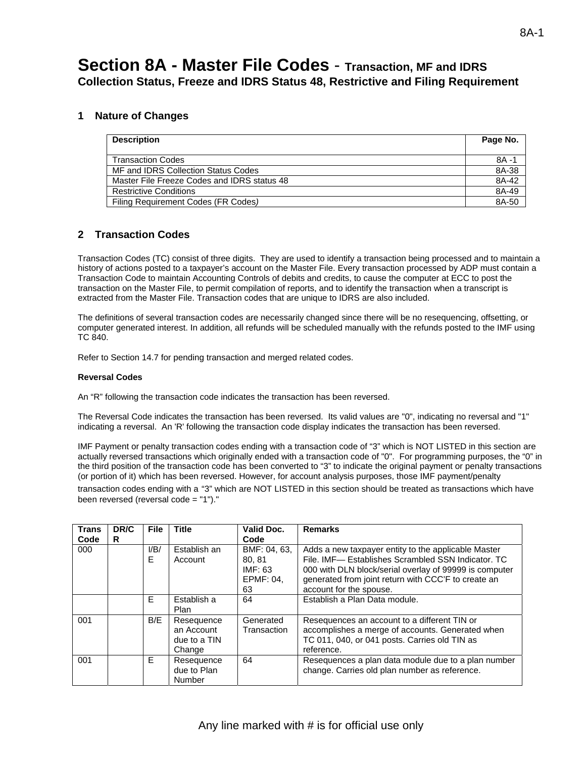# **Section 8A - Master File Codes** - **Transaction, MF and IDRS Collection Status, Freeze and IDRS Status 48, Restrictive and Filing Requirement**

### **1 Nature of Changes**

| <b>Description</b>                          | Page No. |
|---------------------------------------------|----------|
| <b>Transaction Codes</b>                    | 8A -1    |
| MF and IDRS Collection Status Codes         | 8A-38    |
| Master File Freeze Codes and IDRS status 48 | 8A-42    |
| <b>Restrictive Conditions</b>               | 8A-49    |
| Filing Requirement Codes (FR Codes)         | 8A-50    |

## **2 Transaction Codes**

Transaction Codes (TC) consist of three digits. They are used to identify a transaction being processed and to maintain a history of actions posted to a taxpayer's account on the Master File. Every transaction processed by ADP must contain a Transaction Code to maintain Accounting Controls of debits and credits, to cause the computer at ECC to post the transaction on the Master File, to permit compilation of reports, and to identify the transaction when a transcript is extracted from the Master File. Transaction codes that are unique to IDRS are also included.

The definitions of several transaction codes are necessarily changed since there will be no resequencing, offsetting, or computer generated interest. In addition, all refunds will be scheduled manually with the refunds posted to the IMF using TC 840.

Refer to Section 14.7 for pending transaction and merged related codes.

#### **Reversal Codes**

An "R" following the transaction code indicates the transaction has been reversed.

The Reversal Code indicates the transaction has been reversed. Its valid values are "0", indicating no reversal and "1" indicating a reversal. An 'R' following the transaction code display indicates the transaction has been reversed.

IMF Payment or penalty transaction codes ending with a transaction code of "3" which is NOT LISTED in this section are actually reversed transactions which originally ended with a transaction code of "0". For programming purposes, the "0" in the third position of the transaction code has been converted to "3" to indicate the original payment or penalty transactions (or portion of it) which has been reversed. However, for account analysis purposes, those IMF payment/penalty transaction codes ending with a "3" which are NOT LISTED in this section should be treated as transactions which have been reversed (reversal code = "1")."

| <b>Trans</b><br>Code | DR/C<br>R. | <b>File</b> | Title                                              | Valid Doc.<br>Code                                  | <b>Remarks</b>                                                                                                                                                                                                                                        |
|----------------------|------------|-------------|----------------------------------------------------|-----------------------------------------------------|-------------------------------------------------------------------------------------------------------------------------------------------------------------------------------------------------------------------------------------------------------|
| 000                  |            | I/B/<br>F   | Establish an<br>Account                            | BMF: 04, 63.<br>80.81<br>IMF: 63<br>EPMF: 04.<br>63 | Adds a new taxpayer entity to the applicable Master<br>File. IMF- Establishes Scrambled SSN Indicator. TC<br>000 with DLN block/serial overlay of 99999 is computer<br>generated from joint return with CCC'F to create an<br>account for the spouse. |
|                      |            | E           | Establish a<br>Plan                                | 64                                                  | Establish a Plan Data module.                                                                                                                                                                                                                         |
| 001                  |            | B/E         | Resequence<br>an Account<br>due to a TIN<br>Change | Generated<br>Transaction                            | Resequences an account to a different TIN or<br>accomplishes a merge of accounts. Generated when<br>TC 011, 040, or 041 posts. Carries old TIN as<br>reference.                                                                                       |
| 001                  |            | E           | Resequence<br>due to Plan<br>Number                | 64                                                  | Resequences a plan data module due to a plan number<br>change. Carries old plan number as reference.                                                                                                                                                  |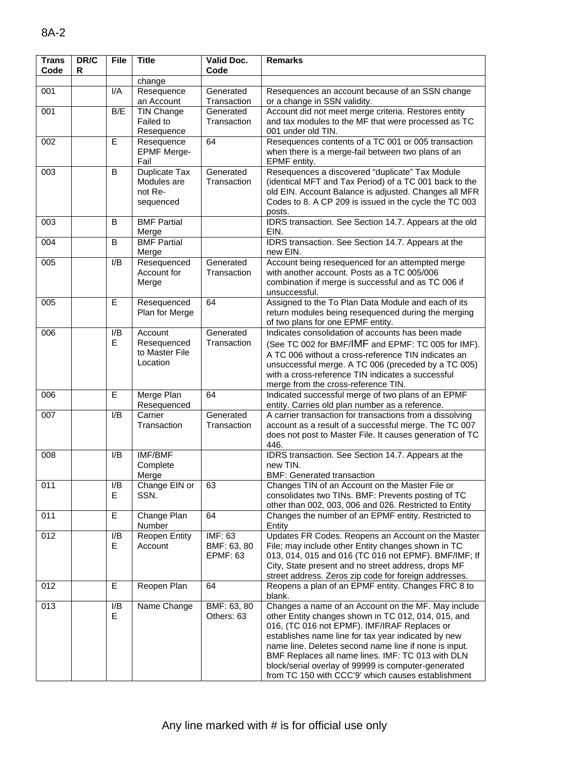| <b>Trans</b><br>Code | DR/C<br>R | <b>File</b>            | <b>Title</b>                                         | <b>Valid Doc.</b><br>Code                        | <b>Remarks</b>                                                                                                                                                                                                                                                                                                                                                                                                                               |
|----------------------|-----------|------------------------|------------------------------------------------------|--------------------------------------------------|----------------------------------------------------------------------------------------------------------------------------------------------------------------------------------------------------------------------------------------------------------------------------------------------------------------------------------------------------------------------------------------------------------------------------------------------|
|                      |           |                        | change                                               |                                                  |                                                                                                                                                                                                                                                                                                                                                                                                                                              |
| 001                  |           | I/A                    | Resequence<br>an Account                             | Generated<br>Transaction                         | Resequences an account because of an SSN change<br>or a change in SSN validity.                                                                                                                                                                                                                                                                                                                                                              |
| 001                  |           | B/E                    | TIN Change<br>Failed to<br>Resequence                | Generated<br>Transaction                         | Account did not meet merge criteria. Restores entity<br>and tax modules to the MF that were processed as TC<br>001 under old TIN.                                                                                                                                                                                                                                                                                                            |
| 002                  |           | E                      | Resequence<br><b>EPMF Merge-</b><br>Fail             | 64                                               | Resequences contents of a TC 001 or 005 transaction<br>when there is a merge-fail between two plans of an<br>EPMF entity.                                                                                                                                                                                                                                                                                                                    |
| 003                  |           | B                      | Duplicate Tax<br>Modules are<br>not Re-<br>sequenced | Generated<br>Transaction                         | Resequences a discovered "duplicate" Tax Module<br>(identical MFT and Tax Period) of a TC 001 back to the<br>old EIN. Account Balance is adjusted. Changes all MFR<br>Codes to 8. A CP 209 is issued in the cycle the TC 003<br>posts.                                                                                                                                                                                                       |
| 003                  |           | B                      | <b>BMF Partial</b><br>Merge                          |                                                  | IDRS transaction. See Section 14.7. Appears at the old<br>EIN.                                                                                                                                                                                                                                                                                                                                                                               |
| 004                  |           | B                      | <b>BMF</b> Partial<br>Merge                          |                                                  | IDRS transaction. See Section 14.7. Appears at the<br>new EIN.                                                                                                                                                                                                                                                                                                                                                                               |
| 005                  |           | I/B                    | Resequenced<br>Account for<br>Merge                  | Generated<br>Transaction                         | Account being resequenced for an attempted merge<br>with another account. Posts as a TC 005/006<br>combination if merge is successful and as TC 006 if<br>unsuccessful.                                                                                                                                                                                                                                                                      |
| 005                  |           | E                      | Resequenced<br>Plan for Merge                        | 64                                               | Assigned to the To Plan Data Module and each of its<br>return modules being resequenced during the merging<br>of two plans for one EPMF entity.                                                                                                                                                                                                                                                                                              |
| 006                  |           | I/B<br>E               | Account<br>Resequenced<br>to Master File<br>Location | Generated<br>Transaction                         | Indicates consolidation of accounts has been made<br>(See TC 002 for BMF/IMF and EPMF: TC 005 for IMF).<br>A TC 006 without a cross-reference TIN indicates an<br>unsuccessful merge. A TC 006 (preceded by a TC 005)<br>with a cross-reference TIN indicates a successful<br>merge from the cross-reference TIN.                                                                                                                            |
| 006                  |           | $\overline{E}$         | Merge Plan<br>Resequenced                            | 64                                               | Indicated successful merge of two plans of an EPMF<br>entity. Carries old plan number as a reference.                                                                                                                                                                                                                                                                                                                                        |
| 007                  |           | I/B                    | Carrier<br>Transaction                               | Generated<br>Transaction                         | A carrier transaction for transactions from a dissolving<br>account as a result of a successful merge. The TC 007<br>does not post to Master File. It causes generation of TC<br>446.                                                                                                                                                                                                                                                        |
| 008                  |           | I/B                    | <b>IMF/BMF</b><br>Complete<br>Merge                  |                                                  | IDRS transaction. See Section 14.7. Appears at the<br>new TIN.<br><b>BMF: Generated transaction</b>                                                                                                                                                                                                                                                                                                                                          |
| 011                  |           | $\overline{I/B}$<br>E. | Change EIN or<br>SSN.                                | 63                                               | Changes TIN of an Account on the Master File or<br>consolidates two TINs. BMF: Prevents posting of TC<br>other than 002, 003, 006 and 026. Restricted to Entity                                                                                                                                                                                                                                                                              |
| 011                  |           | E                      | Change Plan<br>Number                                | 64                                               | Changes the number of an EPMF entity. Restricted to<br>Entity                                                                                                                                                                                                                                                                                                                                                                                |
| 012                  |           | I/B<br>E.              | <b>Reopen Entity</b><br>Account                      | <b>IMF: 63</b><br>BMF: 63, 80<br><b>EPMF: 63</b> | Updates FR Codes. Reopens an Account on the Master<br>File; may include other Entity changes shown in TC<br>013, 014, 015 and 016 (TC 016 not EPMF). BMF/IMF; If<br>City, State present and no street address, drops MF<br>street address. Zeros zip code for foreign addresses.                                                                                                                                                             |
| 012                  |           | E                      | Reopen Plan                                          | 64                                               | Reopens a plan of an EPMF entity. Changes FRC 8 to<br>blank.                                                                                                                                                                                                                                                                                                                                                                                 |
| 013                  |           | I/B<br>E.              | Name Change                                          | BMF: 63, 80<br>Others: 63                        | Changes a name of an Account on the MF. May include<br>other Entity changes shown in TC 012, 014, 015, and<br>016, (TC 016 not EPMF). IMF/IRAF Replaces or<br>establishes name line for tax year indicated by new<br>name line. Deletes second name line if none is input.<br>BMF Replaces all name lines. IMF: TC 013 with DLN<br>block/serial overlay of 99999 is computer-generated<br>from TC 150 with CCC'9' which causes establishment |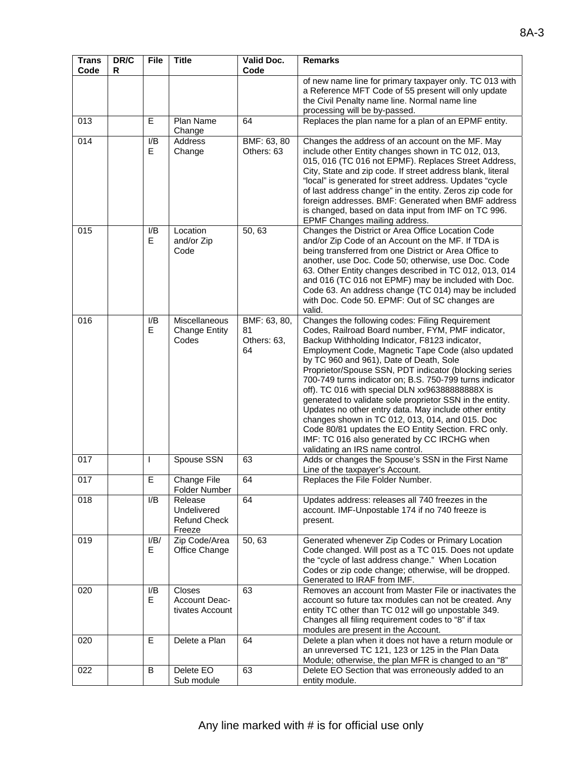| <b>Trans</b><br>Code | DR/C<br>R | <b>File</b> | <b>Title</b>                                            | Valid Doc.<br>Code                      | <b>Remarks</b>                                                                                                                                                                                                                                                                                                                                                                                                                                                                                                                                                                                                                                                                                                                                  |
|----------------------|-----------|-------------|---------------------------------------------------------|-----------------------------------------|-------------------------------------------------------------------------------------------------------------------------------------------------------------------------------------------------------------------------------------------------------------------------------------------------------------------------------------------------------------------------------------------------------------------------------------------------------------------------------------------------------------------------------------------------------------------------------------------------------------------------------------------------------------------------------------------------------------------------------------------------|
|                      |           |             |                                                         |                                         | of new name line for primary taxpayer only. TC 013 with<br>a Reference MFT Code of 55 present will only update<br>the Civil Penalty name line. Normal name line<br>processing will be by-passed.                                                                                                                                                                                                                                                                                                                                                                                                                                                                                                                                                |
| 013                  |           | E           | Plan Name<br>Change                                     | 64                                      | Replaces the plan name for a plan of an EPMF entity.                                                                                                                                                                                                                                                                                                                                                                                                                                                                                                                                                                                                                                                                                            |
| 014                  |           | I/B<br>E    | Address<br>Change                                       | BMF: 63, 80<br>Others: 63               | Changes the address of an account on the MF. May<br>include other Entity changes shown in TC 012, 013,<br>015, 016 (TC 016 not EPMF). Replaces Street Address,<br>City, State and zip code. If street address blank, literal<br>"local" is generated for street address. Updates "cycle<br>of last address change" in the entity. Zeros zip code for<br>foreign addresses. BMF: Generated when BMF address<br>is changed, based on data input from IMF on TC 996.<br>EPMF Changes mailing address.                                                                                                                                                                                                                                              |
| 015                  |           | I/B<br>E.   | Location<br>and/or Zip<br>Code                          | 50,63                                   | Changes the District or Area Office Location Code<br>and/or Zip Code of an Account on the MF. If TDA is<br>being transferred from one District or Area Office to<br>another, use Doc. Code 50; otherwise, use Doc. Code<br>63. Other Entity changes described in TC 012, 013, 014<br>and 016 (TC 016 not EPMF) may be included with Doc.<br>Code 63. An address change (TC 014) may be included<br>with Doc. Code 50. EPMF: Out of SC changes are<br>valid.                                                                                                                                                                                                                                                                                     |
| 016                  |           | I/B<br>E    | Miscellaneous<br><b>Change Entity</b><br>Codes          | BMF: 63, 80,<br>81<br>Others: 63,<br>64 | Changes the following codes: Filing Requirement<br>Codes, Railroad Board number, FYM, PMF indicator,<br>Backup Withholding Indicator, F8123 indicator,<br>Employment Code, Magnetic Tape Code (also updated<br>by TC 960 and 961), Date of Death, Sole<br>Proprietor/Spouse SSN, PDT indicator (blocking series<br>700-749 turns indicator on; B.S. 750-799 turns indicator<br>off). TC 016 with special DLN xx96388888888X is<br>generated to validate sole proprietor SSN in the entity.<br>Updates no other entry data. May include other entity<br>changes shown in TC 012, 013, 014, and 015. Doc<br>Code 80/81 updates the EO Entity Section. FRC only.<br>IMF: TC 016 also generated by CC IRCHG when<br>validating an IRS name control. |
| 017                  |           | I           | Spouse SSN                                              | 63                                      | Adds or changes the Spouse's SSN in the First Name<br>Line of the taxpayer's Account.                                                                                                                                                                                                                                                                                                                                                                                                                                                                                                                                                                                                                                                           |
| 017                  |           | Е           | Change File<br>Folder Number                            | 64                                      | Replaces the File Folder Number.                                                                                                                                                                                                                                                                                                                                                                                                                                                                                                                                                                                                                                                                                                                |
| 018                  |           | I/B         | Release<br>Undelivered<br><b>Refund Check</b><br>Freeze | 64                                      | Updates address: releases all 740 freezes in the<br>account. IMF-Unpostable 174 if no 740 freeze is<br>present.                                                                                                                                                                                                                                                                                                                                                                                                                                                                                                                                                                                                                                 |
| 019                  |           | I/B/<br>E.  | Zip Code/Area<br>Office Change                          | 50, 63                                  | Generated whenever Zip Codes or Primary Location<br>Code changed. Will post as a TC 015. Does not update<br>the "cycle of last address change." When Location<br>Codes or zip code change; otherwise, will be dropped.<br>Generated to IRAF from IMF.                                                                                                                                                                                                                                                                                                                                                                                                                                                                                           |
| 020                  |           | I/B<br>E.   | Closes<br>Account Deac-<br>tivates Account              | 63                                      | Removes an account from Master File or inactivates the<br>account so future tax modules can not be created. Any<br>entity TC other than TC 012 will go unpostable 349.<br>Changes all filing requirement codes to "8" if tax<br>modules are present in the Account.                                                                                                                                                                                                                                                                                                                                                                                                                                                                             |
| 020                  |           | E           | Delete a Plan                                           | 64                                      | Delete a plan when it does not have a return module or<br>an unreversed TC 121, 123 or 125 in the Plan Data<br>Module; otherwise, the plan MFR is changed to an "8"                                                                                                                                                                                                                                                                                                                                                                                                                                                                                                                                                                             |
| 022                  |           | В           | Delete EO<br>Sub module                                 | 63                                      | Delete EO Section that was erroneously added to an<br>entity module.                                                                                                                                                                                                                                                                                                                                                                                                                                                                                                                                                                                                                                                                            |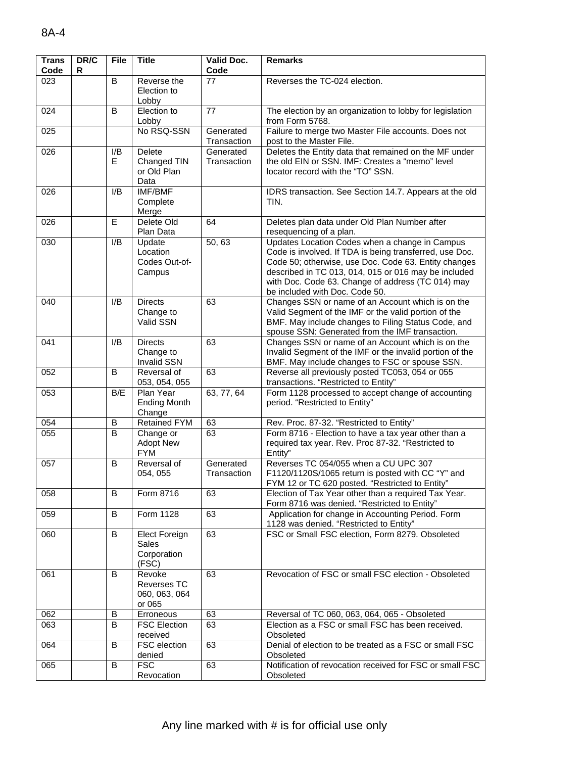| <b>Trans</b><br>Code | DR/C<br>R | <b>File</b> | <b>Title</b>                                            | Valid Doc.<br>Code       | <b>Remarks</b>                                                                                                                                                                                                                                                                                                   |
|----------------------|-----------|-------------|---------------------------------------------------------|--------------------------|------------------------------------------------------------------------------------------------------------------------------------------------------------------------------------------------------------------------------------------------------------------------------------------------------------------|
| 023                  |           | B           | Reverse the<br>Election to<br>Lobby                     | 77                       | Reverses the TC-024 election.                                                                                                                                                                                                                                                                                    |
| 024                  |           | B           | Election to<br>Lobby                                    | 77                       | The election by an organization to lobby for legislation<br>from Form 5768.                                                                                                                                                                                                                                      |
| 025                  |           |             | No RSQ-SSN                                              | Generated<br>Transaction | Failure to merge two Master File accounts. Does not<br>post to the Master File.                                                                                                                                                                                                                                  |
| 026                  |           | I/B<br>Е    | Delete<br>Changed TIN<br>or Old Plan<br>Data            | Generated<br>Transaction | Deletes the Entity data that remained on the MF under<br>the old EIN or SSN. IMF: Creates a "memo" level<br>locator record with the "TO" SSN.                                                                                                                                                                    |
| 026                  |           | I/B         | <b>IMF/BMF</b><br>Complete<br>Merge                     |                          | IDRS transaction. See Section 14.7. Appears at the old<br>TIN.                                                                                                                                                                                                                                                   |
| 026                  |           | E           | Delete Old<br>Plan Data                                 | 64                       | Deletes plan data under Old Plan Number after<br>resequencing of a plan.                                                                                                                                                                                                                                         |
| 030                  |           | I/B         | Update<br>Location<br>Codes Out-of-<br>Campus           | 50, 63                   | Updates Location Codes when a change in Campus<br>Code is involved. If TDA is being transferred, use Doc.<br>Code 50; otherwise, use Doc. Code 63. Entity changes<br>described in TC 013, 014, 015 or 016 may be included<br>with Doc. Code 63. Change of address (TC 014) may<br>be included with Doc. Code 50. |
| 040                  |           | I/B         | <b>Directs</b><br>Change to<br>Valid SSN                | 63                       | Changes SSN or name of an Account which is on the<br>Valid Segment of the IMF or the valid portion of the<br>BMF. May include changes to Filing Status Code, and<br>spouse SSN: Generated from the IMF transaction.                                                                                              |
| 041                  |           | I/B         | <b>Directs</b><br>Change to<br><b>Invalid SSN</b>       | 63                       | Changes SSN or name of an Account which is on the<br>Invalid Segment of the IMF or the invalid portion of the<br>BMF. May include changes to FSC or spouse SSN.                                                                                                                                                  |
| 052                  |           | B           | Reversal of<br>053, 054, 055                            | 63                       | Reverse all previously posted TC053, 054 or 055<br>transactions. "Restricted to Entity"                                                                                                                                                                                                                          |
| 053                  |           | B/E         | Plan Year<br><b>Ending Month</b><br>Change              | 63, 77, 64               | Form 1128 processed to accept change of accounting<br>period. "Restricted to Entity"                                                                                                                                                                                                                             |
| 054                  |           | В           | <b>Retained FYM</b>                                     | 63                       | Rev. Proc. 87-32. "Restricted to Entity"                                                                                                                                                                                                                                                                         |
| 055                  |           | B           | Change or<br><b>Adopt New</b><br><b>FYM</b>             | 63                       | Form 8716 - Election to have a tax year other than a<br>required tax year. Rev. Proc 87-32. "Restricted to<br>Entity"                                                                                                                                                                                            |
| 057                  |           | B           | Reversal of<br>054, 055                                 | Generated<br>Transaction | Reverses TC 054/055 when a CU UPC 307<br>F1120/1120S/1065 return is posted with CC "Y" and<br>FYM 12 or TC 620 posted. "Restricted to Entity"                                                                                                                                                                    |
| 058                  |           | B           | Form 8716                                               | 63                       | Election of Tax Year other than a required Tax Year.<br>Form 8716 was denied. "Restricted to Entity"                                                                                                                                                                                                             |
| 059                  |           | B           | Form 1128                                               | 63                       | Application for change in Accounting Period. Form<br>1128 was denied. "Restricted to Entity"                                                                                                                                                                                                                     |
| 060                  |           | B           | <b>Elect Foreign</b><br>Sales<br>Corporation<br>(FSC)   | 63                       | FSC or Small FSC election, Form 8279. Obsoleted                                                                                                                                                                                                                                                                  |
| 061                  |           | B           | Revoke<br><b>Reverses TC</b><br>060, 063, 064<br>or 065 | 63                       | Revocation of FSC or small FSC election - Obsoleted                                                                                                                                                                                                                                                              |
| 062                  |           | B           | Erroneous                                               | 63                       | Reversal of TC 060, 063, 064, 065 - Obsoleted                                                                                                                                                                                                                                                                    |
| 063                  |           | B           | <b>FSC Election</b><br>received                         | 63                       | Election as a FSC or small FSC has been received.<br>Obsoleted                                                                                                                                                                                                                                                   |
| 064                  |           | B           | <b>FSC</b> election<br>denied                           | 63                       | Denial of election to be treated as a FSC or small FSC<br>Obsoleted                                                                                                                                                                                                                                              |
| 065                  |           | B           | <b>FSC</b><br>Revocation                                | 63                       | Notification of revocation received for FSC or small FSC<br>Obsoleted                                                                                                                                                                                                                                            |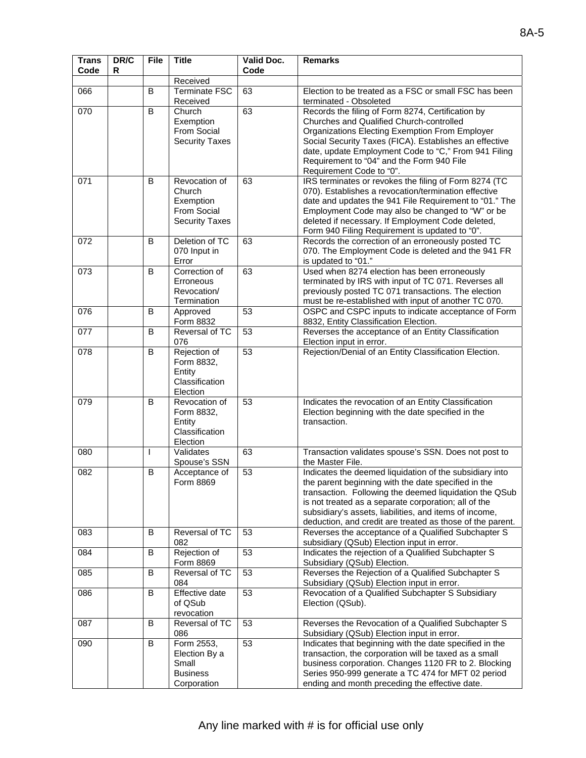| <b>Trans</b><br>Code | DR/C<br>R | <b>File</b> | <b>Title</b>                                                                 | Valid Doc.<br>Code | <b>Remarks</b>                                                                                                                                                                                                                                                                                                                                          |
|----------------------|-----------|-------------|------------------------------------------------------------------------------|--------------------|---------------------------------------------------------------------------------------------------------------------------------------------------------------------------------------------------------------------------------------------------------------------------------------------------------------------------------------------------------|
|                      |           |             | Received                                                                     |                    |                                                                                                                                                                                                                                                                                                                                                         |
| 066                  |           | B           | <b>Terminate FSC</b><br>Received                                             | 63                 | Election to be treated as a FSC or small FSC has been<br>terminated - Obsoleted                                                                                                                                                                                                                                                                         |
| 070                  |           | B           | Church<br>Exemption<br>From Social<br><b>Security Taxes</b>                  | 63                 | Records the filing of Form 8274, Certification by<br>Churches and Qualified Church-controlled<br>Organizations Electing Exemption From Employer<br>Social Security Taxes (FICA). Establishes an effective<br>date, update Employment Code to "C," From 941 Filing<br>Requirement to "04" and the Form 940 File<br>Requirement Code to "0".              |
| 071                  |           | B           | Revocation of<br>Church<br>Exemption<br>From Social<br><b>Security Taxes</b> | 63                 | IRS terminates or revokes the filing of Form 8274 (TC<br>070). Establishes a revocation/termination effective<br>date and updates the 941 File Requirement to "01." The<br>Employment Code may also be changed to "W" or be<br>deleted if necessary. If Employment Code deleted,<br>Form 940 Filing Requirement is updated to "0".                      |
| 072                  |           | B           | Deletion of TC<br>070 Input in<br>Error                                      | 63                 | Records the correction of an erroneously posted TC<br>070. The Employment Code is deleted and the 941 FR<br>is updated to "01."                                                                                                                                                                                                                         |
| 073                  |           | B           | Correction of<br>Erroneous<br>Revocation/<br>Termination                     | 63                 | Used when 8274 election has been erroneously<br>terminated by IRS with input of TC 071. Reverses all<br>previously posted TC 071 transactions. The election<br>must be re-established with input of another TC 070.                                                                                                                                     |
| 076                  |           | B           | Approved<br>Form 8832                                                        | 53                 | OSPC and CSPC inputs to indicate acceptance of Form<br>8832, Entity Classification Election.                                                                                                                                                                                                                                                            |
| 077                  |           | B           | Reversal of TC<br>076                                                        | 53                 | Reverses the acceptance of an Entity Classification<br>Election input in error.                                                                                                                                                                                                                                                                         |
| $\overline{078}$     |           | B           | Rejection of<br>Form 8832,<br>Entity<br>Classification<br>Election           | 53                 | Rejection/Denial of an Entity Classification Election.                                                                                                                                                                                                                                                                                                  |
| 079                  |           | B           | Revocation of<br>Form 8832,<br>Entity<br>Classification<br>Election          | 53                 | Indicates the revocation of an Entity Classification<br>Election beginning with the date specified in the<br>transaction.                                                                                                                                                                                                                               |
| 080                  |           | L           | Validates<br>Spouse's SSN                                                    | 63                 | Transaction validates spouse's SSN. Does not post to<br>the Master File.                                                                                                                                                                                                                                                                                |
| 082                  |           | B           | Acceptance of<br>Form 8869                                                   | 53                 | Indicates the deemed liquidation of the subsidiary into<br>the parent beginning with the date specified in the<br>transaction. Following the deemed liquidation the QSub<br>is not treated as a separate corporation; all of the<br>subsidiary's assets, liabilities, and items of income,<br>deduction, and credit are treated as those of the parent. |
| 083                  |           | B           | Reversal of TC<br>082                                                        | 53                 | Reverses the acceptance of a Qualified Subchapter S<br>subsidiary (QSub) Election input in error.                                                                                                                                                                                                                                                       |
| 084                  |           | B           | Rejection of<br>Form 8869                                                    | 53                 | Indicates the rejection of a Qualified Subchapter S<br>Subsidiary (QSub) Election.                                                                                                                                                                                                                                                                      |
| 085                  |           | В           | Reversal of TC<br>084                                                        | 53                 | Reverses the Rejection of a Qualified Subchapter S<br>Subsidiary (QSub) Election input in error.                                                                                                                                                                                                                                                        |
| 086                  |           | B           | <b>Effective date</b><br>of QSub<br>revocation                               | 53                 | Revocation of a Qualified Subchapter S Subsidiary<br>Election (QSub).                                                                                                                                                                                                                                                                                   |
| 087                  |           | В           | Reversal of TC<br>086                                                        | 53                 | Reverses the Revocation of a Qualified Subchapter S<br>Subsidiary (QSub) Election input in error.                                                                                                                                                                                                                                                       |
| 090                  |           | B           | Form 2553,<br>Election By a<br>Small<br><b>Business</b><br>Corporation       | 53                 | Indicates that beginning with the date specified in the<br>transaction, the corporation will be taxed as a small<br>business corporation. Changes 1120 FR to 2. Blocking<br>Series 950-999 generate a TC 474 for MFT 02 period<br>ending and month preceding the effective date.                                                                        |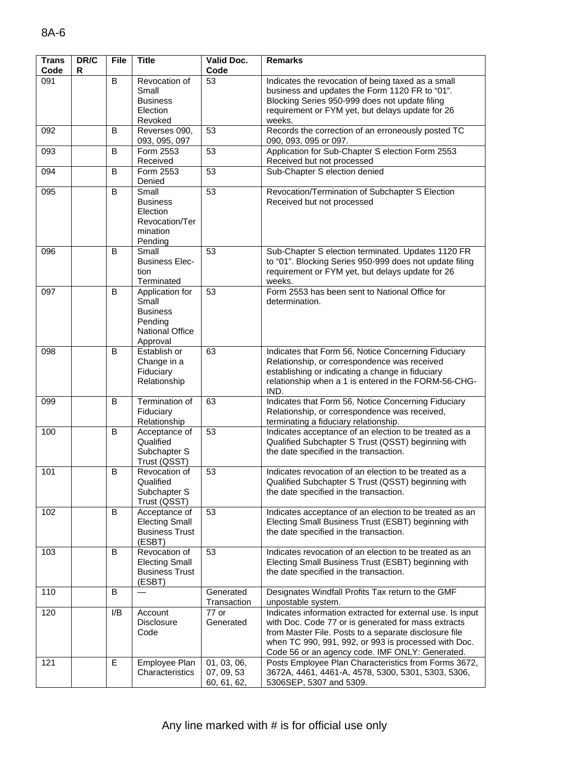| <b>Trans</b><br>Code | DR/C<br>R | <b>File</b> | <b>Title</b>                                                                          | Valid Doc.<br>Code                       | <b>Remarks</b>                                                                                                                                                                                                                                                                        |
|----------------------|-----------|-------------|---------------------------------------------------------------------------------------|------------------------------------------|---------------------------------------------------------------------------------------------------------------------------------------------------------------------------------------------------------------------------------------------------------------------------------------|
| 091                  |           | B           | Revocation of<br>Small<br><b>Business</b><br>Election<br>Revoked                      | 53                                       | Indicates the revocation of being taxed as a small<br>business and updates the Form 1120 FR to "01".<br>Blocking Series 950-999 does not update filing<br>requirement or FYM yet, but delays update for 26<br>weeks.                                                                  |
| 092                  |           | B           | Reverses 090,<br>093, 095, 097                                                        | 53                                       | Records the correction of an erroneously posted TC<br>090, 093, 095 or 097.                                                                                                                                                                                                           |
| 093                  |           | B           | Form 2553<br>Received                                                                 | 53                                       | Application for Sub-Chapter S election Form 2553<br>Received but not processed                                                                                                                                                                                                        |
| 094                  |           | B           | Form 2553<br>Denied                                                                   | 53                                       | Sub-Chapter S election denied                                                                                                                                                                                                                                                         |
| 095                  |           | B           | Small<br><b>Business</b><br>Election<br>Revocation/Ter<br>mination<br>Pending         | 53                                       | Revocation/Termination of Subchapter S Election<br>Received but not processed                                                                                                                                                                                                         |
| 096                  |           | B           | Small<br><b>Business Elec-</b><br>tion<br>Terminated                                  | 53                                       | Sub-Chapter S election terminated. Updates 1120 FR<br>to "01". Blocking Series 950-999 does not update filing<br>requirement or FYM yet, but delays update for 26<br>weeks.                                                                                                           |
| 097                  |           | B           | Application for<br>Small<br><b>Business</b><br>Pending<br>National Office<br>Approval | 53                                       | Form 2553 has been sent to National Office for<br>determination.                                                                                                                                                                                                                      |
| 098                  |           | B           | Establish or<br>Change in a<br>Fiduciary<br>Relationship                              | 63                                       | Indicates that Form 56, Notice Concerning Fiduciary<br>Relationship, or correspondence was received<br>establishing or indicating a change in fiduciary<br>relationship when a 1 is entered in the FORM-56-CHG-<br>IND.                                                               |
| 099                  |           | B           | Termination of<br>Fiduciary<br>Relationship                                           | 63                                       | Indicates that Form 56, Notice Concerning Fiduciary<br>Relationship, or correspondence was received,<br>terminating a fiduciary relationship.                                                                                                                                         |
| 100                  |           | B           | Acceptance of<br>Qualified<br>Subchapter S<br>Trust (QSST)                            | 53                                       | Indicates acceptance of an election to be treated as a<br>Qualified Subchapter S Trust (QSST) beginning with<br>the date specified in the transaction.                                                                                                                                |
| 101                  |           | B           | Revocation of<br>Qualified<br>Subchapter S<br>Trust (QSST)                            | 53                                       | Indicates revocation of an election to be treated as a<br>Qualified Subchapter S Trust (QSST) beginning with<br>the date specified in the transaction.                                                                                                                                |
| 102                  |           | B           | Acceptance of<br><b>Electing Small</b><br><b>Business Trust</b><br>(ESBT)             | 53                                       | Indicates acceptance of an election to be treated as an<br>Electing Small Business Trust (ESBT) beginning with<br>the date specified in the transaction.                                                                                                                              |
| 103                  |           | B           | Revocation of<br><b>Electing Small</b><br><b>Business Trust</b><br>(ESBT)             | 53                                       | Indicates revocation of an election to be treated as an<br>Electing Small Business Trust (ESBT) beginning with<br>the date specified in the transaction.                                                                                                                              |
| 110                  |           | B           |                                                                                       | Generated<br>Transaction                 | Designates Windfall Profits Tax return to the GMF<br>unpostable system.                                                                                                                                                                                                               |
| 120                  |           | I/B         | Account<br><b>Disclosure</b><br>Code                                                  | 77 or<br>Generated                       | Indicates information extracted for external use. Is input<br>with Doc. Code 77 or is generated for mass extracts<br>from Master File. Posts to a separate disclosure file<br>when TC 990, 991, 992, or 993 is processed with Doc.<br>Code 56 or an agency code. IMF ONLY: Generated. |
| 121                  |           | E           | Employee Plan<br>Characteristics                                                      | 01, 03, 06,<br>07, 09, 53<br>60, 61, 62, | Posts Employee Plan Characteristics from Forms 3672,<br>3672A, 4461, 4461-A, 4578, 5300, 5301, 5303, 5306,<br>5306SEP, 5307 and 5309.                                                                                                                                                 |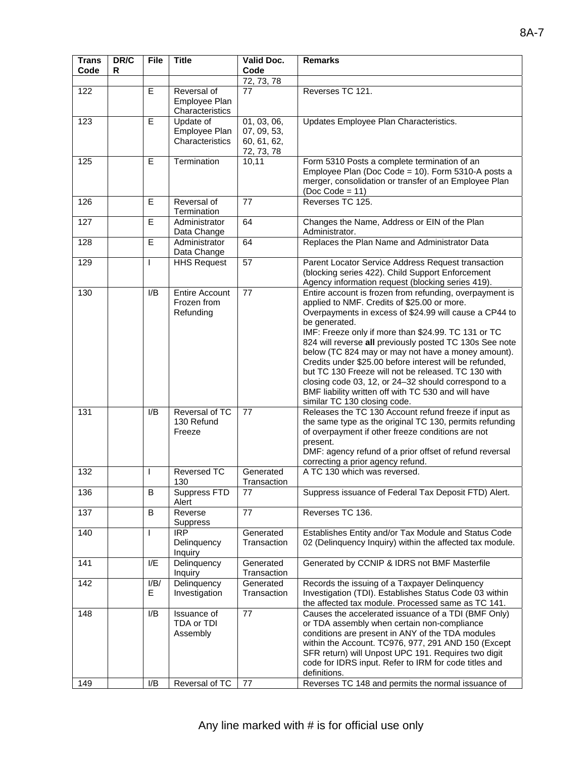| <b>Trans</b><br>Code | DR/C<br>R | <b>File</b>    | <b>Title</b>                                      | Valid Doc.<br>Code                                      | <b>Remarks</b>                                                                                                                                                                                                                                                                                                                                                                                                                                                                                                                                                                                                             |
|----------------------|-----------|----------------|---------------------------------------------------|---------------------------------------------------------|----------------------------------------------------------------------------------------------------------------------------------------------------------------------------------------------------------------------------------------------------------------------------------------------------------------------------------------------------------------------------------------------------------------------------------------------------------------------------------------------------------------------------------------------------------------------------------------------------------------------------|
|                      |           |                |                                                   | 72, 73, 78                                              |                                                                                                                                                                                                                                                                                                                                                                                                                                                                                                                                                                                                                            |
| 122                  |           | E              | Reversal of<br>Employee Plan<br>Characteristics   | 77                                                      | Reverses TC 121.                                                                                                                                                                                                                                                                                                                                                                                                                                                                                                                                                                                                           |
| 123                  |           | E              | Update of<br>Employee Plan<br>Characteristics     | 01, 03, 06,<br>07, 09, 53,<br>60, 61, 62,<br>72, 73, 78 | Updates Employee Plan Characteristics.                                                                                                                                                                                                                                                                                                                                                                                                                                                                                                                                                                                     |
| 125                  |           | $\mathsf E$    | Termination                                       | 10,11                                                   | Form 5310 Posts a complete termination of an<br>Employee Plan (Doc Code = 10). Form 5310-A posts a<br>merger, consolidation or transfer of an Employee Plan<br>$(Doc Code = 11)$                                                                                                                                                                                                                                                                                                                                                                                                                                           |
| 126                  |           | E              | Reversal of<br>Termination                        | 77                                                      | Reverses TC 125.                                                                                                                                                                                                                                                                                                                                                                                                                                                                                                                                                                                                           |
| 127                  |           | $\overline{E}$ | Administrator<br>Data Change                      | 64                                                      | Changes the Name, Address or EIN of the Plan<br>Administrator.                                                                                                                                                                                                                                                                                                                                                                                                                                                                                                                                                             |
| 128                  |           | $\mathsf E$    | Administrator<br>Data Change                      | 64                                                      | Replaces the Plan Name and Administrator Data                                                                                                                                                                                                                                                                                                                                                                                                                                                                                                                                                                              |
| 129                  |           | $\mathbf{I}$   | <b>HHS Request</b>                                | 57                                                      | Parent Locator Service Address Request transaction<br>(blocking series 422). Child Support Enforcement<br>Agency information request (blocking series 419).                                                                                                                                                                                                                                                                                                                                                                                                                                                                |
| 130                  |           | I/B            | <b>Entire Account</b><br>Frozen from<br>Refunding | 77                                                      | Entire account is frozen from refunding, overpayment is<br>applied to NMF. Credits of \$25.00 or more.<br>Overpayments in excess of \$24.99 will cause a CP44 to<br>be generated.<br>IMF: Freeze only if more than \$24.99. TC 131 or TC<br>824 will reverse all previously posted TC 130s See note<br>below (TC 824 may or may not have a money amount).<br>Credits under \$25.00 before interest will be refunded,<br>but TC 130 Freeze will not be released. TC 130 with<br>closing code 03, 12, or 24-32 should correspond to a<br>BMF liability written off with TC 530 and will have<br>similar TC 130 closing code. |
| 131                  |           | I/B            | Reversal of TC<br>130 Refund<br>Freeze            | 77                                                      | Releases the TC 130 Account refund freeze if input as<br>the same type as the original TC 130, permits refunding<br>of overpayment if other freeze conditions are not<br>present.<br>DMF: agency refund of a prior offset of refund reversal<br>correcting a prior agency refund.                                                                                                                                                                                                                                                                                                                                          |
| 132                  |           | $\mathbf{I}$   | Reversed TC<br>130                                | Generated<br>Transaction                                | A TC 130 which was reversed.                                                                                                                                                                                                                                                                                                                                                                                                                                                                                                                                                                                               |
| 136                  |           | $\sf B$        | Suppress FTD<br>Alert                             | 77                                                      | Suppress issuance of Federal Tax Deposit FTD) Alert.                                                                                                                                                                                                                                                                                                                                                                                                                                                                                                                                                                       |
| 137                  |           | B              | Reverse<br>Suppress                               | 77                                                      | Reverses TC 136.                                                                                                                                                                                                                                                                                                                                                                                                                                                                                                                                                                                                           |
| 140                  |           | $\mathsf{I}$   | <b>IRP</b><br>Delinquency<br>Inquiry              | Generated<br>Transaction                                | Establishes Entity and/or Tax Module and Status Code<br>02 (Delinquency Inquiry) within the affected tax module.                                                                                                                                                                                                                                                                                                                                                                                                                                                                                                           |
| 141                  |           | I/E            | Delinquency<br>Inquiry                            | Generated<br>Transaction                                | Generated by CCNIP & IDRS not BMF Masterfile                                                                                                                                                                                                                                                                                                                                                                                                                                                                                                                                                                               |
| 142                  |           | I/B/<br>Е      | Delinquency<br>Investigation                      | Generated<br>Transaction                                | Records the issuing of a Taxpayer Delinquency<br>Investigation (TDI). Establishes Status Code 03 within<br>the affected tax module. Processed same as TC 141.                                                                                                                                                                                                                                                                                                                                                                                                                                                              |
| 148                  |           | I/B            | Issuance of<br>TDA or TDI<br>Assembly             | 77                                                      | Causes the accelerated issuance of a TDI (BMF Only)<br>or TDA assembly when certain non-compliance<br>conditions are present in ANY of the TDA modules<br>within the Account. TC976, 977, 291 AND 150 (Except<br>SFR return) will Unpost UPC 191. Requires two digit<br>code for IDRS input. Refer to IRM for code titles and<br>definitions.                                                                                                                                                                                                                                                                              |
| 149                  |           | I/B            | Reversal of TC                                    | 77                                                      | Reverses TC 148 and permits the normal issuance of                                                                                                                                                                                                                                                                                                                                                                                                                                                                                                                                                                         |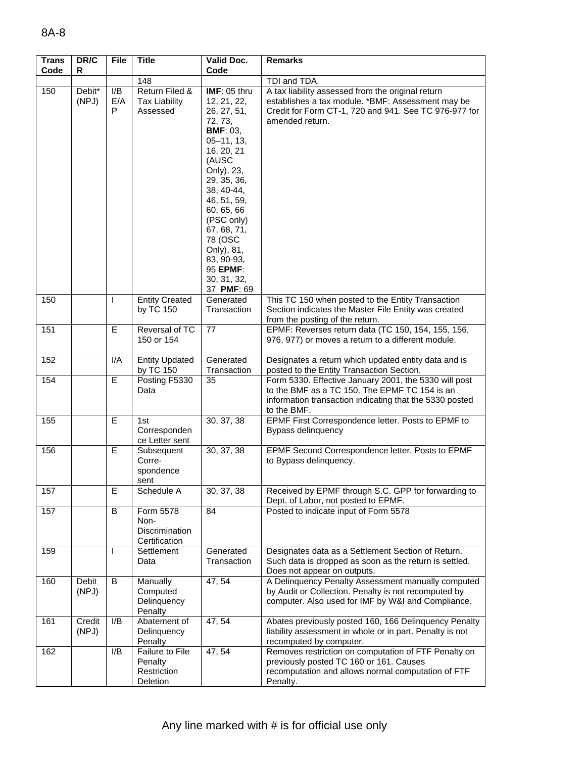| <b>Trans</b><br>Code | DR/C<br>R       | <b>File</b>     | <b>Title</b>                                          | Valid Doc.<br>Code                                                                                                                                                                                                                                                                                     | <b>Remarks</b>                                                                                                                                                                     |
|----------------------|-----------------|-----------------|-------------------------------------------------------|--------------------------------------------------------------------------------------------------------------------------------------------------------------------------------------------------------------------------------------------------------------------------------------------------------|------------------------------------------------------------------------------------------------------------------------------------------------------------------------------------|
|                      |                 |                 | 148                                                   |                                                                                                                                                                                                                                                                                                        | TDI and TDA.                                                                                                                                                                       |
| 150                  | Debit*<br>(NPJ) | I/B<br>E/A<br>P | Return Filed &<br><b>Tax Liability</b><br>Assessed    | IMF: 05 thru<br>12, 21, 22,<br>26, 27, 51,<br>72, 73,<br><b>BMF: 03,</b><br>$05 - 11, 13,$<br>16, 20, 21<br>(AUSC<br>Only), 23,<br>29, 35, 36,<br>38, 40-44,<br>46, 51, 59,<br>60, 65, 66<br>(PSC only)<br>67, 68, 71,<br>78 (OSC<br>Only), 81,<br>83, 90-93,<br>95 EPMF:<br>30, 31, 32,<br>37 PMF: 69 | A tax liability assessed from the original return<br>establishes a tax module. *BMF: Assessment may be<br>Credit for Form CT-1, 720 and 941. See TC 976-977 for<br>amended return. |
| 150                  |                 | ı               | <b>Entity Created</b><br>by TC 150                    | Generated<br>Transaction                                                                                                                                                                                                                                                                               | This TC 150 when posted to the Entity Transaction<br>Section indicates the Master File Entity was created<br>from the posting of the return.                                       |
| 151                  |                 | E               | Reversal of TC<br>150 or 154                          | 77                                                                                                                                                                                                                                                                                                     | EPMF: Reverses return data (TC 150, 154, 155, 156,<br>976, 977) or moves a return to a different module.                                                                           |
| 152                  |                 | I/A             | <b>Entity Updated</b><br>by TC 150                    | Generated<br>Transaction                                                                                                                                                                                                                                                                               | Designates a return which updated entity data and is<br>posted to the Entity Transaction Section.                                                                                  |
| 154                  |                 | E               | Posting F5330<br>Data                                 | 35                                                                                                                                                                                                                                                                                                     | Form 5330. Effective January 2001, the 5330 will post<br>to the BMF as a TC 150. The EPMF TC 154 is an<br>information transaction indicating that the 5330 posted<br>to the BMF.   |
| 155                  |                 | E               | 1st<br>Corresponden<br>ce Letter sent                 | 30, 37, 38                                                                                                                                                                                                                                                                                             | EPMF First Correspondence letter. Posts to EPMF to<br>Bypass delinquency                                                                                                           |
| 156                  |                 | E               | Subsequent<br>Corre-<br>spondence<br>sent             | 30, 37, 38                                                                                                                                                                                                                                                                                             | EPMF Second Correspondence letter. Posts to EPMF<br>to Bypass delinquency.                                                                                                         |
| 157                  |                 | E               | Schedule A                                            | 30, 37, 38                                                                                                                                                                                                                                                                                             | Received by EPMF through S.C. GPP for forwarding to<br>Dept. of Labor, not posted to EPMF.                                                                                         |
| 157                  |                 | B               | Form 5578<br>Non-<br>Discrimination<br>Certification  | 84                                                                                                                                                                                                                                                                                                     | Posted to indicate input of Form 5578                                                                                                                                              |
| 159                  |                 | I.              | Settlement<br>Data                                    | Generated<br>Transaction                                                                                                                                                                                                                                                                               | Designates data as a Settlement Section of Return.<br>Such data is dropped as soon as the return is settled.<br>Does not appear on outputs.                                        |
| 160                  | Debit<br>(NPJ)  | B               | Manually<br>Computed<br>Delinquency<br>Penalty        | 47, 54                                                                                                                                                                                                                                                                                                 | A Delinquency Penalty Assessment manually computed<br>by Audit or Collection. Penalty is not recomputed by<br>computer. Also used for IMF by W&I and Compliance.                   |
| 161                  | Credit<br>(NPJ) | I/B             | Abatement of<br>Delinquency<br>Penalty                | 47, 54                                                                                                                                                                                                                                                                                                 | Abates previously posted 160, 166 Delinquency Penalty<br>liability assessment in whole or in part. Penalty is not<br>recomputed by computer.                                       |
| 162                  |                 | I/B             | Failure to File<br>Penalty<br>Restriction<br>Deletion | 47, 54                                                                                                                                                                                                                                                                                                 | Removes restriction on computation of FTF Penalty on<br>previously posted TC 160 or 161. Causes<br>recomputation and allows normal computation of FTF<br>Penalty.                  |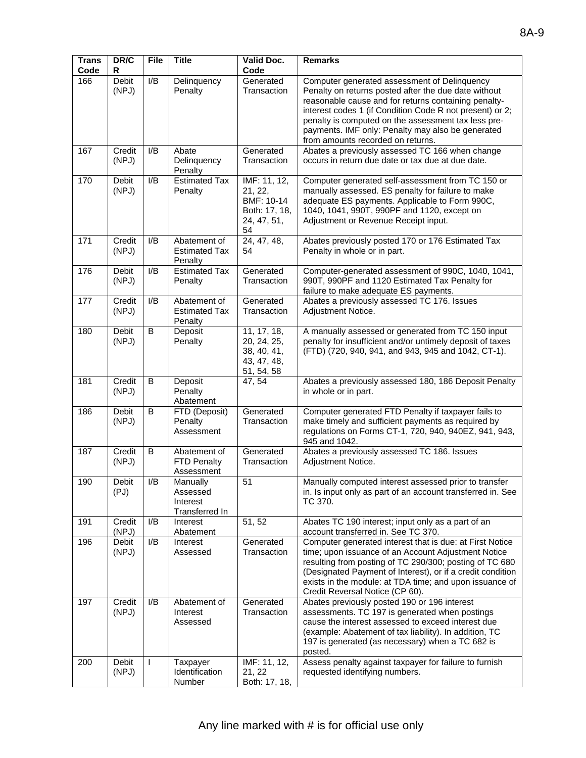| <b>Trans</b><br>Code | DR/C<br>R       | File         | <b>Title</b>                                       | Valid Doc.<br>Code                                                          | <b>Remarks</b>                                                                                                                                                                                                                                                                                                                                                            |
|----------------------|-----------------|--------------|----------------------------------------------------|-----------------------------------------------------------------------------|---------------------------------------------------------------------------------------------------------------------------------------------------------------------------------------------------------------------------------------------------------------------------------------------------------------------------------------------------------------------------|
| 166                  | Debit<br>(NPJ)  | I/B          | Delinquency<br>Penalty                             | Generated<br>Transaction                                                    | Computer generated assessment of Delinquency<br>Penalty on returns posted after the due date without<br>reasonable cause and for returns containing penalty-<br>interest codes 1 (if Condition Code R not present) or 2;<br>penalty is computed on the assessment tax less pre-<br>payments. IMF only: Penalty may also be generated<br>from amounts recorded on returns. |
| 167                  | Credit<br>(NPJ) | I/B          | Abate<br>Delinquency<br>Penalty                    | Generated<br>Transaction                                                    | Abates a previously assessed TC 166 when change<br>occurs in return due date or tax due at due date.                                                                                                                                                                                                                                                                      |
| 170                  | Debit<br>(NPJ)  | I/B          | <b>Estimated Tax</b><br>Penalty                    | IMF: 11, 12,<br>21, 22,<br>BMF: 10-14<br>Both: 17, 18,<br>24, 47, 51,<br>54 | Computer generated self-assessment from TC 150 or<br>manually assessed. ES penalty for failure to make<br>adequate ES payments. Applicable to Form 990C,<br>1040, 1041, 990T, 990PF and 1120, except on<br>Adjustment or Revenue Receipt input.                                                                                                                           |
| 171                  | Credit<br>(NPJ) | I/B          | Abatement of<br><b>Estimated Tax</b><br>Penalty    | 24, 47, 48,<br>54                                                           | Abates previously posted 170 or 176 Estimated Tax<br>Penalty in whole or in part.                                                                                                                                                                                                                                                                                         |
| 176                  | Debit<br>(NPJ)  | I/B          | Estimated Tax<br>Penalty                           | Generated<br>Transaction                                                    | Computer-generated assessment of 990C, 1040, 1041,<br>990T, 990PF and 1120 Estimated Tax Penalty for<br>failure to make adequate ES payments.                                                                                                                                                                                                                             |
| 177                  | Credit<br>(NPJ) | I/B          | Abatement of<br><b>Estimated Tax</b><br>Penalty    | Generated<br>Transaction                                                    | Abates a previously assessed TC 176. Issues<br>Adjustment Notice.                                                                                                                                                                                                                                                                                                         |
| 180                  | Debit<br>(NPJ)  | B            | Deposit<br>Penalty                                 | 11, 17, 18,<br>20, 24, 25,<br>38, 40, 41,<br>43, 47, 48,<br>51, 54, 58      | A manually assessed or generated from TC 150 input<br>penalty for insufficient and/or untimely deposit of taxes<br>(FTD) (720, 940, 941, and 943, 945 and 1042, CT-1).                                                                                                                                                                                                    |
| 181                  | Credit<br>(NPJ) | B            | Deposit<br>Penalty<br>Abatement                    | 47, 54                                                                      | Abates a previously assessed 180, 186 Deposit Penalty<br>in whole or in part.                                                                                                                                                                                                                                                                                             |
| 186                  | Debit<br>(NPJ)  | B            | FTD (Deposit)<br>Penalty<br>Assessment             | Generated<br>Transaction                                                    | Computer generated FTD Penalty if taxpayer fails to<br>make timely and sufficient payments as required by<br>regulations on Forms CT-1, 720, 940, 940EZ, 941, 943,<br>945 and 1042.                                                                                                                                                                                       |
| 187                  | Credit<br>(NPJ) | B            | Abatement of<br>FTD Penalty<br>Assessment          | Generated<br>Transaction                                                    | Abates a previously assessed TC 186. Issues<br>Adjustment Notice.                                                                                                                                                                                                                                                                                                         |
| 190                  | Debit<br>(PJ)   | I/B          | Manually<br>Assessed<br>Interest<br>Transferred In | 51                                                                          | Manually computed interest assessed prior to transfer<br>in. Is input only as part of an account transferred in. See<br>TC 370.                                                                                                                                                                                                                                           |
| 191                  | Credit<br>(NPJ) | I/B          | Interest<br>Abatement                              | 51, 52                                                                      | Abates TC 190 interest; input only as a part of an<br>account transferred in. See TC 370.                                                                                                                                                                                                                                                                                 |
| 196                  | Debit<br>(NPJ)  | I/B          | Interest<br>Assessed                               | Generated<br>Transaction                                                    | Computer generated interest that is due: at First Notice<br>time; upon issuance of an Account Adjustment Notice<br>resulting from posting of TC 290/300; posting of TC 680<br>(Designated Payment of Interest), or if a credit condition<br>exists in the module: at TDA time; and upon issuance of<br>Credit Reversal Notice (CP 60).                                    |
| 197                  | Credit<br>(NPJ) | I/B          | Abatement of<br>Interest<br>Assessed               | Generated<br>Transaction                                                    | Abates previously posted 190 or 196 interest<br>assessments. TC 197 is generated when postings<br>cause the interest assessed to exceed interest due<br>(example: Abatement of tax liability). In addition, TC<br>197 is generated (as necessary) when a TC 682 is<br>posted.                                                                                             |
| 200                  | Debit<br>(NPJ)  | $\mathbf{I}$ | Taxpayer<br>Identification<br>Number               | IMF: 11, 12,<br>21, 22<br>Both: 17, 18,                                     | Assess penalty against taxpayer for failure to furnish<br>requested identifying numbers.                                                                                                                                                                                                                                                                                  |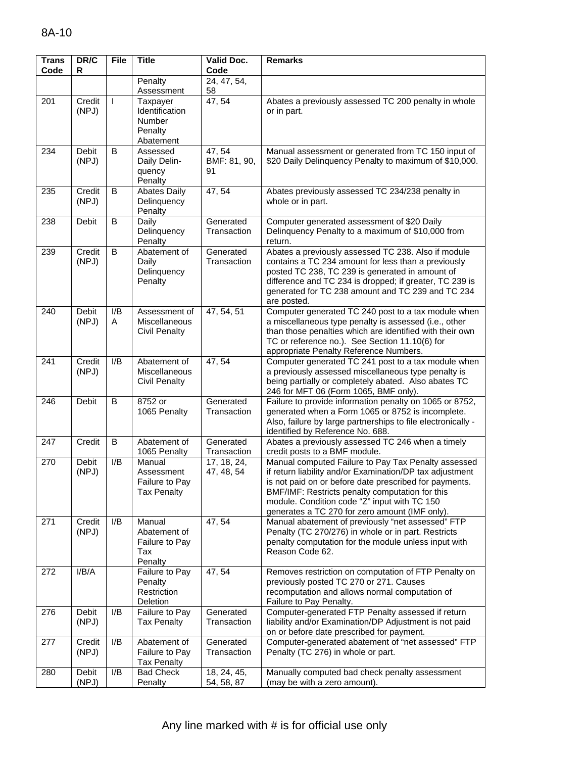| <b>Trans</b><br>Code | DR/C<br>R             | <b>File</b> | <b>Title</b>                                                 | <b>Valid Doc.</b><br>Code    | <b>Remarks</b>                                                                                                                                                                                                                                                                                                                 |
|----------------------|-----------------------|-------------|--------------------------------------------------------------|------------------------------|--------------------------------------------------------------------------------------------------------------------------------------------------------------------------------------------------------------------------------------------------------------------------------------------------------------------------------|
|                      |                       |             | Penalty                                                      | 24, 47, 54,                  |                                                                                                                                                                                                                                                                                                                                |
|                      |                       |             | Assessment                                                   | 58                           |                                                                                                                                                                                                                                                                                                                                |
| 201                  | Credit<br>(NPJ)       | L           | Taxpayer<br>Identification<br>Number<br>Penalty<br>Abatement | 47, 54                       | Abates a previously assessed TC 200 penalty in whole<br>or in part.                                                                                                                                                                                                                                                            |
| 234                  | <b>Debit</b><br>(NPJ) | B           | Assessed<br>Daily Delin-<br>quency<br>Penalty                | 47, 54<br>BMF: 81, 90,<br>91 | Manual assessment or generated from TC 150 input of<br>\$20 Daily Delinquency Penalty to maximum of \$10,000.                                                                                                                                                                                                                  |
| 235                  | Credit<br>(NPJ)       | B           | <b>Abates Daily</b><br>Delinquency<br>Penalty                | 47, 54                       | Abates previously assessed TC 234/238 penalty in<br>whole or in part.                                                                                                                                                                                                                                                          |
| 238                  | <b>Debit</b>          | B           | Daily<br>Delinquency<br>Penalty                              | Generated<br>Transaction     | Computer generated assessment of \$20 Daily<br>Delinquency Penalty to a maximum of \$10,000 from<br>return.                                                                                                                                                                                                                    |
| 239                  | Credit<br>(NPJ)       | B           | Abatement of<br>Daily<br>Delinquency<br>Penalty              | Generated<br>Transaction     | Abates a previously assessed TC 238. Also if module<br>contains a TC 234 amount for less than a previously<br>posted TC 238, TC 239 is generated in amount of<br>difference and TC 234 is dropped; if greater, TC 239 is<br>generated for TC 238 amount and TC 239 and TC 234<br>are posted.                                   |
| 240                  | <b>Debit</b><br>(NPJ) | I/B<br>Α    | Assessment of<br>Miscellaneous<br><b>Civil Penalty</b>       | 47, 54, 51                   | Computer generated TC 240 post to a tax module when<br>a miscellaneous type penalty is assessed (i.e., other<br>than those penalties which are identified with their own<br>TC or reference no.). See Section 11.10(6) for<br>appropriate Penalty Reference Numbers.                                                           |
| 241                  | Credit<br>(NPJ)       | I/B         | Abatement of<br>Miscellaneous<br><b>Civil Penalty</b>        | 47, 54                       | Computer generated TC 241 post to a tax module when<br>a previously assessed miscellaneous type penalty is<br>being partially or completely abated. Also abates TC<br>246 for MFT 06 (Form 1065, BMF only).                                                                                                                    |
| 246                  | Debit                 | B           | 8752 or<br>1065 Penalty                                      | Generated<br>Transaction     | Failure to provide information penalty on 1065 or 8752,<br>generated when a Form 1065 or 8752 is incomplete.<br>Also, failure by large partnerships to file electronically -<br>identified by Reference No. 688.                                                                                                               |
| 247                  | Credit                | B           | Abatement of<br>1065 Penalty                                 | Generated<br>Transaction     | Abates a previously assessed TC 246 when a timely<br>credit posts to a BMF module.                                                                                                                                                                                                                                             |
| 270                  | Debit<br>(NPJ)        | I/B         | Manual<br>Assessment<br>Failure to Pav<br><b>Tax Penalty</b> | 17, 18, 24,<br>47, 48, 54    | Manual computed Failure to Pay Tax Penalty assessed<br>if return liability and/or Examination/DP tax adjustment<br>is not paid on or before date prescribed for payments.<br>BMF/IMF: Restricts penalty computation for this<br>module. Condition code "Z" input with TC 150<br>generates a TC 270 for zero amount (IMF only). |
| 271                  | Credit<br>(NPJ)       | I/B         | Manual<br>Abatement of<br>Failure to Pay<br>Tax<br>Penalty   | 47, 54                       | Manual abatement of previously "net assessed" FTP<br>Penalty (TC 270/276) in whole or in part. Restricts<br>penalty computation for the module unless input with<br>Reason Code 62.                                                                                                                                            |
| 272                  | I/B/A                 |             | Failure to Pay<br>Penalty<br>Restriction<br>Deletion         | 47, 54                       | Removes restriction on computation of FTP Penalty on<br>previously posted TC 270 or 271. Causes<br>recomputation and allows normal computation of<br>Failure to Pay Penalty.                                                                                                                                                   |
| 276                  | Debit<br>(NPJ)        | I/B         | Failure to Pay<br><b>Tax Penalty</b>                         | Generated<br>Transaction     | Computer-generated FTP Penalty assessed if return<br>liability and/or Examination/DP Adjustment is not paid<br>on or before date prescribed for payment.                                                                                                                                                                       |
| 277                  | Credit<br>(NPJ)       | I/B         | Abatement of<br>Failure to Pay<br><b>Tax Penalty</b>         | Generated<br>Transaction     | Computer-generated abatement of "net assessed" FTP<br>Penalty (TC 276) in whole or part.                                                                                                                                                                                                                                       |
| 280                  | Debit<br>(NPJ)        | I/B         | <b>Bad Check</b><br>Penalty                                  | 18, 24, 45,<br>54, 58, 87    | Manually computed bad check penalty assessment<br>(may be with a zero amount).                                                                                                                                                                                                                                                 |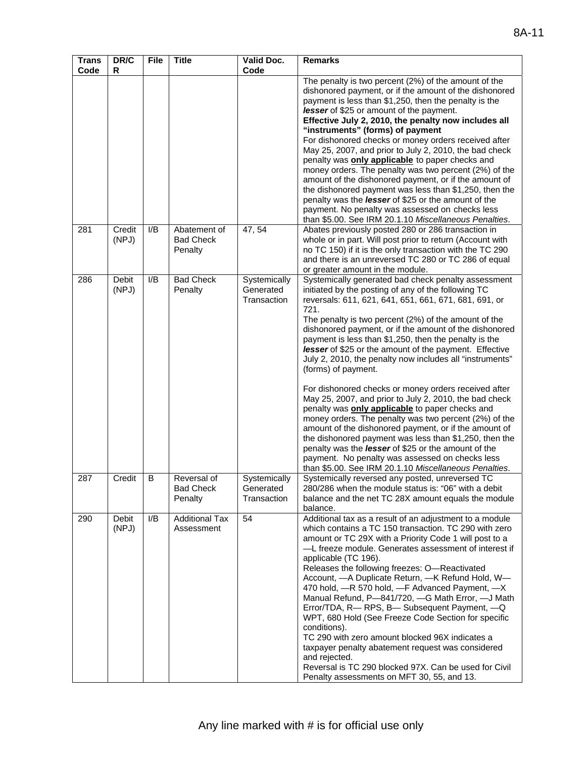| <b>Trans</b><br>Code | DR/C<br>R      | <b>File</b> | <b>Title</b>                               | Valid Doc.<br>Code                       | <b>Remarks</b>                                                                                                                                                                                                                                                                                                                                                                                                                                                                                                                                                                                                                                                                                                                                                                                                                                                                                                                                                                                                                 |
|----------------------|----------------|-------------|--------------------------------------------|------------------------------------------|--------------------------------------------------------------------------------------------------------------------------------------------------------------------------------------------------------------------------------------------------------------------------------------------------------------------------------------------------------------------------------------------------------------------------------------------------------------------------------------------------------------------------------------------------------------------------------------------------------------------------------------------------------------------------------------------------------------------------------------------------------------------------------------------------------------------------------------------------------------------------------------------------------------------------------------------------------------------------------------------------------------------------------|
| 281                  | Credit         | I/B         | Abatement of                               | 47, 54                                   | The penalty is two percent (2%) of the amount of the<br>dishonored payment, or if the amount of the dishonored<br>payment is less than \$1,250, then the penalty is the<br>lesser of \$25 or amount of the payment.<br>Effective July 2, 2010, the penalty now includes all<br>"instruments" (forms) of payment<br>For dishonored checks or money orders received after<br>May 25, 2007, and prior to July 2, 2010, the bad check<br>penalty was only applicable to paper checks and<br>money orders. The penalty was two percent (2%) of the<br>amount of the dishonored payment, or if the amount of<br>the dishonored payment was less than \$1,250, then the<br>penalty was the lesser of \$25 or the amount of the<br>payment. No penalty was assessed on checks less<br>than \$5.00. See IRM 20.1.10 Miscellaneous Penalties.<br>Abates previously posted 280 or 286 transaction in                                                                                                                                      |
|                      | (NPJ)          |             | <b>Bad Check</b><br>Penalty                |                                          | whole or in part. Will post prior to return (Account with<br>no TC 150) if it is the only transaction with the TC 290<br>and there is an unreversed TC 280 or TC 286 of equal<br>or greater amount in the module.                                                                                                                                                                                                                                                                                                                                                                                                                                                                                                                                                                                                                                                                                                                                                                                                              |
| 286                  | Debit<br>(NPJ) | I/B         | <b>Bad Check</b><br>Penalty                | Systemically<br>Generated<br>Transaction | Systemically generated bad check penalty assessment<br>initiated by the posting of any of the following TC<br>reversals: 611, 621, 641, 651, 661, 671, 681, 691, or<br>721.<br>The penalty is two percent (2%) of the amount of the<br>dishonored payment, or if the amount of the dishonored<br>payment is less than \$1,250, then the penalty is the<br>lesser of \$25 or the amount of the payment. Effective<br>July 2, 2010, the penalty now includes all "instruments"<br>(forms) of payment.<br>For dishonored checks or money orders received after<br>May 25, 2007, and prior to July 2, 2010, the bad check<br>penalty was <b>only applicable</b> to paper checks and<br>money orders. The penalty was two percent (2%) of the<br>amount of the dishonored payment, or if the amount of<br>the dishonored payment was less than \$1,250, then the<br>penalty was the lesser of \$25 or the amount of the<br>payment. No penalty was assessed on checks less<br>than \$5.00. See IRM 20.1.10 Miscellaneous Penalties. |
| 287                  | Credit         | B           | Reversal of<br><b>Bad Check</b><br>Penalty | Systemically<br>Generated<br>Transaction | Systemically reversed any posted, unreversed TC<br>280/286 when the module status is: "06" with a debit<br>balance and the net TC 28X amount equals the module<br>balance.                                                                                                                                                                                                                                                                                                                                                                                                                                                                                                                                                                                                                                                                                                                                                                                                                                                     |
| 290                  | Debit<br>(NPJ) | I/B         | <b>Additional Tax</b><br>Assessment        | 54                                       | Additional tax as a result of an adjustment to a module<br>which contains a TC 150 transaction. TC 290 with zero<br>amount or TC 29X with a Priority Code 1 will post to a<br>-L freeze module. Generates assessment of interest if<br>applicable (TC 196).<br>Releases the following freezes: O-Reactivated<br>Account, - A Duplicate Return, - K Refund Hold, W-<br>470 hold, -R 570 hold, -F Advanced Payment, -X<br>Manual Refund, P-841/720, -G Math Error, -J Math<br>Error/TDA, R-RPS, B-Subsequent Payment, -Q<br>WPT, 680 Hold (See Freeze Code Section for specific<br>conditions).<br>TC 290 with zero amount blocked 96X indicates a<br>taxpayer penalty abatement request was considered<br>and rejected.<br>Reversal is TC 290 blocked 97X. Can be used for Civil<br>Penalty assessments on MFT 30, 55, and 13.                                                                                                                                                                                                  |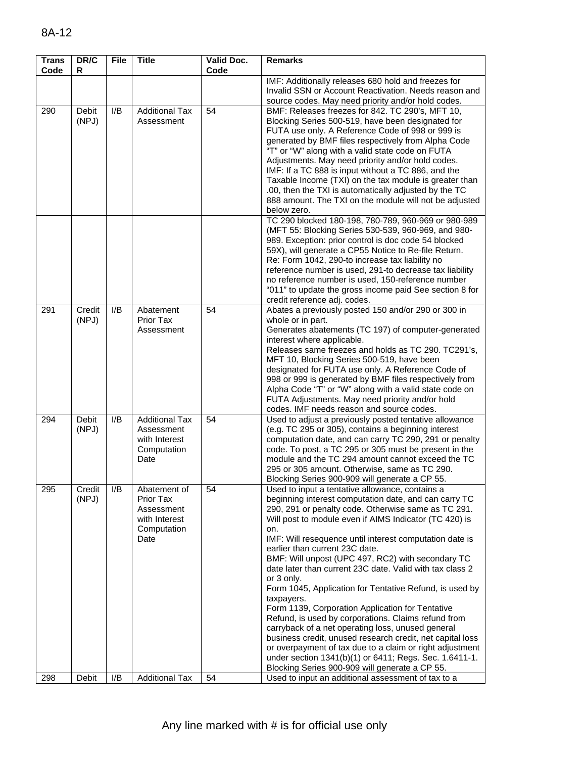| <b>Trans</b><br>Code | DR/C<br>R       | <b>File</b> | <b>Title</b>                                                                    | Valid Doc.<br>Code | <b>Remarks</b>                                                                                                                                                                                                                                                                                                                                                                                                                                                                                                                                                                                                                                                                                                                                                                                                                                                                                                                             |
|----------------------|-----------------|-------------|---------------------------------------------------------------------------------|--------------------|--------------------------------------------------------------------------------------------------------------------------------------------------------------------------------------------------------------------------------------------------------------------------------------------------------------------------------------------------------------------------------------------------------------------------------------------------------------------------------------------------------------------------------------------------------------------------------------------------------------------------------------------------------------------------------------------------------------------------------------------------------------------------------------------------------------------------------------------------------------------------------------------------------------------------------------------|
|                      |                 |             |                                                                                 |                    | IMF: Additionally releases 680 hold and freezes for<br>Invalid SSN or Account Reactivation. Needs reason and<br>source codes. May need priority and/or hold codes.                                                                                                                                                                                                                                                                                                                                                                                                                                                                                                                                                                                                                                                                                                                                                                         |
| 290                  | Debit<br>(NPJ)  | I/B         | <b>Additional Tax</b><br>Assessment                                             | 54                 | BMF: Releases freezes for 842. TC 290's, MFT 10,<br>Blocking Series 500-519, have been designated for<br>FUTA use only. A Reference Code of 998 or 999 is<br>generated by BMF files respectively from Alpha Code<br>"T" or "W" along with a valid state code on FUTA<br>Adjustments. May need priority and/or hold codes.<br>IMF: If a TC 888 is input without a TC 886, and the<br>Taxable Income (TXI) on the tax module is greater than<br>.00, then the TXI is automatically adjusted by the TC<br>888 amount. The TXI on the module will not be adjusted<br>below zero.                                                                                                                                                                                                                                                                                                                                                               |
|                      |                 |             |                                                                                 |                    | TC 290 blocked 180-198, 780-789, 960-969 or 980-989<br>(MFT 55: Blocking Series 530-539, 960-969, and 980-<br>989. Exception: prior control is doc code 54 blocked<br>59X), will generate a CP55 Notice to Re-file Return.<br>Re: Form 1042, 290-to increase tax liability no<br>reference number is used, 291-to decrease tax liability<br>no reference number is used, 150-reference number<br>"011" to update the gross income paid See section 8 for<br>credit reference adj. codes.                                                                                                                                                                                                                                                                                                                                                                                                                                                   |
| 291                  | Credit<br>(NPJ) | I/B         | Abatement<br>Prior Tax<br>Assessment                                            | 54                 | Abates a previously posted 150 and/or 290 or 300 in<br>whole or in part.<br>Generates abatements (TC 197) of computer-generated<br>interest where applicable.<br>Releases same freezes and holds as TC 290. TC291's,<br>MFT 10, Blocking Series 500-519, have been<br>designated for FUTA use only. A Reference Code of<br>998 or 999 is generated by BMF files respectively from<br>Alpha Code "T" or "W" along with a valid state code on<br>FUTA Adjustments. May need priority and/or hold<br>codes. IMF needs reason and source codes.                                                                                                                                                                                                                                                                                                                                                                                                |
| 294                  | Debit<br>(NPJ)  | I/B         | <b>Additional Tax</b><br>Assessment<br>with Interest<br>Computation<br>Date     | 54                 | Used to adjust a previously posted tentative allowance<br>(e.g. TC 295 or 305), contains a beginning interest<br>computation date, and can carry TC 290, 291 or penalty<br>code. To post, a TC 295 or 305 must be present in the<br>module and the TC 294 amount cannot exceed the TC<br>295 or 305 amount. Otherwise, same as TC 290.<br>Blocking Series 900-909 will generate a CP 55.                                                                                                                                                                                                                                                                                                                                                                                                                                                                                                                                                   |
| 295                  | Credit<br>(NPJ) | I/B         | Abatement of<br>Prior Tax<br>Assessment<br>with Interest<br>Computation<br>Date | 54                 | Used to input a tentative allowance, contains a<br>beginning interest computation date, and can carry TC<br>290, 291 or penalty code. Otherwise same as TC 291.<br>Will post to module even if AIMS Indicator (TC 420) is<br>on.<br>IMF: Will resequence until interest computation date is<br>earlier than current 23C date.<br>BMF: Will unpost (UPC 497, RC2) with secondary TC<br>date later than current 23C date. Valid with tax class 2<br>or 3 only.<br>Form 1045, Application for Tentative Refund, is used by<br>taxpayers.<br>Form 1139, Corporation Application for Tentative<br>Refund, is used by corporations. Claims refund from<br>carryback of a net operating loss, unused general<br>business credit, unused research credit, net capital loss<br>or overpayment of tax due to a claim or right adjustment<br>under section 1341(b)(1) or 6411; Regs. Sec. 1.6411-1.<br>Blocking Series 900-909 will generate a CP 55. |
| 298                  | Debit           | I/B         | <b>Additional Tax</b>                                                           | 54                 | Used to input an additional assessment of tax to a                                                                                                                                                                                                                                                                                                                                                                                                                                                                                                                                                                                                                                                                                                                                                                                                                                                                                         |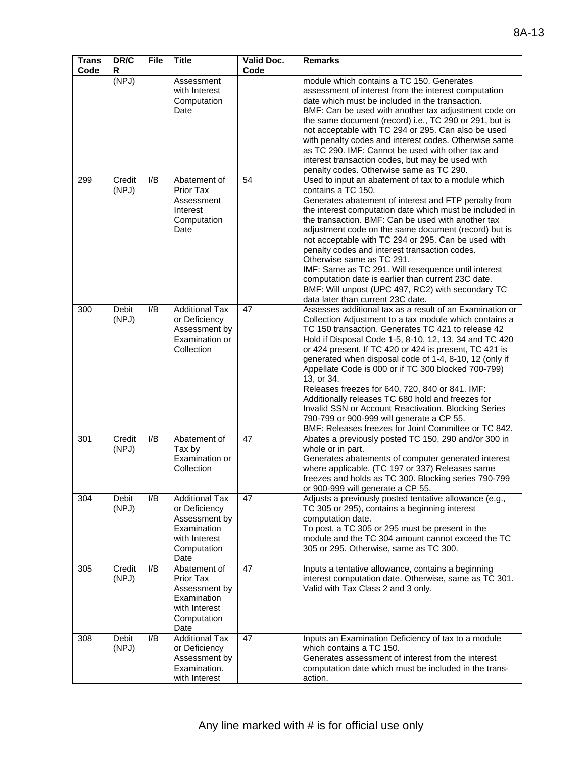| <b>Trans</b><br>Code | DR/C<br>R             | <b>File</b> | <b>Title</b>                                                                                                   | Valid Doc.<br>Code | <b>Remarks</b>                                                                                                                                                                                                                                                                                                                                                                                                                                                                                                                                                                                                                                                                                   |
|----------------------|-----------------------|-------------|----------------------------------------------------------------------------------------------------------------|--------------------|--------------------------------------------------------------------------------------------------------------------------------------------------------------------------------------------------------------------------------------------------------------------------------------------------------------------------------------------------------------------------------------------------------------------------------------------------------------------------------------------------------------------------------------------------------------------------------------------------------------------------------------------------------------------------------------------------|
|                      | (NPJ)                 |             | Assessment<br>with Interest<br>Computation<br>Date                                                             |                    | module which contains a TC 150. Generates<br>assessment of interest from the interest computation<br>date which must be included in the transaction.<br>BMF: Can be used with another tax adjustment code on<br>the same document (record) i.e., TC 290 or 291, but is<br>not acceptable with TC 294 or 295. Can also be used<br>with penalty codes and interest codes. Otherwise same<br>as TC 290. IMF: Cannot be used with other tax and<br>interest transaction codes, but may be used with<br>penalty codes. Otherwise same as TC 290.                                                                                                                                                      |
| 299                  | Credit<br>(NPJ)       | I/B         | Abatement of<br>Prior Tax<br>Assessment<br>Interest<br>Computation<br>Date                                     | 54                 | Used to input an abatement of tax to a module which<br>contains a TC 150.<br>Generates abatement of interest and FTP penalty from<br>the interest computation date which must be included in<br>the transaction. BMF: Can be used with another tax<br>adjustment code on the same document (record) but is<br>not acceptable with TC 294 or 295. Can be used with<br>penalty codes and interest transaction codes.<br>Otherwise same as TC 291.<br>IMF: Same as TC 291. Will resequence until interest<br>computation date is earlier than current 23C date.<br>BMF: Will unpost (UPC 497, RC2) with secondary TC<br>data later than current 23C date.                                           |
| 300                  | <b>Debit</b><br>(NPJ) | I/B         | <b>Additional Tax</b><br>or Deficiency<br>Assessment by<br>Examination or<br>Collection                        | 47                 | Assesses additional tax as a result of an Examination or<br>Collection Adjustment to a tax module which contains a<br>TC 150 transaction. Generates TC 421 to release 42<br>Hold if Disposal Code 1-5, 8-10, 12, 13, 34 and TC 420<br>or 424 present. If TC 420 or 424 is present, TC 421 is<br>generated when disposal code of 1-4, 8-10, 12 (only if<br>Appellate Code is 000 or if TC 300 blocked 700-799)<br>13, or 34.<br>Releases freezes for 640, 720, 840 or 841. IMF:<br>Additionally releases TC 680 hold and freezes for<br>Invalid SSN or Account Reactivation. Blocking Series<br>790-799 or 900-999 will generate a CP 55.<br>BMF: Releases freezes for Joint Committee or TC 842. |
| 301                  | Credit<br>(NPJ)       | I/B         | Abatement of<br>Tax by<br>Examination or<br>Collection                                                         | 47                 | Abates a previously posted TC 150, 290 and/or 300 in<br>whole or in part.<br>Generates abatements of computer generated interest<br>where applicable. (TC 197 or 337) Releases same<br>freezes and holds as TC 300. Blocking series 790-799<br>or 900-999 will generate a CP 55.                                                                                                                                                                                                                                                                                                                                                                                                                 |
| 304                  | <b>Debit</b><br>(NPJ) | I/B         | <b>Additional Tax</b><br>or Deficiency<br>Assessment by<br>Examination<br>with Interest<br>Computation<br>Date | 47                 | Adjusts a previously posted tentative allowance (e.g.,<br>TC 305 or 295), contains a beginning interest<br>computation date.<br>To post, a TC 305 or 295 must be present in the<br>module and the TC 304 amount cannot exceed the TC<br>305 or 295. Otherwise, same as TC 300.                                                                                                                                                                                                                                                                                                                                                                                                                   |
| 305                  | Credit<br>(NPJ)       | I/B         | Abatement of<br>Prior Tax<br>Assessment by<br>Examination<br>with Interest<br>Computation<br>Date              | 47                 | Inputs a tentative allowance, contains a beginning<br>interest computation date. Otherwise, same as TC 301.<br>Valid with Tax Class 2 and 3 only.                                                                                                                                                                                                                                                                                                                                                                                                                                                                                                                                                |
| 308                  | <b>Debit</b><br>(NPJ) | I/B         | <b>Additional Tax</b><br>or Deficiency<br>Assessment by<br>Examination.<br>with Interest                       | 47                 | Inputs an Examination Deficiency of tax to a module<br>which contains a TC 150.<br>Generates assessment of interest from the interest<br>computation date which must be included in the trans-<br>action.                                                                                                                                                                                                                                                                                                                                                                                                                                                                                        |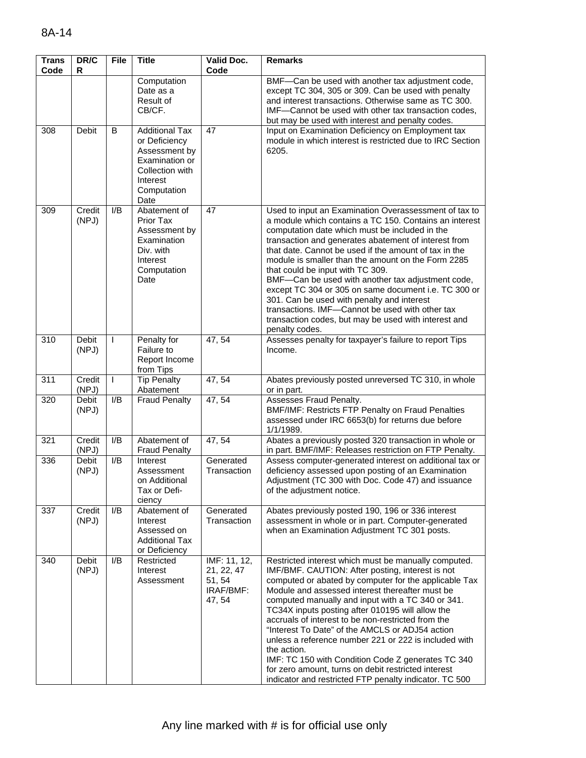| $\overline{\mathsf{Tra}}$ ns<br>Code | DR/C<br>R             | File         | <b>Title</b>                                                                                                                    | Valid Doc.<br>Code                                          | Remarks                                                                                                                                                                                                                                                                                                                                                                                                                                                                                                                                                                                                                                                                               |
|--------------------------------------|-----------------------|--------------|---------------------------------------------------------------------------------------------------------------------------------|-------------------------------------------------------------|---------------------------------------------------------------------------------------------------------------------------------------------------------------------------------------------------------------------------------------------------------------------------------------------------------------------------------------------------------------------------------------------------------------------------------------------------------------------------------------------------------------------------------------------------------------------------------------------------------------------------------------------------------------------------------------|
|                                      |                       |              | Computation<br>Date as a<br>Result of<br>CB/CF.                                                                                 |                                                             | BMF-Can be used with another tax adjustment code,<br>except TC 304, 305 or 309. Can be used with penalty<br>and interest transactions. Otherwise same as TC 300.<br>IMF-Cannot be used with other tax transaction codes,<br>but may be used with interest and penalty codes.                                                                                                                                                                                                                                                                                                                                                                                                          |
| 308                                  | Debit                 | B            | <b>Additional Tax</b><br>or Deficiency<br>Assessment by<br>Examination or<br>Collection with<br>Interest<br>Computation<br>Date | 47                                                          | Input on Examination Deficiency on Employment tax<br>module in which interest is restricted due to IRC Section<br>6205.                                                                                                                                                                                                                                                                                                                                                                                                                                                                                                                                                               |
| 309                                  | Credit<br>(NPJ)       | I/B          | Abatement of<br>Prior Tax<br>Assessment by<br>Examination<br>Div. with<br>Interest<br>Computation<br>Date                       | 47                                                          | Used to input an Examination Overassessment of tax to<br>a module which contains a TC 150. Contains an interest<br>computation date which must be included in the<br>transaction and generates abatement of interest from<br>that date. Cannot be used if the amount of tax in the<br>module is smaller than the amount on the Form 2285<br>that could be input with TC 309.<br>BMF-Can be used with another tax adjustment code,<br>except TC 304 or 305 on same document i.e. TC 300 or<br>301. Can be used with penalty and interest<br>transactions. IMF-Cannot be used with other tax<br>transaction codes, but may be used with interest and<br>penalty codes.                  |
| 310                                  | <b>Debit</b><br>(NPJ) | $\mathbf{I}$ | Penalty for<br>Failure to<br>Report Income<br>from Tips                                                                         | 47, 54                                                      | Assesses penalty for taxpayer's failure to report Tips<br>Income.                                                                                                                                                                                                                                                                                                                                                                                                                                                                                                                                                                                                                     |
| 311                                  | Credit<br>(NPJ)       | T            | <b>Tip Penalty</b><br>Abatement                                                                                                 | 47, 54                                                      | Abates previously posted unreversed TC 310, in whole<br>or in part.                                                                                                                                                                                                                                                                                                                                                                                                                                                                                                                                                                                                                   |
| 320                                  | Debit<br>(NPJ)        | I/B          | <b>Fraud Penalty</b>                                                                                                            | 47, 54                                                      | Assesses Fraud Penalty.<br>BMF/IMF: Restricts FTP Penalty on Fraud Penalties<br>assessed under IRC 6653(b) for returns due before<br>1/1/1989.                                                                                                                                                                                                                                                                                                                                                                                                                                                                                                                                        |
| 321                                  | Credit<br>(NPJ)       | I/B          | Abatement of<br><b>Fraud Penalty</b>                                                                                            | 47, 54                                                      | Abates a previously posted 320 transaction in whole or<br>in part. BMF/IMF: Releases restriction on FTP Penalty.                                                                                                                                                                                                                                                                                                                                                                                                                                                                                                                                                                      |
| 336                                  | Debit<br>(NPJ)        | I/B          | Interest<br>Assessment<br>on Additional<br>Tax or Defi-<br>ciency                                                               | Generated<br>Transaction                                    | Assess computer-generated interest on additional tax or<br>deficiency assessed upon posting of an Examination<br>Adiustment (TC 300 with Doc. Code 47) and issuance<br>of the adjustment notice.                                                                                                                                                                                                                                                                                                                                                                                                                                                                                      |
| 337                                  | Credit<br>(NPJ)       | I/B          | Abatement of<br>Interest<br>Assessed on<br><b>Additional Tax</b><br>or Deficiency                                               | Generated<br>Transaction                                    | Abates previously posted 190, 196 or 336 interest<br>assessment in whole or in part. Computer-generated<br>when an Examination Adjustment TC 301 posts.                                                                                                                                                                                                                                                                                                                                                                                                                                                                                                                               |
| 340                                  | Debit<br>(NPJ)        | I/B          | Restricted<br>Interest<br>Assessment                                                                                            | IMF: 11, 12,<br>21, 22, 47<br>51, 54<br>IRAF/BMF:<br>47, 54 | Restricted interest which must be manually computed.<br>IMF/BMF. CAUTION: After posting, interest is not<br>computed or abated by computer for the applicable Tax<br>Module and assessed interest thereafter must be<br>computed manually and input with a TC 340 or 341.<br>TC34X inputs posting after 010195 will allow the<br>accruals of interest to be non-restricted from the<br>"Interest To Date" of the AMCLS or ADJ54 action<br>unless a reference number 221 or 222 is included with<br>the action.<br>IMF: TC 150 with Condition Code Z generates TC 340<br>for zero amount, turns on debit restricted interest<br>indicator and restricted FTP penalty indicator. TC 500 |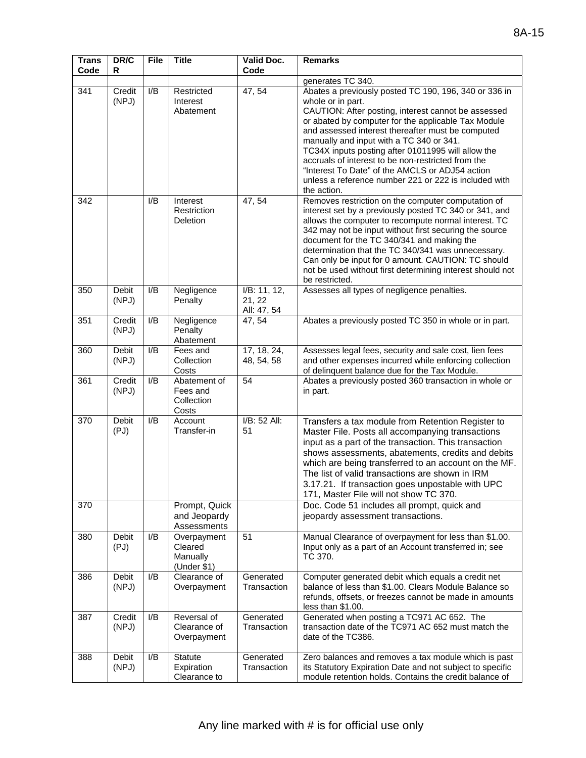| <b>Trans</b><br>Code | DR/C<br>R             | <b>File</b>      | <b>Title</b>                                      | <b>Valid Doc.</b><br>Code             | <b>Remarks</b>                                                                                                                                                                                                                                                                                                                                                                                                                                                                                                                   |
|----------------------|-----------------------|------------------|---------------------------------------------------|---------------------------------------|----------------------------------------------------------------------------------------------------------------------------------------------------------------------------------------------------------------------------------------------------------------------------------------------------------------------------------------------------------------------------------------------------------------------------------------------------------------------------------------------------------------------------------|
|                      |                       |                  |                                                   |                                       | generates TC 340.                                                                                                                                                                                                                                                                                                                                                                                                                                                                                                                |
| 341                  | Credit<br>(NPJ)       | I/B              | Restricted<br>Interest<br>Abatement               | 47, 54                                | Abates a previously posted TC 190, 196, 340 or 336 in<br>whole or in part.<br>CAUTION: After posting, interest cannot be assessed<br>or abated by computer for the applicable Tax Module<br>and assessed interest thereafter must be computed<br>manually and input with a TC 340 or 341.<br>TC34X inputs posting after 01011995 will allow the<br>accruals of interest to be non-restricted from the<br>"Interest To Date" of the AMCLS or ADJ54 action<br>unless a reference number 221 or 222 is included with<br>the action. |
| 342                  |                       | I/B              | Interest<br>Restriction<br>Deletion               | 47, 54                                | Removes restriction on the computer computation of<br>interest set by a previously posted TC 340 or 341, and<br>allows the computer to recompute normal interest. TC<br>342 may not be input without first securing the source<br>document for the TC 340/341 and making the<br>determination that the TC 340/341 was unnecessary.<br>Can only be input for 0 amount. CAUTION: TC should<br>not be used without first determining interest should not<br>be restricted.                                                          |
| 350                  | <b>Debit</b><br>(NPJ) | I/B              | Negligence<br>Penalty                             | I/B: 11, 12,<br>21, 22<br>All: 47, 54 | Assesses all types of negligence penalties.                                                                                                                                                                                                                                                                                                                                                                                                                                                                                      |
| 351                  | Credit<br>(NPJ)       | I/B              | Negligence<br>Penalty<br>Abatement                | 47, 54                                | Abates a previously posted TC 350 in whole or in part.                                                                                                                                                                                                                                                                                                                                                                                                                                                                           |
| 360                  | <b>Debit</b><br>(NPJ) | I/B              | Fees and<br>Collection<br>Costs                   | 17, 18, 24,<br>48, 54, 58             | Assesses legal fees, security and sale cost, lien fees<br>and other expenses incurred while enforcing collection<br>of delinquent balance due for the Tax Module.                                                                                                                                                                                                                                                                                                                                                                |
| 361                  | Credit<br>(NPJ)       | I/B              | Abatement of<br>Fees and<br>Collection<br>Costs   | 54                                    | Abates a previously posted 360 transaction in whole or<br>in part.                                                                                                                                                                                                                                                                                                                                                                                                                                                               |
| 370                  | <b>Debit</b><br>(PJ)  | I/B              | Account<br>Transfer-in                            | I/B: 52 All:<br>51                    | Transfers a tax module from Retention Register to<br>Master File. Posts all accompanying transactions<br>input as a part of the transaction. This transaction<br>shows assessments, abatements, credits and debits<br>which are being transferred to an account on the MF.<br>The list of valid transactions are shown in IRM<br>3.17.21. If transaction goes unpostable with UPC<br>171, Master File will not show TC 370.                                                                                                      |
| 370                  |                       |                  | Prompt, Quick<br>and Jeopardy<br>Assessments      |                                       | Doc. Code 51 includes all prompt, quick and<br>jeopardy assessment transactions.                                                                                                                                                                                                                                                                                                                                                                                                                                                 |
| 380                  | <b>Debit</b><br>(PJ)  | I/B              | Overpayment<br>Cleared<br>Manually<br>(Under \$1) | 51                                    | Manual Clearance of overpayment for less than \$1.00.<br>Input only as a part of an Account transferred in; see<br>TC 370.                                                                                                                                                                                                                                                                                                                                                                                                       |
| 386                  | Debit<br>(NPJ)        | I/B              | Clearance of<br>Overpayment                       | Generated<br>Transaction              | Computer generated debit which equals a credit net<br>balance of less than \$1.00. Clears Module Balance so<br>refunds, offsets, or freezes cannot be made in amounts<br>less than \$1.00.                                                                                                                                                                                                                                                                                                                                       |
| 387                  | Credit<br>(NPJ)       | $\overline{I/B}$ | Reversal of<br>Clearance of<br>Overpayment        | Generated<br>Transaction              | Generated when posting a TC971 AC 652. The<br>transaction date of the TC971 AC 652 must match the<br>date of the TC386.                                                                                                                                                                                                                                                                                                                                                                                                          |
| 388                  | Debit<br>(NPJ)        | I/B              | Statute<br>Expiration<br>Clearance to             | Generated<br>Transaction              | Zero balances and removes a tax module which is past<br>its Statutory Expiration Date and not subject to specific<br>module retention holds. Contains the credit balance of                                                                                                                                                                                                                                                                                                                                                      |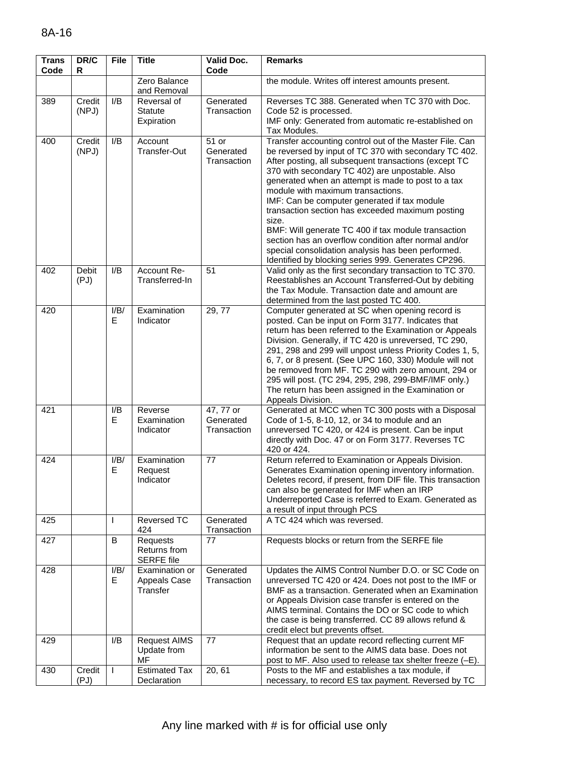| <b>Trans</b><br>Code | DR/C<br>R       | <b>File</b> | <b>Title</b>                                  | <b>Valid Doc.</b><br>Code             | <b>Remarks</b>                                                                                                                                                                                                                                                                                                                                                                                                                                                                                                                                                                                                                                                    |
|----------------------|-----------------|-------------|-----------------------------------------------|---------------------------------------|-------------------------------------------------------------------------------------------------------------------------------------------------------------------------------------------------------------------------------------------------------------------------------------------------------------------------------------------------------------------------------------------------------------------------------------------------------------------------------------------------------------------------------------------------------------------------------------------------------------------------------------------------------------------|
|                      |                 |             | Zero Balance<br>and Removal                   |                                       | the module. Writes off interest amounts present.                                                                                                                                                                                                                                                                                                                                                                                                                                                                                                                                                                                                                  |
| 389                  | Credit<br>(NPJ) | I/B         | Reversal of<br><b>Statute</b><br>Expiration   | Generated<br>Transaction              | Reverses TC 388. Generated when TC 370 with Doc.<br>Code 52 is processed.<br>IMF only: Generated from automatic re-established on<br>Tax Modules.                                                                                                                                                                                                                                                                                                                                                                                                                                                                                                                 |
| 400                  | Credit<br>(NPJ) | I/B         | Account<br>Transfer-Out                       | 51 or<br>Generated<br>Transaction     | Transfer accounting control out of the Master File. Can<br>be reversed by input of TC 370 with secondary TC 402.<br>After posting, all subsequent transactions (except TC<br>370 with secondary TC 402) are unpostable. Also<br>generated when an attempt is made to post to a tax<br>module with maximum transactions.<br>IMF: Can be computer generated if tax module<br>transaction section has exceeded maximum posting<br>size.<br>BMF: Will generate TC 400 if tax module transaction<br>section has an overflow condition after normal and/or<br>special consolidation analysis has been performed.<br>Identified by blocking series 999. Generates CP296. |
| 402                  | Debit<br>(PJ)   | I/B         | Account Re-<br>Transferred-In                 | 51                                    | Valid only as the first secondary transaction to TC 370.<br>Reestablishes an Account Transferred-Out by debiting<br>the Tax Module. Transaction date and amount are<br>determined from the last posted TC 400.                                                                                                                                                                                                                                                                                                                                                                                                                                                    |
| 420                  |                 | I/B/<br>E.  | Examination<br>Indicator                      | 29, 77                                | Computer generated at SC when opening record is<br>posted. Can be input on Form 3177. Indicates that<br>return has been referred to the Examination or Appeals<br>Division. Generally, if TC 420 is unreversed, TC 290,<br>291, 298 and 299 will unpost unless Priority Codes 1, 5,<br>6, 7, or 8 present. (See UPC 160, 330) Module will not<br>be removed from MF. TC 290 with zero amount, 294 or<br>295 will post. (TC 294, 295, 298, 299-BMF/IMF only.)<br>The return has been assigned in the Examination or<br>Appeals Division.                                                                                                                           |
| 421                  |                 | I/B<br>E.   | Reverse<br>Examination<br>Indicator           | 47, 77 or<br>Generated<br>Transaction | Generated at MCC when TC 300 posts with a Disposal<br>Code of 1-5, 8-10, 12, or 34 to module and an<br>unreversed TC 420, or 424 is present. Can be input<br>directly with Doc. 47 or on Form 3177. Reverses TC<br>420 or 424.                                                                                                                                                                                                                                                                                                                                                                                                                                    |
| 424                  |                 | I/B/<br>Е   | Examination<br>Request<br>Indicator           | 77                                    | Return referred to Examination or Appeals Division.<br>Generates Examination opening inventory information.<br>Deletes record, if present, from DIF file. This transaction<br>can also be generated for IMF when an IRP<br>Underreported Case is referred to Exam. Generated as<br>a result of input through PCS                                                                                                                                                                                                                                                                                                                                                  |
| 425                  |                 | L           | <b>Reversed TC</b><br>424                     | Generated<br>Transaction              | A TC 424 which was reversed.                                                                                                                                                                                                                                                                                                                                                                                                                                                                                                                                                                                                                                      |
| 427                  |                 | B           | Requests<br>Returns from<br><b>SERFE</b> file | 77                                    | Requests blocks or return from the SERFE file                                                                                                                                                                                                                                                                                                                                                                                                                                                                                                                                                                                                                     |
| 428                  |                 | I/B/<br>E.  | Examination or<br>Appeals Case<br>Transfer    | Generated<br>Transaction              | Updates the AIMS Control Number D.O. or SC Code on<br>unreversed TC 420 or 424. Does not post to the IMF or<br>BMF as a transaction. Generated when an Examination<br>or Appeals Division case transfer is entered on the<br>AIMS terminal. Contains the DO or SC code to which<br>the case is being transferred. CC 89 allows refund &<br>credit elect but prevents offset.                                                                                                                                                                                                                                                                                      |
| 429                  |                 | I/B         | <b>Request AIMS</b><br>Update from<br>MF      | 77                                    | Request that an update record reflecting current MF<br>information be sent to the AIMS data base. Does not<br>post to MF. Also used to release tax shelter freeze (-E).                                                                                                                                                                                                                                                                                                                                                                                                                                                                                           |
| 430                  | Credit<br>(PJ)  | L           | <b>Estimated Tax</b><br>Declaration           | 20, 61                                | Posts to the MF and establishes a tax module, if<br>necessary, to record ES tax payment. Reversed by TC                                                                                                                                                                                                                                                                                                                                                                                                                                                                                                                                                           |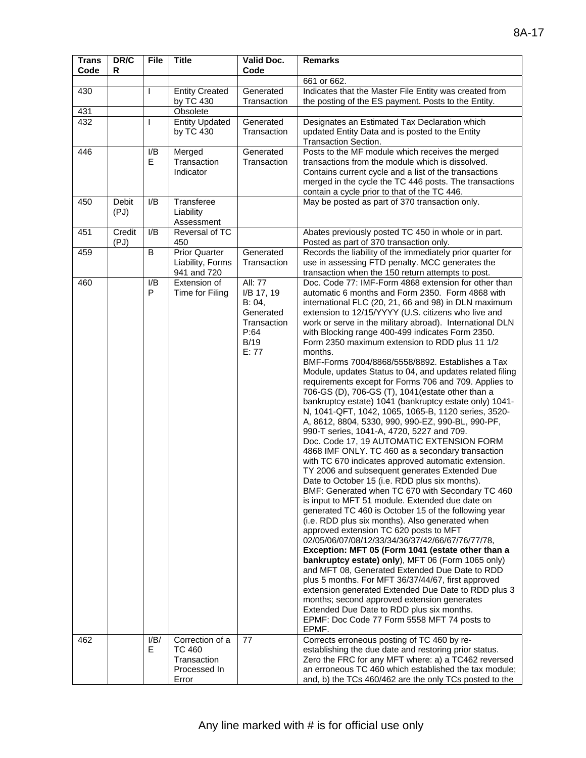| <b>Trans</b><br>Code | DR/C<br>R      | <b>File</b>  | <b>Title</b>                             | Valid Doc.<br>Code                                                                          | <b>Remarks</b>                                                                                                                                                                                                                                                                                                                                                                                                                                                                                                                                                                                                                                                                                                                                                                                                                                                                                                                                                                                                                                                                                                                                                                                                                                                                                                                                                                                                                                                                                                                                                                                                                                                                                                                                                                                                                                       |
|----------------------|----------------|--------------|------------------------------------------|---------------------------------------------------------------------------------------------|------------------------------------------------------------------------------------------------------------------------------------------------------------------------------------------------------------------------------------------------------------------------------------------------------------------------------------------------------------------------------------------------------------------------------------------------------------------------------------------------------------------------------------------------------------------------------------------------------------------------------------------------------------------------------------------------------------------------------------------------------------------------------------------------------------------------------------------------------------------------------------------------------------------------------------------------------------------------------------------------------------------------------------------------------------------------------------------------------------------------------------------------------------------------------------------------------------------------------------------------------------------------------------------------------------------------------------------------------------------------------------------------------------------------------------------------------------------------------------------------------------------------------------------------------------------------------------------------------------------------------------------------------------------------------------------------------------------------------------------------------------------------------------------------------------------------------------------------------|
|                      |                |              |                                          |                                                                                             | 661 or 662.                                                                                                                                                                                                                                                                                                                                                                                                                                                                                                                                                                                                                                                                                                                                                                                                                                                                                                                                                                                                                                                                                                                                                                                                                                                                                                                                                                                                                                                                                                                                                                                                                                                                                                                                                                                                                                          |
| 430                  |                | $\mathbf{I}$ | <b>Entity Created</b>                    | Generated                                                                                   | Indicates that the Master File Entity was created from                                                                                                                                                                                                                                                                                                                                                                                                                                                                                                                                                                                                                                                                                                                                                                                                                                                                                                                                                                                                                                                                                                                                                                                                                                                                                                                                                                                                                                                                                                                                                                                                                                                                                                                                                                                               |
|                      |                |              | by TC 430                                | Transaction                                                                                 | the posting of the ES payment. Posts to the Entity.                                                                                                                                                                                                                                                                                                                                                                                                                                                                                                                                                                                                                                                                                                                                                                                                                                                                                                                                                                                                                                                                                                                                                                                                                                                                                                                                                                                                                                                                                                                                                                                                                                                                                                                                                                                                  |
| 431                  |                |              | Obsolete                                 |                                                                                             |                                                                                                                                                                                                                                                                                                                                                                                                                                                                                                                                                                                                                                                                                                                                                                                                                                                                                                                                                                                                                                                                                                                                                                                                                                                                                                                                                                                                                                                                                                                                                                                                                                                                                                                                                                                                                                                      |
| 432                  |                | $\mathbf{I}$ | <b>Entity Updated</b>                    | Generated                                                                                   | Designates an Estimated Tax Declaration which                                                                                                                                                                                                                                                                                                                                                                                                                                                                                                                                                                                                                                                                                                                                                                                                                                                                                                                                                                                                                                                                                                                                                                                                                                                                                                                                                                                                                                                                                                                                                                                                                                                                                                                                                                                                        |
|                      |                |              | by TC 430                                | Transaction                                                                                 | updated Entity Data and is posted to the Entity                                                                                                                                                                                                                                                                                                                                                                                                                                                                                                                                                                                                                                                                                                                                                                                                                                                                                                                                                                                                                                                                                                                                                                                                                                                                                                                                                                                                                                                                                                                                                                                                                                                                                                                                                                                                      |
|                      |                |              |                                          |                                                                                             | Transaction Section.                                                                                                                                                                                                                                                                                                                                                                                                                                                                                                                                                                                                                                                                                                                                                                                                                                                                                                                                                                                                                                                                                                                                                                                                                                                                                                                                                                                                                                                                                                                                                                                                                                                                                                                                                                                                                                 |
| 446                  |                | I/B<br>E.    | Merged<br>Transaction<br>Indicator       | Generated<br>Transaction                                                                    | Posts to the MF module which receives the merged<br>transactions from the module which is dissolved.<br>Contains current cycle and a list of the transactions                                                                                                                                                                                                                                                                                                                                                                                                                                                                                                                                                                                                                                                                                                                                                                                                                                                                                                                                                                                                                                                                                                                                                                                                                                                                                                                                                                                                                                                                                                                                                                                                                                                                                        |
|                      |                |              |                                          |                                                                                             | merged in the cycle the TC 446 posts. The transactions<br>contain a cycle prior to that of the TC 446.                                                                                                                                                                                                                                                                                                                                                                                                                                                                                                                                                                                                                                                                                                                                                                                                                                                                                                                                                                                                                                                                                                                                                                                                                                                                                                                                                                                                                                                                                                                                                                                                                                                                                                                                               |
| 450                  | Debit<br>(PJ)  | I/B          | Transferee<br>Liability<br>Assessment    |                                                                                             | May be posted as part of 370 transaction only.                                                                                                                                                                                                                                                                                                                                                                                                                                                                                                                                                                                                                                                                                                                                                                                                                                                                                                                                                                                                                                                                                                                                                                                                                                                                                                                                                                                                                                                                                                                                                                                                                                                                                                                                                                                                       |
| 451                  | Credit<br>(PJ) | I/B          | Reversal of TC<br>450                    |                                                                                             | Abates previously posted TC 450 in whole or in part.<br>Posted as part of 370 transaction only.                                                                                                                                                                                                                                                                                                                                                                                                                                                                                                                                                                                                                                                                                                                                                                                                                                                                                                                                                                                                                                                                                                                                                                                                                                                                                                                                                                                                                                                                                                                                                                                                                                                                                                                                                      |
| 459                  |                | B            | <b>Prior Quarter</b>                     | Generated                                                                                   | Records the liability of the immediately prior quarter for                                                                                                                                                                                                                                                                                                                                                                                                                                                                                                                                                                                                                                                                                                                                                                                                                                                                                                                                                                                                                                                                                                                                                                                                                                                                                                                                                                                                                                                                                                                                                                                                                                                                                                                                                                                           |
|                      |                |              | Liability, Forms<br>941 and 720          | Transaction                                                                                 | use in assessing FTD penalty. MCC generates the<br>transaction when the 150 return attempts to post.                                                                                                                                                                                                                                                                                                                                                                                                                                                                                                                                                                                                                                                                                                                                                                                                                                                                                                                                                                                                                                                                                                                                                                                                                                                                                                                                                                                                                                                                                                                                                                                                                                                                                                                                                 |
| 460                  |                | I/B<br>P     | Extension of<br>Time for Filing          | All: 77<br>I/B 17, 19<br>B: 04,<br>Generated<br>Transaction<br>P:64<br><b>B/19</b><br>E: 77 | Doc. Code 77: IMF-Form 4868 extension for other than<br>automatic 6 months and Form 2350. Form 4868 with<br>international FLC (20, 21, 66 and 98) in DLN maximum<br>extension to 12/15/YYYY (U.S. citizens who live and<br>work or serve in the military abroad). International DLN<br>with Blocking range 400-499 indicates Form 2350.<br>Form 2350 maximum extension to RDD plus 11 1/2<br>months.<br>BMF-Forms 7004/8868/5558/8892. Establishes a Tax<br>Module, updates Status to 04, and updates related filing<br>requirements except for Forms 706 and 709. Applies to<br>706-GS (D), 706-GS (T), 1041 (estate other than a<br>bankruptcy estate) 1041 (bankruptcy estate only) 1041-<br>N, 1041-QFT, 1042, 1065, 1065-B, 1120 series, 3520-<br>A, 8612, 8804, 5330, 990, 990-EZ, 990-BL, 990-PF,<br>990-T series, 1041-A, 4720, 5227 and 709.<br>Doc. Code 17, 19 AUTOMATIC EXTENSION FORM<br>4868 IMF ONLY. TC 460 as a secondary transaction<br>with TC 670 indicates approved automatic extension.<br>TY 2006 and subsequent generates Extended Due<br>Date to October 15 (i.e. RDD plus six months).<br>BMF: Generated when TC 670 with Secondary TC 460<br>is input to MFT 51 module. Extended due date on<br>generated TC 460 is October 15 of the following year<br>(i.e. RDD plus six months). Also generated when<br>approved extension TC 620 posts to MFT<br>02/05/06/07/08/12/33/34/36/37/42/66/67/76/77/78,<br>Exception: MFT 05 (Form 1041 (estate other than a<br>bankruptcy estate) only), MFT 06 (Form 1065 only)<br>and MFT 08, Generated Extended Due Date to RDD<br>plus 5 months. For MFT 36/37/44/67, first approved<br>extension generated Extended Due Date to RDD plus 3<br>months; second approved extension generates<br>Extended Due Date to RDD plus six months.<br>EPMF: Doc Code 77 Form 5558 MFT 74 posts to |
| 462                  |                | I/B/<br>E.   | Correction of a<br>TC 460<br>Transaction | 77                                                                                          | EPMF.<br>Corrects erroneous posting of TC 460 by re-<br>establishing the due date and restoring prior status.<br>Zero the FRC for any MFT where: a) a TC462 reversed                                                                                                                                                                                                                                                                                                                                                                                                                                                                                                                                                                                                                                                                                                                                                                                                                                                                                                                                                                                                                                                                                                                                                                                                                                                                                                                                                                                                                                                                                                                                                                                                                                                                                 |
|                      |                |              | Processed In<br>Error                    |                                                                                             | an erroneous TC 460 which established the tax module;<br>and, b) the TCs 460/462 are the only TCs posted to the                                                                                                                                                                                                                                                                                                                                                                                                                                                                                                                                                                                                                                                                                                                                                                                                                                                                                                                                                                                                                                                                                                                                                                                                                                                                                                                                                                                                                                                                                                                                                                                                                                                                                                                                      |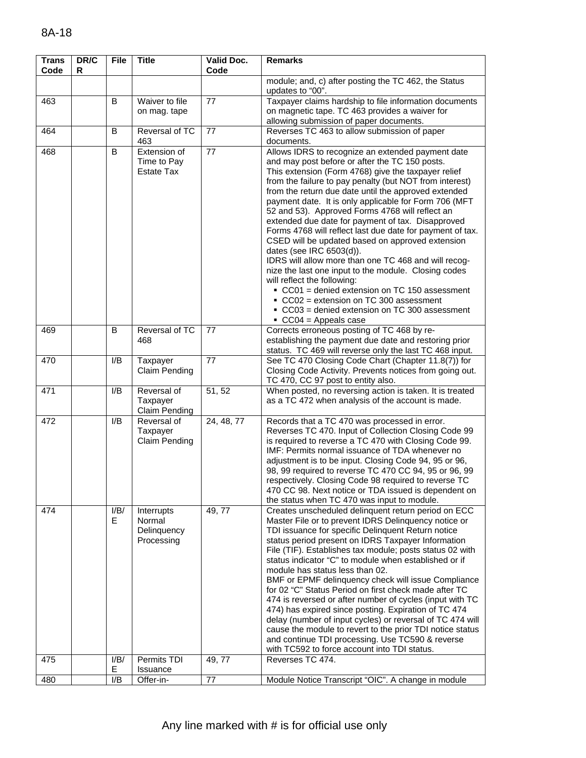| <b>Trans</b><br>Code | DR/C<br>R | <b>File</b> | <b>Title</b>                                      | <b>Valid Doc.</b><br>Code | <b>Remarks</b>                                                                                                                                                                                                                                                                                                                                                                                                                                                                                                                                                                                                                                                                                                                                                                                                                                                                                                                     |
|----------------------|-----------|-------------|---------------------------------------------------|---------------------------|------------------------------------------------------------------------------------------------------------------------------------------------------------------------------------------------------------------------------------------------------------------------------------------------------------------------------------------------------------------------------------------------------------------------------------------------------------------------------------------------------------------------------------------------------------------------------------------------------------------------------------------------------------------------------------------------------------------------------------------------------------------------------------------------------------------------------------------------------------------------------------------------------------------------------------|
|                      |           |             |                                                   |                           | module; and, c) after posting the TC 462, the Status<br>updates to "00".                                                                                                                                                                                                                                                                                                                                                                                                                                                                                                                                                                                                                                                                                                                                                                                                                                                           |
| 463                  |           | B           | Waiver to file<br>on mag. tape                    | 77                        | Taxpayer claims hardship to file information documents<br>on magnetic tape. TC 463 provides a waiver for<br>allowing submission of paper documents.                                                                                                                                                                                                                                                                                                                                                                                                                                                                                                                                                                                                                                                                                                                                                                                |
| 464                  |           | B           | Reversal of TC<br>463                             | 77                        | Reverses TC 463 to allow submission of paper<br>documents.                                                                                                                                                                                                                                                                                                                                                                                                                                                                                                                                                                                                                                                                                                                                                                                                                                                                         |
| 468                  |           | B           | Extension of<br>Time to Pay<br><b>Estate Tax</b>  | 77                        | Allows IDRS to recognize an extended payment date<br>and may post before or after the TC 150 posts.<br>This extension (Form 4768) give the taxpayer relief<br>from the failure to pay penalty (but NOT from interest)<br>from the return due date until the approved extended<br>payment date. It is only applicable for Form 706 (MFT<br>52 and 53). Approved Forms 4768 will reflect an<br>extended due date for payment of tax. Disapproved<br>Forms 4768 will reflect last due date for payment of tax.<br>CSED will be updated based on approved extension<br>dates (see IRC 6503(d)).<br>IDRS will allow more than one TC 468 and will recog-<br>nize the last one input to the module. Closing codes<br>will reflect the following:<br>CC01 = denied extension on TC 150 assessment<br>CC02 = extension on TC 300 assessment<br>$\bullet$ CC03 = denied extension on TC 300 assessment<br>$\textdegree$ CC04 = Appeals case |
| 469                  |           | B           | Reversal of TC<br>468                             | 77                        | Corrects erroneous posting of TC 468 by re-<br>establishing the payment due date and restoring prior<br>status. TC 469 will reverse only the last TC 468 input.                                                                                                                                                                                                                                                                                                                                                                                                                                                                                                                                                                                                                                                                                                                                                                    |
| 470                  |           | I/B         | Taxpayer<br>Claim Pending                         | 77                        | See TC 470 Closing Code Chart (Chapter 11.8(7)) for<br>Closing Code Activity. Prevents notices from going out.<br>TC 470, CC 97 post to entity also.                                                                                                                                                                                                                                                                                                                                                                                                                                                                                                                                                                                                                                                                                                                                                                               |
| 471                  |           | I/B         | Reversal of<br>Taxpayer<br><b>Claim Pending</b>   | 51, 52                    | When posted, no reversing action is taken. It is treated<br>as a TC 472 when analysis of the account is made.                                                                                                                                                                                                                                                                                                                                                                                                                                                                                                                                                                                                                                                                                                                                                                                                                      |
| 472                  |           | I/B         | Reversal of<br>Taxpayer<br><b>Claim Pending</b>   | 24, 48, 77                | Records that a TC 470 was processed in error.<br>Reverses TC 470. Input of Collection Closing Code 99<br>is required to reverse a TC 470 with Closing Code 99.<br>IMF: Permits normal issuance of TDA whenever no<br>adjustment is to be input. Closing Code 94, 95 or 96,<br>98, 99 required to reverse TC 470 CC 94, 95 or 96, 99<br>respectively. Closing Code 98 required to reverse TC<br>470 CC 98. Next notice or TDA issued is dependent on<br>the status when TC 470 was input to module.                                                                                                                                                                                                                                                                                                                                                                                                                                 |
| 474                  |           | I/B/<br>E.  | Interrupts<br>Normal<br>Delinquency<br>Processing | 49, 77                    | Creates unscheduled delinquent return period on ECC<br>Master File or to prevent IDRS Delinquency notice or<br>TDI issuance for specific Delinquent Return notice<br>status period present on IDRS Taxpayer Information<br>File (TIF). Establishes tax module; posts status 02 with<br>status indicator "C" to module when established or if<br>module has status less than 02.<br>BMF or EPMF delinquency check will issue Compliance<br>for 02 "C" Status Period on first check made after TC<br>474 is reversed or after number of cycles (input with TC<br>474) has expired since posting. Expiration of TC 474<br>delay (number of input cycles) or reversal of TC 474 will<br>cause the module to revert to the prior TDI notice status<br>and continue TDI processing. Use TC590 & reverse<br>with TC592 to force account into TDI status.                                                                                  |
| 475                  |           | I/B/<br>Е   | Permits TDI<br>Issuance                           | 49, 77                    | Reverses TC 474.                                                                                                                                                                                                                                                                                                                                                                                                                                                                                                                                                                                                                                                                                                                                                                                                                                                                                                                   |
| 480                  |           | I/B         | Offer-in-                                         | 77                        | Module Notice Transcript "OIC". A change in module                                                                                                                                                                                                                                                                                                                                                                                                                                                                                                                                                                                                                                                                                                                                                                                                                                                                                 |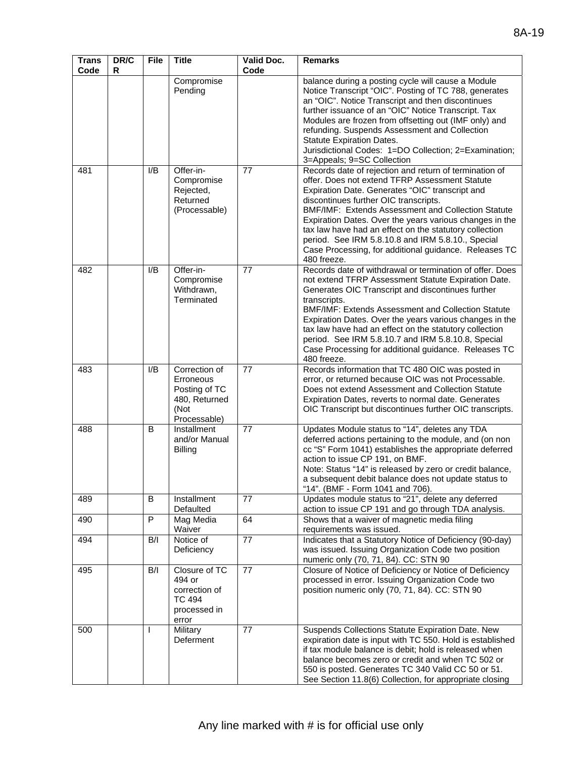| <b>Trans</b><br>Code | DR/C<br>R | <b>File</b>  | <b>Title</b>                                                                         | Valid Doc.<br>Code | <b>Remarks</b>                                                                                                                                                                                                                                                                                                                                                                                                                                                                                               |
|----------------------|-----------|--------------|--------------------------------------------------------------------------------------|--------------------|--------------------------------------------------------------------------------------------------------------------------------------------------------------------------------------------------------------------------------------------------------------------------------------------------------------------------------------------------------------------------------------------------------------------------------------------------------------------------------------------------------------|
|                      |           |              | Compromise<br>Pending                                                                |                    | balance during a posting cycle will cause a Module<br>Notice Transcript "OIC". Posting of TC 788, generates<br>an "OIC". Notice Transcript and then discontinues<br>further issuance of an "OIC" Notice Transcript. Tax<br>Modules are frozen from offsetting out (IMF only) and<br>refunding. Suspends Assessment and Collection<br>Statute Expiration Dates.<br>Jurisdictional Codes: 1=DO Collection; 2=Examination;<br>3=Appeals; 9=SC Collection                                                        |
| 481                  |           | I/B          | Offer-in-<br>Compromise<br>Rejected,<br>Returned<br>(Processable)                    | 77                 | Records date of rejection and return of termination of<br>offer. Does not extend TFRP Assessment Statute<br>Expiration Date. Generates "OIC" transcript and<br>discontinues further OIC transcripts.<br>BMF/IMF: Extends Assessment and Collection Statute<br>Expiration Dates. Over the years various changes in the<br>tax law have had an effect on the statutory collection<br>period. See IRM 5.8.10.8 and IRM 5.8.10., Special<br>Case Processing, for additional guidance. Releases TC<br>480 freeze. |
| 482                  |           | I/B          | Offer-in-<br>Compromise<br>Withdrawn,<br>Terminated                                  | 77                 | Records date of withdrawal or termination of offer. Does<br>not extend TFRP Assessment Statute Expiration Date.<br>Generates OIC Transcript and discontinues further<br>transcripts.<br><b>BMF/IMF: Extends Assessment and Collection Statute</b><br>Expiration Dates. Over the years various changes in the<br>tax law have had an effect on the statutory collection<br>period. See IRM 5.8.10.7 and IRM 5.8.10.8, Special<br>Case Processing for additional guidance. Releases TC<br>480 freeze.          |
| 483                  |           | I/B          | Correction of<br>Erroneous<br>Posting of TC<br>480, Returned<br>(Not<br>Processable) | 77                 | Records information that TC 480 OIC was posted in<br>error, or returned because OIC was not Processable.<br>Does not extend Assessment and Collection Statute<br>Expiration Dates, reverts to normal date. Generates<br>OIC Transcript but discontinues further OIC transcripts.                                                                                                                                                                                                                             |
| 488                  |           | B            | Installment<br>and/or Manual<br>Billing                                              | 77                 | Updates Module status to "14", deletes any TDA<br>deferred actions pertaining to the module, and (on non<br>cc "S" Form 1041) establishes the appropriate deferred<br>action to issue CP 191, on BMF.<br>Note: Status "14" is released by zero or credit balance,<br>a subsequent debit balance does not update status to<br>"14". (BMF - Form 1041 and 706).                                                                                                                                                |
| 489                  |           | В            | Installment<br>Defaulted                                                             | 77                 | Updates module status to "21", delete any deferred<br>action to issue CP 191 and go through TDA analysis.                                                                                                                                                                                                                                                                                                                                                                                                    |
| 490                  |           | P            | Mag Media<br>Waiver                                                                  | 64                 | Shows that a waiver of magnetic media filing<br>requirements was issued.                                                                                                                                                                                                                                                                                                                                                                                                                                     |
| 494                  |           | B/I          | Notice of<br>Deficiency                                                              | 77                 | Indicates that a Statutory Notice of Deficiency (90-day)<br>was issued. Issuing Organization Code two position<br>numeric only (70, 71, 84). CC: STN 90                                                                                                                                                                                                                                                                                                                                                      |
| 495                  |           | B/I          | Closure of TC<br>494 or<br>correction of<br><b>TC 494</b><br>processed in<br>error   | $\overline{77}$    | Closure of Notice of Deficiency or Notice of Deficiency<br>processed in error. Issuing Organization Code two<br>position numeric only (70, 71, 84). CC: STN 90                                                                                                                                                                                                                                                                                                                                               |
| 500                  |           | $\mathbf{I}$ | Military<br>Deferment                                                                | 77                 | Suspends Collections Statute Expiration Date. New<br>expiration date is input with TC 550. Hold is established<br>if tax module balance is debit; hold is released when<br>balance becomes zero or credit and when TC 502 or<br>550 is posted. Generates TC 340 Valid CC 50 or 51.<br>See Section 11.8(6) Collection, for appropriate closing                                                                                                                                                                |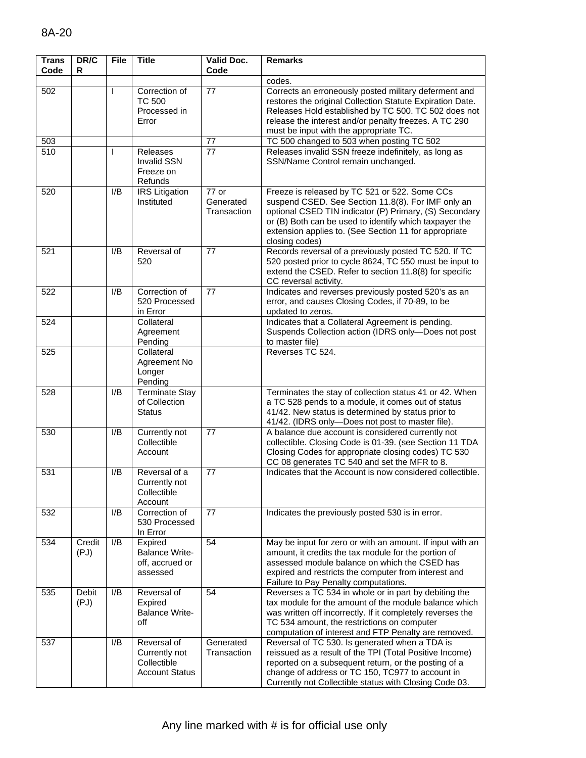| <b>Trans</b><br>Code | DR/C<br>R      | <b>File</b> | <b>Title</b>                                                         | <b>Valid Doc.</b><br>Code         | <b>Remarks</b>                                                                                                                                                                                                                                                                                     |
|----------------------|----------------|-------------|----------------------------------------------------------------------|-----------------------------------|----------------------------------------------------------------------------------------------------------------------------------------------------------------------------------------------------------------------------------------------------------------------------------------------------|
|                      |                |             |                                                                      |                                   | codes.                                                                                                                                                                                                                                                                                             |
| 502                  |                | L           | Correction of<br><b>TC 500</b><br>Processed in<br>Error              | 77                                | Corrects an erroneously posted military deferment and<br>restores the original Collection Statute Expiration Date.<br>Releases Hold established by TC 500. TC 502 does not<br>release the interest and/or penalty freezes. A TC 290<br>must be input with the appropriate TC.                      |
| 503                  |                |             |                                                                      | 77                                | TC 500 changed to 503 when posting TC 502                                                                                                                                                                                                                                                          |
| 510                  |                | L           | <b>Releases</b><br><b>Invalid SSN</b><br>Freeze on<br>Refunds        | 77                                | Releases invalid SSN freeze indefinitely, as long as<br>SSN/Name Control remain unchanged.                                                                                                                                                                                                         |
| 520                  |                | I/B         | <b>IRS</b> Litigation<br>Instituted                                  | 77 or<br>Generated<br>Transaction | Freeze is released by TC 521 or 522. Some CCs<br>suspend CSED. See Section 11.8(8). For IMF only an<br>optional CSED TIN indicator (P) Primary, (S) Secondary<br>or (B) Both can be used to identify which taxpayer the<br>extension applies to. (See Section 11 for appropriate<br>closing codes) |
| 521                  |                | I/B         | Reversal of<br>520                                                   | 77                                | Records reversal of a previously posted TC 520. If TC<br>520 posted prior to cycle 8624, TC 550 must be input to<br>extend the CSED. Refer to section 11.8(8) for specific<br>CC reversal activity.                                                                                                |
| 522                  |                | I/B         | Correction of<br>520 Processed<br>in Error                           | 77                                | Indicates and reverses previously posted 520's as an<br>error, and causes Closing Codes, if 70-89, to be<br>updated to zeros.                                                                                                                                                                      |
| 524                  |                |             | Collateral<br>Agreement<br>Pending                                   |                                   | Indicates that a Collateral Agreement is pending.<br>Suspends Collection action (IDRS only-Does not post<br>to master file)                                                                                                                                                                        |
| 525                  |                |             | Collateral<br>Agreement No<br>Longer<br>Pending                      |                                   | Reverses TC 524.                                                                                                                                                                                                                                                                                   |
| 528                  |                | I/B         | <b>Terminate Stay</b><br>of Collection<br>Status                     |                                   | Terminates the stay of collection status 41 or 42. When<br>a TC 528 pends to a module, it comes out of status<br>41/42. New status is determined by status prior to<br>41/42. (IDRS only-Does not post to master file).                                                                            |
| 530                  |                | I/B         | Currently not<br>Collectible<br>Account                              | 77                                | A balance due account is considered currently not<br>collectible. Closing Code is 01-39. (see Section 11 TDA<br>Closing Codes for appropriate closing codes) TC 530<br>CC 08 generates TC 540 and set the MFR to 8.                                                                                |
| 531                  |                | I/B         | Reversal of a<br>Currently not<br>Collectible<br>Account             | 77                                | Indicates that the Account is now considered collectible.                                                                                                                                                                                                                                          |
| 532                  |                | I/B         | Correction of<br>530 Processed<br>In Error                           | 77                                | Indicates the previously posted 530 is in error.                                                                                                                                                                                                                                                   |
| 534                  | Credit<br>(PJ) | I/B         | Expired<br><b>Balance Write-</b><br>off, accrued or<br>assessed      | 54                                | May be input for zero or with an amount. If input with an<br>amount, it credits the tax module for the portion of<br>assessed module balance on which the CSED has<br>expired and restricts the computer from interest and<br>Failure to Pay Penalty computations.                                 |
| 535                  | Debit<br>(PJ)  | I/B         | Reversal of<br>Expired<br><b>Balance Write-</b><br>off               | 54                                | Reverses a TC 534 in whole or in part by debiting the<br>tax module for the amount of the module balance which<br>was written off incorrectly. If it completely reverses the<br>TC 534 amount, the restrictions on computer<br>computation of interest and FTP Penalty are removed.                |
| 537                  |                | I/B         | Reversal of<br>Currently not<br>Collectible<br><b>Account Status</b> | Generated<br>Transaction          | Reversal of TC 530. Is generated when a TDA is<br>reissued as a result of the TPI (Total Positive Income)<br>reported on a subsequent return, or the posting of a<br>change of address or TC 150, TC977 to account in<br>Currently not Collectible status with Closing Code 03.                    |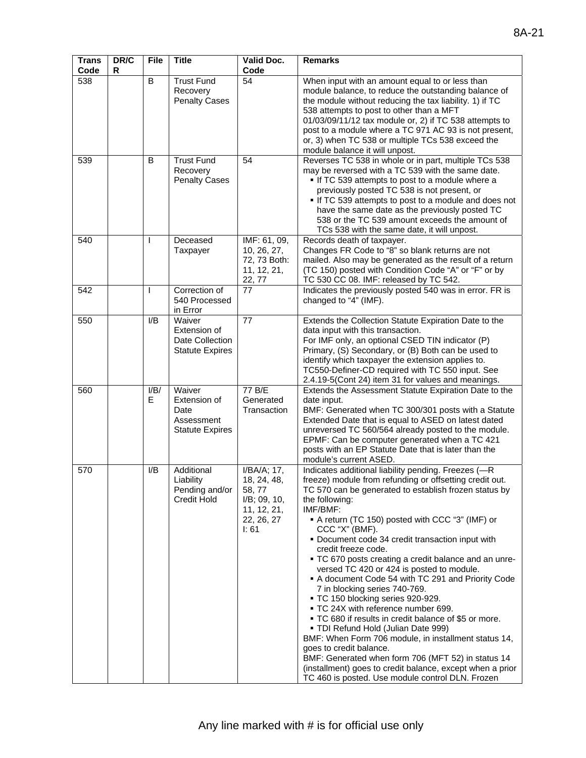| <b>Trans</b><br>Code | DR/C<br>R | <b>File</b>  | <b>Title</b>                                                           | Valid Doc.<br>Code                                                                            | <b>Remarks</b>                                                                                                                                                                                                                                                                                                                                                                                                                                                                                                                                                                                                                                                                                                                                                                                                                                                                                                                                                                      |
|----------------------|-----------|--------------|------------------------------------------------------------------------|-----------------------------------------------------------------------------------------------|-------------------------------------------------------------------------------------------------------------------------------------------------------------------------------------------------------------------------------------------------------------------------------------------------------------------------------------------------------------------------------------------------------------------------------------------------------------------------------------------------------------------------------------------------------------------------------------------------------------------------------------------------------------------------------------------------------------------------------------------------------------------------------------------------------------------------------------------------------------------------------------------------------------------------------------------------------------------------------------|
| 538                  |           | B            | <b>Trust Fund</b><br>Recovery<br><b>Penalty Cases</b>                  | 54                                                                                            | When input with an amount equal to or less than<br>module balance, to reduce the outstanding balance of<br>the module without reducing the tax liability. 1) if TC<br>538 attempts to post to other than a MFT<br>01/03/09/11/12 tax module or, 2) if TC 538 attempts to<br>post to a module where a TC 971 AC 93 is not present,<br>or, 3) when TC 538 or multiple TCs 538 exceed the<br>module balance it will unpost.                                                                                                                                                                                                                                                                                                                                                                                                                                                                                                                                                            |
| 539                  |           | B            | <b>Trust Fund</b><br>Recovery<br><b>Penalty Cases</b>                  | 54                                                                                            | Reverses TC 538 in whole or in part, multiple TCs 538<br>may be reversed with a TC 539 with the same date.<br>. If TC 539 attempts to post to a module where a<br>previously posted TC 538 is not present, or<br>If TC 539 attempts to post to a module and does not<br>have the same date as the previously posted TC<br>538 or the TC 539 amount exceeds the amount of<br>TCs 538 with the same date, it will unpost.                                                                                                                                                                                                                                                                                                                                                                                                                                                                                                                                                             |
| 540                  |           | $\mathbf{I}$ | Deceased<br>Taxpayer                                                   | IMF: 61, 09,<br>10, 26, 27,<br>72, 73 Both:<br>11, 12, 21,<br>22, 77                          | Records death of taxpayer.<br>Changes FR Code to "8" so blank returns are not<br>mailed. Also may be generated as the result of a return<br>(TC 150) posted with Condition Code "A" or "F" or by<br>TC 530 CC 08. IMF: released by TC 542.                                                                                                                                                                                                                                                                                                                                                                                                                                                                                                                                                                                                                                                                                                                                          |
| 542                  |           | I            | Correction of<br>540 Processed<br>in Error                             | 77                                                                                            | Indicates the previously posted 540 was in error. FR is<br>changed to "4" (IMF).                                                                                                                                                                                                                                                                                                                                                                                                                                                                                                                                                                                                                                                                                                                                                                                                                                                                                                    |
| 550                  |           | I/B          | Waiver<br>Extension of<br>Date Collection<br><b>Statute Expires</b>    | 77                                                                                            | Extends the Collection Statute Expiration Date to the<br>data input with this transaction.<br>For IMF only, an optional CSED TIN indicator (P)<br>Primary, (S) Secondary, or (B) Both can be used to<br>identify which taxpayer the extension applies to.<br>TC550-Definer-CD required with TC 550 input. See<br>2.4.19-5(Cont 24) item 31 for values and meanings.                                                                                                                                                                                                                                                                                                                                                                                                                                                                                                                                                                                                                 |
| 560                  |           | I/B/<br>E    | Waiver<br>Extension of<br>Date<br>Assessment<br><b>Statute Expires</b> | 77 B/E<br>Generated<br>Transaction                                                            | Extends the Assessment Statute Expiration Date to the<br>date input.<br>BMF: Generated when TC 300/301 posts with a Statute<br>Extended Date that is equal to ASED on latest dated<br>unreversed TC 560/564 already posted to the module.<br>EPMF: Can be computer generated when a TC 421<br>posts with an EP Statute Date that is later than the<br>module's current ASED.                                                                                                                                                                                                                                                                                                                                                                                                                                                                                                                                                                                                        |
| 570                  |           | I/B          | Additional<br>Liability<br>Pending and/or<br>Credit Hold               | I/BA/A; 17,<br>18, 24, 48,<br>58, 77<br>$I/B$ ; 09, 10,<br>11, 12, 21,<br>22, 26, 27<br>I: 61 | Indicates additional liability pending. Freezes (-R<br>freeze) module from refunding or offsetting credit out.<br>TC 570 can be generated to establish frozen status by<br>the following:<br>IMF/BMF:<br>A return (TC 150) posted with CCC "3" (IMF) or<br>CCC "X" (BMF).<br>• Document code 34 credit transaction input with<br>credit freeze code.<br>. TC 670 posts creating a credit balance and an unre-<br>versed TC 420 or 424 is posted to module.<br>A document Code 54 with TC 291 and Priority Code<br>7 in blocking series 740-769.<br>TC 150 blocking series 920-929.<br>■ TC 24X with reference number 699.<br>■ TC 680 if results in credit balance of \$5 or more.<br>" TDI Refund Hold (Julian Date 999)<br>BMF: When Form 706 module, in installment status 14,<br>goes to credit balance.<br>BMF: Generated when form 706 (MFT 52) in status 14<br>(installment) goes to credit balance, except when a prior<br>TC 460 is posted. Use module control DLN. Frozen |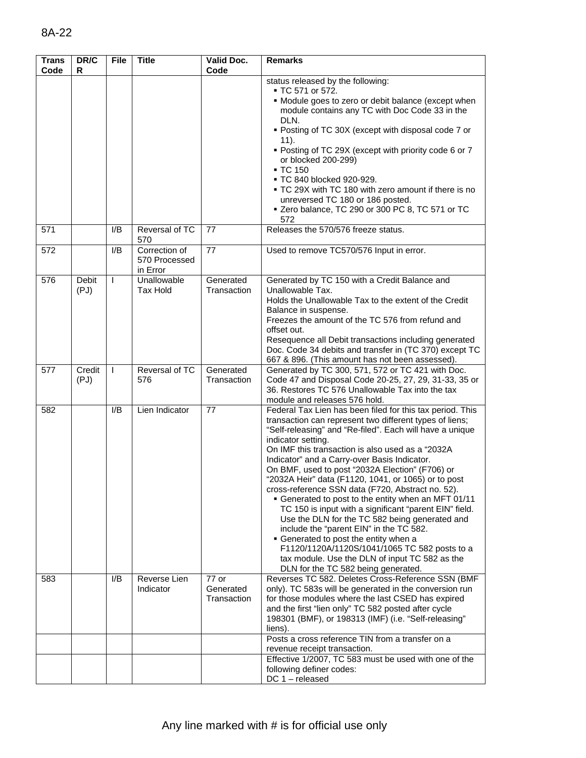| <b>Trans</b><br>Code | DR/C<br>R            | <b>File</b>  | <b>Title</b>                               | Valid Doc.<br>Code                  | <b>Remarks</b>                                                                                                                                                                                                                                                                                                                                                                                                                                                                                                                                                                                                                                                                                                                                                                                                                                                             |
|----------------------|----------------------|--------------|--------------------------------------------|-------------------------------------|----------------------------------------------------------------------------------------------------------------------------------------------------------------------------------------------------------------------------------------------------------------------------------------------------------------------------------------------------------------------------------------------------------------------------------------------------------------------------------------------------------------------------------------------------------------------------------------------------------------------------------------------------------------------------------------------------------------------------------------------------------------------------------------------------------------------------------------------------------------------------|
| 571                  |                      | I/B          | Reversal of TC                             | 77                                  | status released by the following:<br>■ TC 571 or 572.<br>• Module goes to zero or debit balance (except when<br>module contains any TC with Doc Code 33 in the<br>DLN.<br>• Posting of TC 30X (except with disposal code 7 or<br>11).<br>• Posting of TC 29X (except with priority code 6 or 7<br>or blocked 200-299)<br>• TC 150<br>■ TC 840 blocked 920-929.<br>. TC 29X with TC 180 with zero amount if there is no<br>unreversed TC 180 or 186 posted.<br>■ Zero balance, TC 290 or 300 PC 8, TC 571 or TC<br>572<br>Releases the 570/576 freeze status.                                                                                                                                                                                                                                                                                                               |
|                      |                      |              | 570                                        |                                     |                                                                                                                                                                                                                                                                                                                                                                                                                                                                                                                                                                                                                                                                                                                                                                                                                                                                            |
| 572                  |                      | I/B          | Correction of<br>570 Processed<br>in Error | 77                                  | Used to remove TC570/576 Input in error.                                                                                                                                                                                                                                                                                                                                                                                                                                                                                                                                                                                                                                                                                                                                                                                                                                   |
| 576                  | <b>Debit</b><br>(PJ) | $\mathbf{I}$ | Unallowable<br>Tax Hold                    | Generated<br>Transaction            | Generated by TC 150 with a Credit Balance and<br>Unallowable Tax.<br>Holds the Unallowable Tax to the extent of the Credit<br>Balance in suspense.<br>Freezes the amount of the TC 576 from refund and<br>offset out.<br>Resequence all Debit transactions including generated<br>Doc. Code 34 debits and transfer in (TC 370) except TC<br>667 & 896. (This amount has not been assessed).                                                                                                                                                                                                                                                                                                                                                                                                                                                                                |
| 577                  | Credit<br>(PJ)       | $\mathbf{I}$ | Reversal of TC<br>576                      | Generated<br>Transaction            | Generated by TC 300, 571, 572 or TC 421 with Doc.<br>Code 47 and Disposal Code 20-25, 27, 29, 31-33, 35 or<br>36. Restores TC 576 Unallowable Tax into the tax<br>module and releases 576 hold.                                                                                                                                                                                                                                                                                                                                                                                                                                                                                                                                                                                                                                                                            |
| 582                  |                      | I/B          | Lien Indicator                             | 77                                  | Federal Tax Lien has been filed for this tax period. This<br>transaction can represent two different types of liens;<br>"Self-releasing" and "Re-filed". Each will have a unique<br>indicator setting.<br>On IMF this transaction is also used as a "2032A<br>Indicator" and a Carry-over Basis Indicator.<br>On BMF, used to post "2032A Election" (F706) or<br>"2032A Heir" data (F1120, 1041, or 1065) or to post<br>cross-reference SSN data (F720, Abstract no. 52).<br>• Generated to post to the entity when an MFT 01/11<br>TC 150 is input with a significant "parent EIN" field.<br>Use the DLN for the TC 582 being generated and<br>include the "parent EIN" in the TC 582.<br>• Generated to post the entity when a<br>F1120/1120A/1120S/1041/1065 TC 582 posts to a<br>tax module. Use the DLN of input TC 582 as the<br>DLN for the TC 582 being generated. |
| 583                  |                      | I/B          | Reverse Lien<br>Indicator                  | $77$ or<br>Generated<br>Transaction | Reverses TC 582. Deletes Cross-Reference SSN (BMF<br>only). TC 583s will be generated in the conversion run<br>for those modules where the last CSED has expired<br>and the first "lien only" TC 582 posted after cycle<br>198301 (BMF), or 198313 (IMF) (i.e. "Self-releasing"<br>liens).                                                                                                                                                                                                                                                                                                                                                                                                                                                                                                                                                                                 |
|                      |                      |              |                                            |                                     | Posts a cross reference TIN from a transfer on a<br>revenue receipt transaction.                                                                                                                                                                                                                                                                                                                                                                                                                                                                                                                                                                                                                                                                                                                                                                                           |
|                      |                      |              |                                            |                                     | Effective 1/2007, TC 583 must be used with one of the<br>following definer codes:<br>DC 1 - released                                                                                                                                                                                                                                                                                                                                                                                                                                                                                                                                                                                                                                                                                                                                                                       |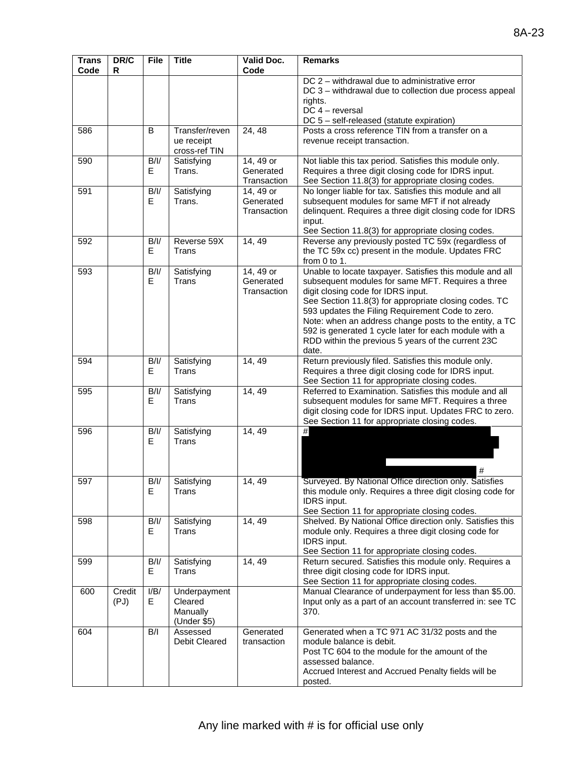| <b>Trans</b><br>Code | DR/C<br>R      | <b>File</b> | <b>Title</b>                                       | Valid Doc.<br>Code                    | <b>Remarks</b>                                                                                                                                                                                                                                                                                                                                                                                                                                     |
|----------------------|----------------|-------------|----------------------------------------------------|---------------------------------------|----------------------------------------------------------------------------------------------------------------------------------------------------------------------------------------------------------------------------------------------------------------------------------------------------------------------------------------------------------------------------------------------------------------------------------------------------|
|                      |                |             |                                                    |                                       | DC 2 - withdrawal due to administrative error<br>DC 3 - withdrawal due to collection due process appeal<br>rights.<br>$DC 4 - reversal$<br>DC 5 - self-released (statute expiration)                                                                                                                                                                                                                                                               |
| 586                  |                | B           | Transfer/reven<br>ue receipt<br>cross-ref TIN      | 24, 48                                | Posts a cross reference TIN from a transfer on a<br>revenue receipt transaction.                                                                                                                                                                                                                                                                                                                                                                   |
| 590                  |                | B/I/<br>E.  | Satisfying<br>Trans.                               | 14, 49 or<br>Generated<br>Transaction | Not liable this tax period. Satisfies this module only.<br>Requires a three digit closing code for IDRS input.<br>See Section 11.8(3) for appropriate closing codes.                                                                                                                                                                                                                                                                               |
| 591                  |                | B/I/<br>E.  | Satisfying<br>Trans.                               | 14, 49 or<br>Generated<br>Transaction | No longer liable for tax. Satisfies this module and all<br>subsequent modules for same MFT if not already<br>delinquent. Requires a three digit closing code for IDRS<br>input.<br>See Section 11.8(3) for appropriate closing codes.                                                                                                                                                                                                              |
| 592                  |                | B/I/<br>E   | Reverse 59X<br>Trans                               | 14, 49                                | Reverse any previously posted TC 59x (regardless of<br>the TC 59x cc) present in the module. Updates FRC<br>from $0$ to $1$ .                                                                                                                                                                                                                                                                                                                      |
| 593                  |                | B/I/<br>E   | Satisfying<br>Trans                                | 14, 49 or<br>Generated<br>Transaction | Unable to locate taxpayer. Satisfies this module and all<br>subsequent modules for same MFT. Requires a three<br>digit closing code for IDRS input.<br>See Section 11.8(3) for appropriate closing codes. TC<br>593 updates the Filing Requirement Code to zero.<br>Note: when an address change posts to the entity, a TC<br>592 is generated 1 cycle later for each module with a<br>RDD within the previous 5 years of the current 23C<br>date. |
| 594                  |                | B/I/<br>E.  | Satisfying<br>Trans                                | 14, 49                                | Return previously filed. Satisfies this module only.<br>Requires a three digit closing code for IDRS input.<br>See Section 11 for appropriate closing codes.                                                                                                                                                                                                                                                                                       |
| 595                  |                | B/I/<br>E.  | Satisfying<br>Trans                                | 14, 49                                | Referred to Examination. Satisfies this module and all<br>subsequent modules for same MFT. Requires a three<br>digit closing code for IDRS input. Updates FRC to zero.<br>See Section 11 for appropriate closing codes.                                                                                                                                                                                                                            |
| 596                  |                | B/I/<br>E.  | Satisfying<br>Trans                                | 14, 49                                | $\#$<br>#                                                                                                                                                                                                                                                                                                                                                                                                                                          |
| 597                  |                | B/I/<br>E   | Satisfying<br>Trans                                | 14, 49                                | Surveyed. By National Office direction only. Satisfies<br>this module only. Requires a three digit closing code for<br>IDRS input.<br>See Section 11 for appropriate closing codes.                                                                                                                                                                                                                                                                |
| 598                  |                | B/I/<br>Е.  | Satisfying<br>Trans                                | 14, 49                                | Shelved. By National Office direction only. Satisfies this<br>module only. Requires a three digit closing code for<br>IDRS input.<br>See Section 11 for appropriate closing codes.                                                                                                                                                                                                                                                                 |
| 599                  |                | B/I/<br>Е.  | Satisfying<br>Trans                                | 14, 49                                | Return secured. Satisfies this module only. Requires a<br>three digit closing code for IDRS input.<br>See Section 11 for appropriate closing codes.                                                                                                                                                                                                                                                                                                |
| 600                  | Credit<br>(PJ) | I/B/<br>E.  | Underpayment<br>Cleared<br>Manually<br>(Under \$5) |                                       | Manual Clearance of underpayment for less than \$5.00.<br>Input only as a part of an account transferred in: see TC<br>370.                                                                                                                                                                                                                                                                                                                        |
| 604                  |                | B/I         | Assessed<br>Debit Cleared                          | Generated<br>transaction              | Generated when a TC 971 AC 31/32 posts and the<br>module balance is debit.<br>Post TC 604 to the module for the amount of the<br>assessed balance.<br>Accrued Interest and Accrued Penalty fields will be<br>posted.                                                                                                                                                                                                                               |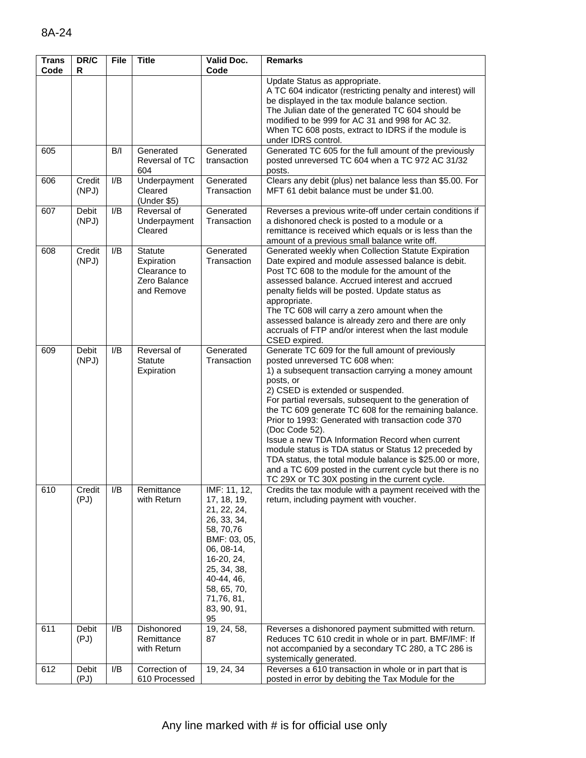| <b>Trans</b><br>Code | DR/C<br>R             | File | <b>Title</b>                                                        | Valid Doc.<br>Code                                                                                                                                                                                 | <b>Remarks</b>                                                                                                                                                                                                                                                                                                                                                                                                                                                                                                                                                                                                                                                               |
|----------------------|-----------------------|------|---------------------------------------------------------------------|----------------------------------------------------------------------------------------------------------------------------------------------------------------------------------------------------|------------------------------------------------------------------------------------------------------------------------------------------------------------------------------------------------------------------------------------------------------------------------------------------------------------------------------------------------------------------------------------------------------------------------------------------------------------------------------------------------------------------------------------------------------------------------------------------------------------------------------------------------------------------------------|
|                      |                       |      |                                                                     |                                                                                                                                                                                                    | Update Status as appropriate.<br>A TC 604 indicator (restricting penalty and interest) will<br>be displayed in the tax module balance section.<br>The Julian date of the generated TC 604 should be<br>modified to be 999 for AC 31 and 998 for AC 32.<br>When TC 608 posts, extract to IDRS if the module is<br>under IDRS control.                                                                                                                                                                                                                                                                                                                                         |
| 605                  |                       | B/I  | Generated<br>Reversal of TC<br>604                                  | Generated<br>transaction                                                                                                                                                                           | Generated TC 605 for the full amount of the previously<br>posted unreversed TC 604 when a TC 972 AC 31/32<br>posts.                                                                                                                                                                                                                                                                                                                                                                                                                                                                                                                                                          |
| 606                  | Credit<br>(NPJ)       | I/B  | Underpayment<br>Cleared<br>(Under \$5)                              | Generated<br>Transaction                                                                                                                                                                           | Clears any debit (plus) net balance less than \$5.00. For<br>MFT 61 debit balance must be under \$1.00.                                                                                                                                                                                                                                                                                                                                                                                                                                                                                                                                                                      |
| 607                  | Debit<br>(NPJ)        | I/B  | Reversal of<br>Underpayment<br>Cleared                              | Generated<br>Transaction                                                                                                                                                                           | Reverses a previous write-off under certain conditions if<br>a dishonored check is posted to a module or a<br>remittance is received which equals or is less than the<br>amount of a previous small balance write off.                                                                                                                                                                                                                                                                                                                                                                                                                                                       |
| 608                  | Credit<br>(NPJ)       | I/B  | Statute<br>Expiration<br>Clearance to<br>Zero Balance<br>and Remove | Generated<br>Transaction                                                                                                                                                                           | Generated weekly when Collection Statute Expiration<br>Date expired and module assessed balance is debit.<br>Post TC 608 to the module for the amount of the<br>assessed balance. Accrued interest and accrued<br>penalty fields will be posted. Update status as<br>appropriate.<br>The TC 608 will carry a zero amount when the<br>assessed balance is already zero and there are only<br>accruals of FTP and/or interest when the last module<br>CSED expired.                                                                                                                                                                                                            |
| 609                  | <b>Debit</b><br>(NPJ) | I/B  | Reversal of<br><b>Statute</b><br>Expiration                         | Generated<br>Transaction                                                                                                                                                                           | Generate TC 609 for the full amount of previously<br>posted unreversed TC 608 when:<br>1) a subsequent transaction carrying a money amount<br>posts, or<br>2) CSED is extended or suspended.<br>For partial reversals, subsequent to the generation of<br>the TC 609 generate TC 608 for the remaining balance.<br>Prior to 1993: Generated with transaction code 370<br>(Doc Code 52).<br>Issue a new TDA Information Record when current<br>module status is TDA status or Status 12 preceded by<br>TDA status, the total module balance is \$25.00 or more,<br>and a TC 609 posted in the current cycle but there is no<br>TC 29X or TC 30X posting in the current cycle. |
| 610                  | Credit<br>(PJ)        | I/B  | Remittance<br>with Return                                           | IMF: 11, 12,<br>17, 18, 19,<br>21, 22, 24,<br>26, 33, 34,<br>58, 70, 76<br>BMF: 03, 05,<br>06, 08-14,<br>16-20, 24,<br>25, 34, 38,<br>40-44, 46,<br>58, 65, 70,<br>71,76, 81,<br>83, 90, 91,<br>95 | Credits the tax module with a payment received with the<br>return, including payment with voucher.                                                                                                                                                                                                                                                                                                                                                                                                                                                                                                                                                                           |
| 611                  | Debit<br>(PJ)         | I/B  | Dishonored<br>Remittance<br>with Return                             | 19, 24, 58,<br>87                                                                                                                                                                                  | Reverses a dishonored payment submitted with return.<br>Reduces TC 610 credit in whole or in part. BMF/IMF: If<br>not accompanied by a secondary TC 280, a TC 286 is<br>systemically generated.                                                                                                                                                                                                                                                                                                                                                                                                                                                                              |
| 612                  | Debit<br>(PJ)         | I/B  | Correction of<br>610 Processed                                      | 19, 24, 34                                                                                                                                                                                         | Reverses a 610 transaction in whole or in part that is<br>posted in error by debiting the Tax Module for the                                                                                                                                                                                                                                                                                                                                                                                                                                                                                                                                                                 |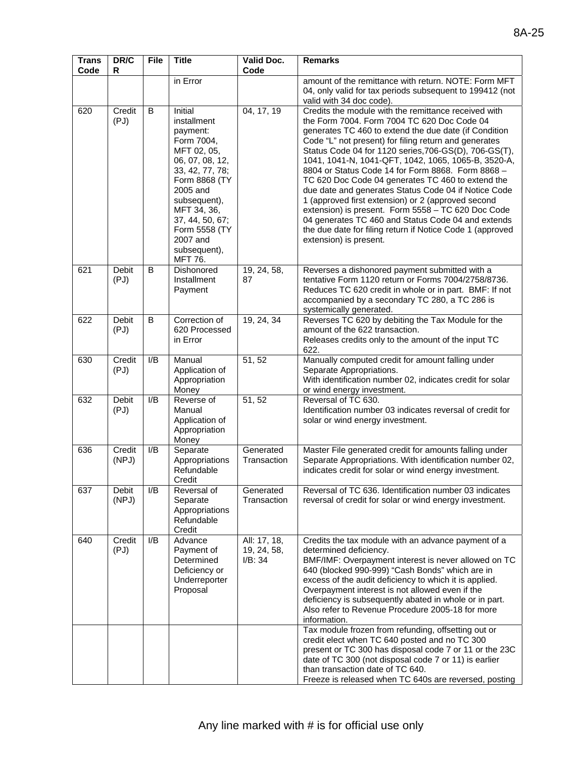| <b>Trans</b><br>Code | DR/C<br>R            | <b>File</b> | <b>Title</b>                                                                                                                                                                                                                                        | Valid Doc.<br>Code                     | <b>Remarks</b>                                                                                                                                                                                                                                                                                                                                                                                                                                                                                                                                                                                                                                                                                                                                                   |
|----------------------|----------------------|-------------|-----------------------------------------------------------------------------------------------------------------------------------------------------------------------------------------------------------------------------------------------------|----------------------------------------|------------------------------------------------------------------------------------------------------------------------------------------------------------------------------------------------------------------------------------------------------------------------------------------------------------------------------------------------------------------------------------------------------------------------------------------------------------------------------------------------------------------------------------------------------------------------------------------------------------------------------------------------------------------------------------------------------------------------------------------------------------------|
|                      |                      |             | in Error                                                                                                                                                                                                                                            |                                        | amount of the remittance with return. NOTE: Form MFT<br>04, only valid for tax periods subsequent to 199412 (not<br>valid with 34 doc code).                                                                                                                                                                                                                                                                                                                                                                                                                                                                                                                                                                                                                     |
| 620                  | Credit<br>(PJ)       | B           | Initial<br>installment<br>payment:<br>Form 7004,<br>MFT 02, 05,<br>06, 07, 08, 12,<br>33, 42, 77, 78;<br>Form 8868 (TY<br>2005 and<br>subsequent),<br>MFT 34, 36,<br>37, 44, 50, 67;<br>Form 5558 (TY<br>2007 and<br>subsequent),<br><b>MFT 76.</b> | 04, 17, 19                             | Credits the module with the remittance received with<br>the Form 7004. Form 7004 TC 620 Doc Code 04<br>generates TC 460 to extend the due date (if Condition<br>Code "L" not present) for filing return and generates<br>Status Code 04 for 1120 series, 706-GS(D), 706-GS(T),<br>1041, 1041-N, 1041-QFT, 1042, 1065, 1065-B, 3520-A,<br>8804 or Status Code 14 for Form 8868. Form 8868 -<br>TC 620 Doc Code 04 generates TC 460 to extend the<br>due date and generates Status Code 04 if Notice Code<br>1 (approved first extension) or 2 (approved second<br>extension) is present. Form 5558 - TC 620 Doc Code<br>04 generates TC 460 and Status Code 04 and extends<br>the due date for filing return if Notice Code 1 (approved<br>extension) is present. |
| 621                  | <b>Debit</b><br>(PJ) | B           | Dishonored<br>Installment<br>Payment                                                                                                                                                                                                                | 19, 24, 58,<br>87                      | Reverses a dishonored payment submitted with a<br>tentative Form 1120 return or Forms 7004/2758/8736.<br>Reduces TC 620 credit in whole or in part. BMF: If not<br>accompanied by a secondary TC 280, a TC 286 is<br>systemically generated.                                                                                                                                                                                                                                                                                                                                                                                                                                                                                                                     |
| 622                  | <b>Debit</b><br>(PJ) | B           | Correction of<br>620 Processed<br>in Error                                                                                                                                                                                                          | 19, 24, 34                             | Reverses TC 620 by debiting the Tax Module for the<br>amount of the 622 transaction.<br>Releases credits only to the amount of the input TC<br>622.                                                                                                                                                                                                                                                                                                                                                                                                                                                                                                                                                                                                              |
| 630                  | Credit<br>(PJ)       | I/B         | Manual<br>Application of<br>Appropriation<br>Money                                                                                                                                                                                                  | 51, 52                                 | Manually computed credit for amount falling under<br>Separate Appropriations.<br>With identification number 02, indicates credit for solar<br>or wind energy investment.                                                                                                                                                                                                                                                                                                                                                                                                                                                                                                                                                                                         |
| 632                  | <b>Debit</b><br>(PJ) | I/B         | Reverse of<br>Manual<br>Application of<br>Appropriation<br>Money                                                                                                                                                                                    | 51, 52                                 | Reversal of TC 630.<br>Identification number 03 indicates reversal of credit for<br>solar or wind energy investment.                                                                                                                                                                                                                                                                                                                                                                                                                                                                                                                                                                                                                                             |
| 636                  | Credit<br>(NPJ)      | I/B         | Separate<br>Appropriations<br>Refundable<br>Credit                                                                                                                                                                                                  | Generated<br>Transaction               | Master File generated credit for amounts falling under<br>Separate Appropriations. With identification number 02,<br>indicates credit for solar or wind energy investment.                                                                                                                                                                                                                                                                                                                                                                                                                                                                                                                                                                                       |
| 637                  | Debit<br>(NPJ)       | I/B         | Reversal of<br>Separate<br>Appropriations<br>Refundable<br>Credit                                                                                                                                                                                   | Generated<br>Transaction               | Reversal of TC 636. Identification number 03 indicates<br>reversal of credit for solar or wind energy investment.                                                                                                                                                                                                                                                                                                                                                                                                                                                                                                                                                                                                                                                |
| 640                  | Credit<br>(PJ)       | I/B         | Advance<br>Payment of<br>Determined<br>Deficiency or<br>Underreporter<br>Proposal                                                                                                                                                                   | All: 17, 18,<br>19, 24, 58,<br>I/B: 34 | Credits the tax module with an advance payment of a<br>determined deficiency.<br>BMF/IMF: Overpayment interest is never allowed on TC<br>640 (blocked 990-999) "Cash Bonds" which are in<br>excess of the audit deficiency to which it is applied.<br>Overpayment interest is not allowed even if the<br>deficiency is subsequently abated in whole or in part.<br>Also refer to Revenue Procedure 2005-18 for more<br>information.                                                                                                                                                                                                                                                                                                                              |
|                      |                      |             |                                                                                                                                                                                                                                                     |                                        | Tax module frozen from refunding, offsetting out or<br>credit elect when TC 640 posted and no TC 300<br>present or TC 300 has disposal code 7 or 11 or the 23C<br>date of TC 300 (not disposal code 7 or 11) is earlier<br>than transaction date of TC 640.<br>Freeze is released when TC 640s are reversed, posting                                                                                                                                                                                                                                                                                                                                                                                                                                             |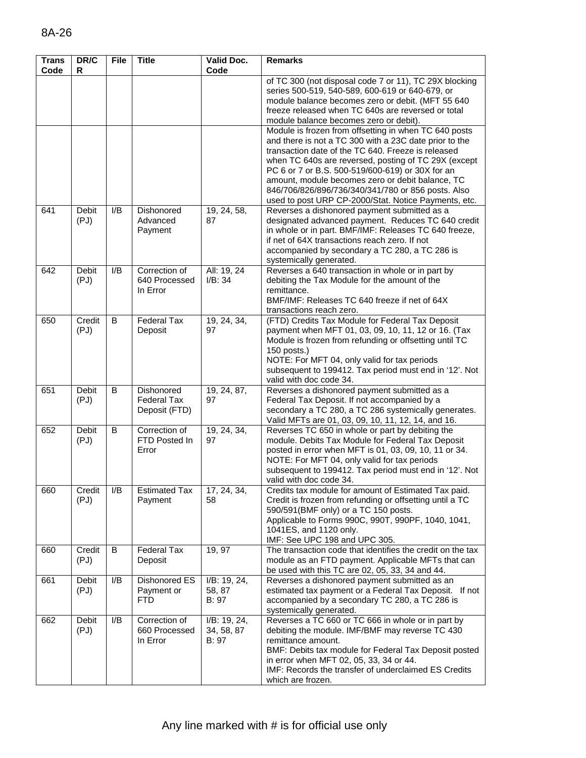| <b>Trans</b><br>Code | DR/C<br>R            | <b>File</b> | <b>Title</b>                                      | <b>Valid Doc.</b><br>Code           | <b>Remarks</b>                                                                                                                                                                                                                                                                                                                                                                             |
|----------------------|----------------------|-------------|---------------------------------------------------|-------------------------------------|--------------------------------------------------------------------------------------------------------------------------------------------------------------------------------------------------------------------------------------------------------------------------------------------------------------------------------------------------------------------------------------------|
|                      |                      |             |                                                   |                                     | of TC 300 (not disposal code 7 or 11), TC 29X blocking<br>series 500-519, 540-589, 600-619 or 640-679, or<br>module balance becomes zero or debit. (MFT 55 640<br>freeze released when TC 640s are reversed or total                                                                                                                                                                       |
|                      |                      |             |                                                   |                                     | module balance becomes zero or debit).<br>Module is frozen from offsetting in when TC 640 posts                                                                                                                                                                                                                                                                                            |
|                      |                      |             |                                                   |                                     | and there is not a TC 300 with a 23C date prior to the<br>transaction date of the TC 640. Freeze is released<br>when TC 640s are reversed, posting of TC 29X (except<br>PC 6 or 7 or B.S. 500-519/600-619) or 30X for an<br>amount, module becomes zero or debit balance, TC<br>846/706/826/896/736/340/341/780 or 856 posts. Also<br>used to post URP CP-2000/Stat. Notice Payments, etc. |
| 641                  | <b>Debit</b><br>(PJ) | I/B         | Dishonored<br>Advanced<br>Payment                 | 19, 24, 58,<br>87                   | Reverses a dishonored payment submitted as a<br>designated advanced payment. Reduces TC 640 credit<br>in whole or in part. BMF/IMF: Releases TC 640 freeze,<br>if net of 64X transactions reach zero. If not<br>accompanied by secondary a TC 280, a TC 286 is<br>systemically generated.                                                                                                  |
| 642                  | Debit<br>(PJ)        | I/B         | Correction of<br>640 Processed<br>In Error        | All: 19, 24<br>I/B: 34              | Reverses a 640 transaction in whole or in part by<br>debiting the Tax Module for the amount of the<br>remittance.<br>BMF/IMF: Releases TC 640 freeze if net of 64X<br>transactions reach zero.                                                                                                                                                                                             |
| 650                  | Credit<br>(PJ)       | B           | <b>Federal Tax</b><br>Deposit                     | 19, 24, 34,<br>97                   | (FTD) Credits Tax Module for Federal Tax Deposit<br>payment when MFT 01, 03, 09, 10, 11, 12 or 16. (Tax<br>Module is frozen from refunding or offsetting until TC<br>150 posts.)<br>NOTE: For MFT 04, only valid for tax periods<br>subsequent to 199412. Tax period must end in '12'. Not<br>valid with doc code 34.                                                                      |
| 651                  | <b>Debit</b><br>(PJ) | B           | Dishonored<br><b>Federal Tax</b><br>Deposit (FTD) | 19, 24, 87,<br>97                   | Reverses a dishonored payment submitted as a<br>Federal Tax Deposit. If not accompanied by a<br>secondary a TC 280, a TC 286 systemically generates.<br>Valid MFTs are 01, 03, 09, 10, 11, 12, 14, and 16.                                                                                                                                                                                 |
| 652                  | <b>Debit</b><br>(PJ) | B           | Correction of<br>FTD Posted In<br>Error           | 19, 24, 34,<br>97                   | Reverses TC 650 in whole or part by debiting the<br>module. Debits Tax Module for Federal Tax Deposit<br>posted in error when MFT is 01, 03, 09, 10, 11 or 34.<br>NOTE: For MFT 04, only valid for tax periods<br>subsequent to 199412. Tax period must end in '12'. Not<br>valid with doc code 34.                                                                                        |
| 660                  | Credit<br>(PJ)       | I/B         | <b>Estimated Tax</b><br>Payment                   | 17, 24, 34,<br>58                   | Credits tax module for amount of Estimated Tax paid.<br>Credit is frozen from refunding or offsetting until a TC<br>590/591 (BMF only) or a TC 150 posts.<br>Applicable to Forms 990C, 990T, 990PF, 1040, 1041,<br>1041ES, and 1120 only.<br>IMF: See UPC 198 and UPC 305.                                                                                                                 |
| 660                  | Credit<br>(PJ)       | B           | <b>Federal Tax</b><br>Deposit                     | 19, 97                              | The transaction code that identifies the credit on the tax<br>module as an FTD payment. Applicable MFTs that can<br>be used with this TC are 02, 05, 33, 34 and 44.                                                                                                                                                                                                                        |
| 661                  | <b>Debit</b><br>(PJ) | I/B         | Dishonored ES<br>Payment or<br><b>FTD</b>         | I/B: 19, 24,<br>58, 87<br>B: 97     | Reverses a dishonored payment submitted as an<br>estimated tax payment or a Federal Tax Deposit. If not<br>accompanied by a secondary TC 280, a TC 286 is<br>systemically generated.                                                                                                                                                                                                       |
| 662                  | Debit<br>(PJ)        | I/B         | Correction of<br>660 Processed<br>In Error        | I/B: 19, 24,<br>34, 58, 87<br>B: 97 | Reverses a TC 660 or TC 666 in whole or in part by<br>debiting the module. IMF/BMF may reverse TC 430<br>remittance amount.<br>BMF: Debits tax module for Federal Tax Deposit posted<br>in error when MFT 02, 05, 33, 34 or 44.<br>IMF: Records the transfer of underclaimed ES Credits<br>which are frozen.                                                                               |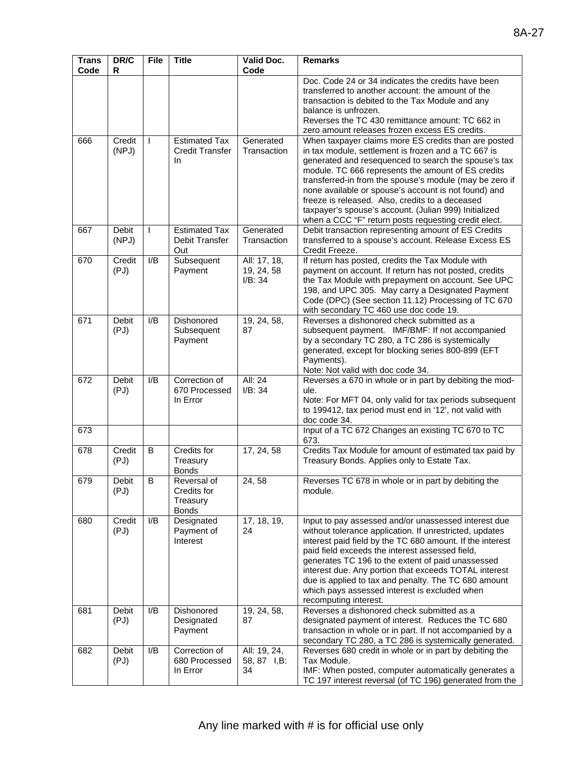| <b>Trans</b><br>Code | DR/C<br>R             | <b>File</b>  | <b>Title</b>                                           | <b>Valid Doc.</b><br>Code             | <b>Remarks</b>                                                                                                                                                                                                                                                                                                                                                                                                                                                                                                   |
|----------------------|-----------------------|--------------|--------------------------------------------------------|---------------------------------------|------------------------------------------------------------------------------------------------------------------------------------------------------------------------------------------------------------------------------------------------------------------------------------------------------------------------------------------------------------------------------------------------------------------------------------------------------------------------------------------------------------------|
|                      |                       |              |                                                        |                                       | Doc. Code 24 or 34 indicates the credits have been<br>transferred to another account: the amount of the<br>transaction is debited to the Tax Module and any<br>balance is unfrozen.<br>Reverses the TC 430 remittance amount: TC 662 in<br>zero amount releases frozen excess ES credits.                                                                                                                                                                                                                        |
| 666                  | Credit<br>(NPJ)       | $\mathbf{I}$ | <b>Estimated Tax</b><br><b>Credit Transfer</b><br>In.  | Generated<br>Transaction              | When taxpayer claims more ES credits than are posted<br>in tax module, settlement is frozen and a TC 667 is<br>generated and resequenced to search the spouse's tax<br>module. TC 666 represents the amount of ES credits<br>transferred-in from the spouse's module (may be zero if<br>none available or spouse's account is not found) and<br>freeze is released. Also, credits to a deceased<br>taxpayer's spouse's account. (Julian 999) Initialized<br>when a CCC "F" return posts requesting credit elect. |
| 667                  | <b>Debit</b><br>(NPJ) | $\mathsf{I}$ | <b>Estimated Tax</b><br>Debit Transfer<br>Out          | Generated<br>Transaction              | Debit transaction representing amount of ES Credits<br>transferred to a spouse's account. Release Excess ES<br>Credit Freeze.                                                                                                                                                                                                                                                                                                                                                                                    |
| 670                  | Credit<br>(PJ)        | I/B          | Subsequent<br>Payment                                  | All: 17, 18,<br>19, 24, 58<br>I/B: 34 | If return has posted, credits the Tax Module with<br>payment on account. If return has not posted, credits<br>the Tax Module with prepayment on account. See UPC<br>198, and UPC 305. May carry a Designated Payment<br>Code (DPC) (See section 11.12) Processing of TC 670<br>with secondary TC 460 use doc code 19.                                                                                                                                                                                            |
| 671                  | Debit<br>(PJ)         | I/B          | Dishonored<br>Subsequent<br>Payment                    | 19, 24, 58,<br>87                     | Reverses a dishonored check submitted as a<br>subsequent payment. IMF/BMF: If not accompanied<br>by a secondary TC 280, a TC 286 is systemically<br>generated, except for blocking series 800-899 (EFT<br>Payments).<br>Note: Not valid with doc code 34.                                                                                                                                                                                                                                                        |
| 672                  | <b>Debit</b><br>(PJ)  | I/B          | Correction of<br>670 Processed<br>In Error             | All: 24<br>I/B: 34                    | Reverses a 670 in whole or in part by debiting the mod-<br>ule.<br>Note: For MFT 04, only valid for tax periods subsequent<br>to 199412, tax period must end in '12', not valid with<br>doc code 34.                                                                                                                                                                                                                                                                                                             |
| 673                  |                       |              |                                                        |                                       | Input of a TC 672 Changes an existing TC 670 to TC<br>673.                                                                                                                                                                                                                                                                                                                                                                                                                                                       |
| 678                  | Credit<br>(PJ)        | B            | Credits for<br>Treasury<br><b>Bonds</b>                | 17, 24, 58                            | Credits Tax Module for amount of estimated tax paid by<br>Treasury Bonds. Applies only to Estate Tax.                                                                                                                                                                                                                                                                                                                                                                                                            |
| 679                  | Debit<br>(PJ)         | B            | Reversal of<br>Credits for<br>Treasury<br><b>Bonds</b> | 24, 58                                | Reverses TC 678 in whole or in part by debiting the<br>module.                                                                                                                                                                                                                                                                                                                                                                                                                                                   |
| 680                  | Credit<br>(PJ)        | I/B          | Designated<br>Payment of<br>Interest                   | 17, 18, 19,<br>24                     | Input to pay assessed and/or unassessed interest due<br>without tolerance application. If unrestricted, updates<br>interest paid field by the TC 680 amount. If the interest<br>paid field exceeds the interest assessed field,<br>generates TC 196 to the extent of paid unassessed<br>interest due. Any portion that exceeds TOTAL interest<br>due is applied to tax and penalty. The TC 680 amount<br>which pays assessed interest is excluded when<br>recomputing interest.                                  |
| 681                  | Debit<br>(PJ)         | I/B          | Dishonored<br>Designated<br>Payment                    | 19, 24, 58,<br>87                     | Reverses a dishonored check submitted as a<br>designated payment of interest. Reduces the TC 680<br>transaction in whole or in part. If not accompanied by a<br>secondary TC 280, a TC 286 is systemically generated.                                                                                                                                                                                                                                                                                            |
| 682                  | Debit<br>(PJ)         | I/B          | Correction of<br>680 Processed<br>In Error             | All: 19, 24,<br>58, 87 I,B:<br>34     | Reverses 680 credit in whole or in part by debiting the<br>Tax Module.<br>IMF: When posted, computer automatically generates a<br>TC 197 interest reversal (of TC 196) generated from the                                                                                                                                                                                                                                                                                                                        |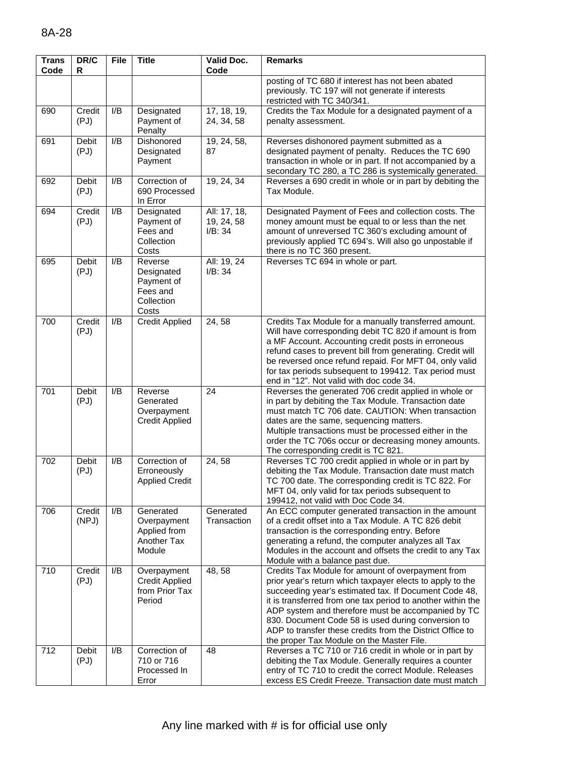| <b>Trans</b><br>Code | DR/C<br>R            | <b>File</b>      | <b>Title</b>                                                           | Valid Doc.<br>Code                    | <b>Remarks</b>                                                                                                                                                                                                                                                                                                                                                                                                                                               |
|----------------------|----------------------|------------------|------------------------------------------------------------------------|---------------------------------------|--------------------------------------------------------------------------------------------------------------------------------------------------------------------------------------------------------------------------------------------------------------------------------------------------------------------------------------------------------------------------------------------------------------------------------------------------------------|
|                      |                      |                  |                                                                        |                                       | posting of TC 680 if interest has not been abated<br>previously. TC 197 will not generate if interests<br>restricted with TC 340/341.                                                                                                                                                                                                                                                                                                                        |
| 690                  | Credit<br>(PJ)       | I/B              | Designated<br>Payment of<br>Penalty                                    | 17, 18, 19,<br>24, 34, 58             | Credits the Tax Module for a designated payment of a<br>penalty assessment.                                                                                                                                                                                                                                                                                                                                                                                  |
| 691                  | <b>Debit</b><br>(PJ) | I/B              | Dishonored<br>Designated<br>Payment                                    | 19, 24, 58,<br>87                     | Reverses dishonored payment submitted as a<br>designated payment of penalty. Reduces the TC 690<br>transaction in whole or in part. If not accompanied by a<br>secondary TC 280, a TC 286 is systemically generated.                                                                                                                                                                                                                                         |
| 692                  | <b>Debit</b><br>(PJ) | I/B              | Correction of<br>690 Processed<br>In Error                             | 19, 24, 34                            | Reverses a 690 credit in whole or in part by debiting the<br>Tax Module.                                                                                                                                                                                                                                                                                                                                                                                     |
| 694                  | Credit<br>(PJ)       | I/B              | Designated<br>Payment of<br>Fees and<br>Collection<br>Costs            | All: 17, 18,<br>19, 24, 58<br>I/B: 34 | Designated Payment of Fees and collection costs. The<br>money amount must be equal to or less than the net<br>amount of unreversed TC 360's excluding amount of<br>previously applied TC 694's. Will also go unpostable if<br>there is no TC 360 present.                                                                                                                                                                                                    |
| 695                  | <b>Debit</b><br>(PJ) | I/B              | Reverse<br>Designated<br>Payment of<br>Fees and<br>Collection<br>Costs | All: 19, 24<br>I/B: 34                | Reverses TC 694 in whole or part.                                                                                                                                                                                                                                                                                                                                                                                                                            |
| 700                  | Credit<br>(PJ)       | I/B              | <b>Credit Applied</b>                                                  | 24,58                                 | Credits Tax Module for a manually transferred amount.<br>Will have corresponding debit TC 820 if amount is from<br>a MF Account. Accounting credit posts in erroneous<br>refund cases to prevent bill from generating. Credit will<br>be reversed once refund repaid. For MFT 04, only valid<br>for tax periods subsequent to 199412. Tax period must<br>end in "12". Not valid with doc code 34.                                                            |
| 701                  | Debit<br>(PJ)        | I/B              | Reverse<br>Generated<br>Overpayment<br><b>Credit Applied</b>           | 24                                    | Reverses the generated 706 credit applied in whole or<br>in part by debiting the Tax Module. Transaction date<br>must match TC 706 date. CAUTION: When transaction<br>dates are the same, sequencing matters.<br>Multiple transactions must be processed either in the<br>order the TC 706s occur or decreasing money amounts.<br>The corresponding credit is TC 821.                                                                                        |
| 702                  | Debit<br>(PJ)        | I/B              | Correction of<br>Erroneously<br><b>Applied Credit</b>                  | 24,58                                 | Reverses TC 700 credit applied in whole or in part by<br>debiting the Tax Module. Transaction date must match<br>TC 700 date. The corresponding credit is TC 822. For<br>MFT 04, only valid for tax periods subsequent to<br>199412, not valid with Doc Code 34.                                                                                                                                                                                             |
| 706                  | Credit<br>(NPJ)      | I/B              | Generated<br>Overpayment<br>Applied from<br>Another Tax<br>Module      | Generated<br>Transaction              | An ECC computer generated transaction in the amount<br>of a credit offset into a Tax Module. A TC 826 debit<br>transaction is the corresponding entry. Before<br>generating a refund, the computer analyzes all Tax<br>Modules in the account and offsets the credit to any Tax<br>Module with a balance past due.                                                                                                                                           |
| 710                  | Credit<br>(PJ)       | I/B              | Overpayment<br><b>Credit Applied</b><br>from Prior Tax<br>Period       | 48, 58                                | Credits Tax Module for amount of overpayment from<br>prior year's return which taxpayer elects to apply to the<br>succeeding year's estimated tax. If Document Code 48,<br>it is transferred from one tax period to another within the<br>ADP system and therefore must be accompanied by TC<br>830. Document Code 58 is used during conversion to<br>ADP to transfer these credits from the District Office to<br>the proper Tax Module on the Master File. |
| $\overline{712}$     | Debit<br>(PJ)        | $\overline{I/B}$ | Correction of<br>710 or 716<br>Processed In<br>Error                   | 48                                    | Reverses a TC 710 or 716 credit in whole or in part by<br>debiting the Tax Module. Generally requires a counter<br>entry of TC 710 to credit the correct Module. Releases<br>excess ES Credit Freeze. Transaction date must match                                                                                                                                                                                                                            |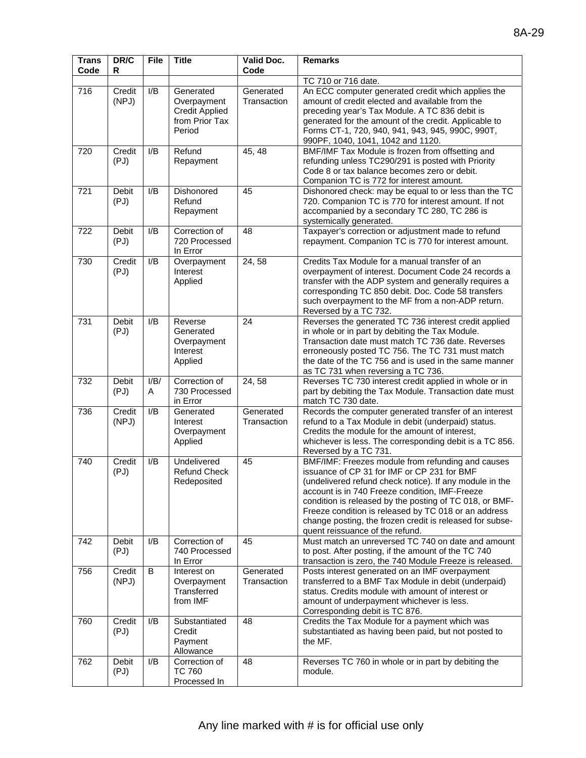| <b>Trans</b><br>Code | DR/C<br>R            | <b>File</b> | <b>Title</b>                                                                  | Valid Doc.<br>Code       | <b>Remarks</b>                                                                                                                                                                                                                                                                                                                                                                                                                  |
|----------------------|----------------------|-------------|-------------------------------------------------------------------------------|--------------------------|---------------------------------------------------------------------------------------------------------------------------------------------------------------------------------------------------------------------------------------------------------------------------------------------------------------------------------------------------------------------------------------------------------------------------------|
|                      |                      |             |                                                                               |                          | TC 710 or 716 date.                                                                                                                                                                                                                                                                                                                                                                                                             |
| 716                  | Credit<br>(NPJ)      | I/B         | Generated<br>Overpayment<br><b>Credit Applied</b><br>from Prior Tax<br>Period | Generated<br>Transaction | An ECC computer generated credit which applies the<br>amount of credit elected and available from the<br>preceding year's Tax Module. A TC 836 debit is<br>generated for the amount of the credit. Applicable to<br>Forms CT-1, 720, 940, 941, 943, 945, 990C, 990T,<br>990PF, 1040, 1041, 1042 and 1120.                                                                                                                       |
| 720                  | Credit<br>(PJ)       | I/B         | Refund<br>Repayment                                                           | 45, 48                   | BMF/IMF Tax Module is frozen from offsetting and<br>refunding unless TC290/291 is posted with Priority<br>Code 8 or tax balance becomes zero or debit.<br>Companion TC is 772 for interest amount.                                                                                                                                                                                                                              |
| 721                  | Debit<br>(PJ)        | I/B         | Dishonored<br>Refund<br>Repayment                                             | 45                       | Dishonored check: may be equal to or less than the TC<br>720. Companion TC is 770 for interest amount. If not<br>accompanied by a secondary TC 280, TC 286 is<br>systemically generated.                                                                                                                                                                                                                                        |
| 722                  | Debit<br>(PJ)        | I/B         | Correction of<br>720 Processed<br>In Error                                    | 48                       | Taxpayer's correction or adjustment made to refund<br>repayment. Companion TC is 770 for interest amount.                                                                                                                                                                                                                                                                                                                       |
| 730                  | Credit<br>(PJ)       | I/B         | Overpayment<br>Interest<br>Applied                                            | 24,58                    | Credits Tax Module for a manual transfer of an<br>overpayment of interest. Document Code 24 records a<br>transfer with the ADP system and generally requires a<br>corresponding TC 850 debit. Doc. Code 58 transfers<br>such overpayment to the MF from a non-ADP return.<br>Reversed by a TC 732.                                                                                                                              |
| 731                  | <b>Debit</b><br>(PJ) | I/B         | Reverse<br>Generated<br>Overpayment<br>Interest<br>Applied                    | 24                       | Reverses the generated TC 736 interest credit applied<br>in whole or in part by debiting the Tax Module.<br>Transaction date must match TC 736 date. Reverses<br>erroneously posted TC 756. The TC 731 must match<br>the date of the TC 756 and is used in the same manner<br>as TC 731 when reversing a TC 736.                                                                                                                |
| 732                  | <b>Debit</b><br>(PJ) | I/B/<br>A   | Correction of<br>730 Processed<br>in Error                                    | 24,58                    | Reverses TC 730 interest credit applied in whole or in<br>part by debiting the Tax Module. Transaction date must<br>match TC 730 date.                                                                                                                                                                                                                                                                                          |
| 736                  | Credit<br>(NPJ)      | I/B         | Generated<br>Interest<br>Overpayment<br>Applied                               | Generated<br>Transaction | Records the computer generated transfer of an interest<br>refund to a Tax Module in debit (underpaid) status.<br>Credits the module for the amount of interest,<br>whichever is less. The corresponding debit is a TC 856.<br>Reversed by a TC 731.                                                                                                                                                                             |
| 740                  | Credit<br>(PJ)       | I/B         | Undelivered<br><b>Refund Check</b><br>Redeposited                             | 45                       | BMF/IMF: Freezes module from refunding and causes<br>issuance of CP 31 for IMF or CP 231 for BMF<br>(undelivered refund check notice). If any module in the<br>account is in 740 Freeze condition, IMF-Freeze<br>condition is released by the posting of TC 018, or BMF-<br>Freeze condition is released by TC 018 or an address<br>change posting, the frozen credit is released for subse-<br>quent reissuance of the refund. |
| 742                  | Debit<br>(PJ)        | I/B         | Correction of<br>740 Processed<br>In Error                                    | 45                       | Must match an unreversed TC 740 on date and amount<br>to post. After posting, if the amount of the TC 740<br>transaction is zero, the 740 Module Freeze is released.                                                                                                                                                                                                                                                            |
| 756                  | Credit<br>(NPJ)      | B           | Interest on<br>Overpayment<br>Transferred<br>from IMF                         | Generated<br>Transaction | Posts interest generated on an IMF overpayment<br>transferred to a BMF Tax Module in debit (underpaid)<br>status. Credits module with amount of interest or<br>amount of underpayment whichever is less.<br>Corresponding debit is TC 876.                                                                                                                                                                                      |
| 760                  | Credit<br>(PJ)       | I/B         | Substantiated<br>Credit<br>Payment<br>Allowance                               | 48                       | Credits the Tax Module for a payment which was<br>substantiated as having been paid, but not posted to<br>the MF.                                                                                                                                                                                                                                                                                                               |
| 762                  | Debit<br>(PJ)        | I/B         | Correction of<br><b>TC 760</b><br>Processed In                                | 48                       | Reverses TC 760 in whole or in part by debiting the<br>module.                                                                                                                                                                                                                                                                                                                                                                  |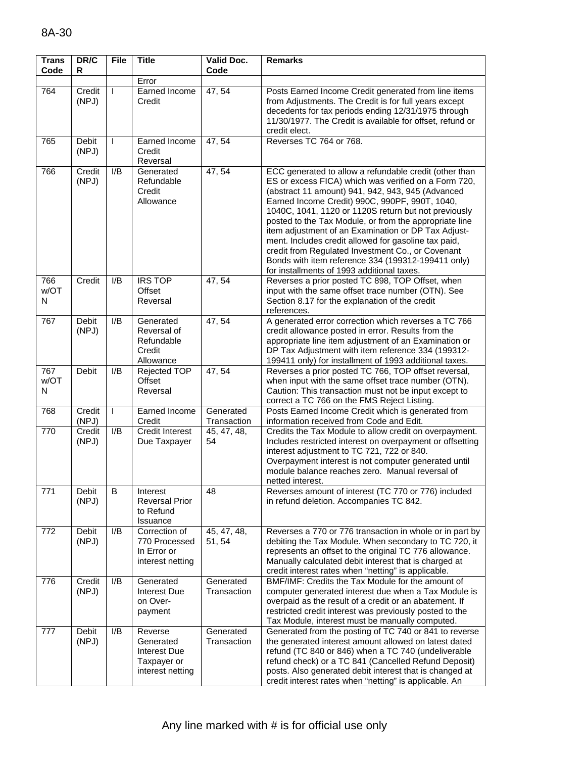| <b>Trans</b><br>Code | DR/C<br>R       | File           | <b>Title</b>                                                            | Valid Doc.<br>Code       | <b>Remarks</b>                                                                                                                                                                                                                                                                                                                                                                                                                                                                                                                                                                                                  |
|----------------------|-----------------|----------------|-------------------------------------------------------------------------|--------------------------|-----------------------------------------------------------------------------------------------------------------------------------------------------------------------------------------------------------------------------------------------------------------------------------------------------------------------------------------------------------------------------------------------------------------------------------------------------------------------------------------------------------------------------------------------------------------------------------------------------------------|
|                      |                 |                | Error                                                                   |                          |                                                                                                                                                                                                                                                                                                                                                                                                                                                                                                                                                                                                                 |
| 764                  | Credit<br>(NPJ) | L              | Earned Income<br>Credit                                                 | 47, 54                   | Posts Earned Income Credit generated from line items<br>from Adjustments. The Credit is for full years except<br>decedents for tax periods ending 12/31/1975 through<br>11/30/1977. The Credit is available for offset, refund or<br>credit elect.                                                                                                                                                                                                                                                                                                                                                              |
| 765                  | Debit<br>(NPJ)  |                | Earned Income<br>Credit<br>Reversal                                     | 47, 54                   | Reverses TC 764 or 768.                                                                                                                                                                                                                                                                                                                                                                                                                                                                                                                                                                                         |
| 766                  | Credit<br>(NPJ) | I/B            | Generated<br>Refundable<br>Credit<br>Allowance                          | 47, 54                   | ECC generated to allow a refundable credit (other than<br>ES or excess FICA) which was verified on a Form 720,<br>(abstract 11 amount) 941, 942, 943, 945 (Advanced<br>Earned Income Credit) 990C, 990PF, 990T, 1040,<br>1040C, 1041, 1120 or 1120S return but not previously<br>posted to the Tax Module, or from the appropriate line<br>item adjustment of an Examination or DP Tax Adjust-<br>ment. Includes credit allowed for gasoline tax paid,<br>credit from Regulated Investment Co., or Covenant<br>Bonds with item reference 334 (199312-199411 only)<br>for installments of 1993 additional taxes. |
| 766<br>w/OT<br>N     | Credit          | I/B            | <b>IRS TOP</b><br>Offset<br>Reversal                                    | 47, 54                   | Reverses a prior posted TC 898, TOP Offset, when<br>input with the same offset trace number (OTN). See<br>Section 8.17 for the explanation of the credit<br>references.                                                                                                                                                                                                                                                                                                                                                                                                                                         |
| 767                  | Debit<br>(NPJ)  | I/B            | Generated<br>Reversal of<br>Refundable<br>Credit<br>Allowance           | 47, 54                   | A generated error correction which reverses a TC 766<br>credit allowance posted in error. Results from the<br>appropriate line item adjustment of an Examination or<br>DP Tax Adjustment with item reference 334 (199312-<br>199411 only) for installment of 1993 additional taxes.                                                                                                                                                                                                                                                                                                                             |
| 767<br>w/OT<br>N     | Debit           | I/B            | Rejected TOP<br>Offset<br>Reversal                                      | 47, 54                   | Reverses a prior posted TC 766, TOP offset reversal,<br>when input with the same offset trace number (OTN).<br>Caution: This transaction must not be input except to<br>correct a TC 766 on the FMS Reject Listing.                                                                                                                                                                                                                                                                                                                                                                                             |
| 768                  | Credit<br>(NPJ) | L              | Earned Income<br>Credit                                                 | Generated<br>Transaction | Posts Earned Income Credit which is generated from<br>information received from Code and Edit.                                                                                                                                                                                                                                                                                                                                                                                                                                                                                                                  |
| 770                  | Credit<br>(NPJ) | I/B            | <b>Credit Interest</b><br>Due Taxpayer                                  | 45, 47, 48,<br>54        | Credits the Tax Module to allow credit on overpayment.<br>Includes restricted interest on overpayment or offsetting<br>interest adjustment to TC 721, 722 or 840.<br>Overpayment interest is not computer generated until<br>module balance reaches zero. Manual reversal of<br>netted interest.                                                                                                                                                                                                                                                                                                                |
| 771                  | Debit<br>(NPJ)  | $\overline{B}$ | Interest<br><b>Reversal Prior</b><br>to Refund<br>Issuance              | 48                       | Reverses amount of interest (TC 770 or 776) included<br>in refund deletion. Accompanies TC 842.                                                                                                                                                                                                                                                                                                                                                                                                                                                                                                                 |
| 772                  | Debit<br>(NPJ)  | I/B            | Correction of<br>770 Processed<br>In Error or<br>interest netting       | 45, 47, 48,<br>51, 54    | Reverses a 770 or 776 transaction in whole or in part by<br>debiting the Tax Module. When secondary to TC 720, it<br>represents an offset to the original TC 776 allowance.<br>Manually calculated debit interest that is charged at<br>credit interest rates when "netting" is applicable.                                                                                                                                                                                                                                                                                                                     |
| 776                  | Credit<br>(NPJ) | I/B            | Generated<br>Interest Due<br>on Over-<br>payment                        | Generated<br>Transaction | BMF/IMF: Credits the Tax Module for the amount of<br>computer generated interest due when a Tax Module is<br>overpaid as the result of a credit or an abatement. If<br>restricted credit interest was previously posted to the<br>Tax Module, interest must be manually computed.                                                                                                                                                                                                                                                                                                                               |
| 777                  | Debit<br>(NPJ)  | I/B            | Reverse<br>Generated<br>Interest Due<br>Taxpayer or<br>interest netting | Generated<br>Transaction | Generated from the posting of TC 740 or 841 to reverse<br>the generated interest amount allowed on latest dated<br>refund (TC 840 or 846) when a TC 740 (undeliverable<br>refund check) or a TC 841 (Cancelled Refund Deposit)<br>posts. Also generated debit interest that is changed at<br>credit interest rates when "netting" is applicable. An                                                                                                                                                                                                                                                             |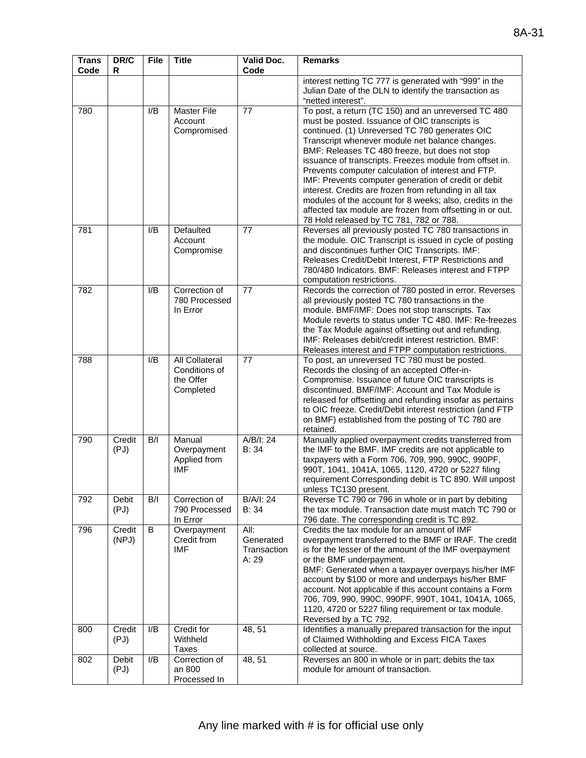| <b>Trans</b><br>Code | DR/C<br>R       | <b>File</b> | <b>Title</b>                                              | Valid Doc.<br>Code                        | <b>Remarks</b>                                                                                                                                                                                                                                                                                                                                                                                                                                                                                                                                                                                                                                                      |
|----------------------|-----------------|-------------|-----------------------------------------------------------|-------------------------------------------|---------------------------------------------------------------------------------------------------------------------------------------------------------------------------------------------------------------------------------------------------------------------------------------------------------------------------------------------------------------------------------------------------------------------------------------------------------------------------------------------------------------------------------------------------------------------------------------------------------------------------------------------------------------------|
|                      |                 |             |                                                           |                                           | interest netting TC 777 is generated with "999" in the<br>Julian Date of the DLN to identify the transaction as<br>"netted interest".                                                                                                                                                                                                                                                                                                                                                                                                                                                                                                                               |
| 780                  |                 | I/B         | <b>Master File</b><br>Account<br>Compromised              | 77                                        | To post, a return (TC 150) and an unreversed TC 480<br>must be posted. Issuance of OIC transcripts is<br>continued. (1) Unreversed TC 780 generates OIC<br>Transcript whenever module net balance changes.<br>BMF: Releases TC 480 freeze, but does not stop<br>issuance of transcripts. Freezes module from offset in.<br>Prevents computer calculation of interest and FTP.<br>IMF: Prevents computer generation of credit or debit<br>interest. Credits are frozen from refunding in all tax<br>modules of the account for 8 weeks; also, credits in the<br>affected tax module are frozen from offsetting in or out.<br>78 Hold released by TC 781, 782 or 788. |
| 781                  |                 | I/B         | Defaulted<br>Account<br>Compromise                        | 77                                        | Reverses all previously posted TC 780 transactions in<br>the module. OIC Transcript is issued in cycle of posting<br>and discontinues further OIC Transcripts. IMF:<br>Releases Credit/Debit Interest, FTP Restrictions and<br>780/480 Indicators. BMF: Releases interest and FTPP<br>computation restrictions.                                                                                                                                                                                                                                                                                                                                                     |
| 782                  |                 | I/B         | Correction of<br>780 Processed<br>In Error                | 77                                        | Records the correction of 780 posted in error. Reverses<br>all previously posted TC 780 transactions in the<br>module. BMF/IMF: Does not stop transcripts. Tax<br>Module reverts to status under TC 480. IMF: Re-freezes<br>the Tax Module against offsetting out and refunding.<br>IMF: Releases debit/credit interest restriction. BMF:<br>Releases interest and FTPP computation restrictions.                                                                                                                                                                                                                                                                   |
| 788                  |                 | I/B         | All Collateral<br>Conditions of<br>the Offer<br>Completed | 77                                        | To post, an unreversed TC 780 must be posted.<br>Records the closing of an accepted Offer-in-<br>Compromise. Issuance of future OIC transcripts is<br>discontinued. BMF/IMF: Account and Tax Module is<br>released for offsetting and refunding insofar as pertains<br>to OIC freeze. Credit/Debit interest restriction (and FTP<br>on BMF) established from the posting of TC 780 are<br>retained.                                                                                                                                                                                                                                                                 |
| 790                  | Credit<br>(PJ)  | B/I         | Manual<br>Overpayment<br>Applied from<br><b>IMF</b>       | A/B/I: 24<br>B: 34                        | Manually applied overpayment credits transferred from<br>the IMF to the BMF. IMF credits are not applicable to<br>taxpayers with a Form 706, 709, 990, 990C, 990PF,<br>990T, 1041, 1041A, 1065, 1120, 4720 or 5227 filing<br>requirement Corresponding debit is TC 890. Will unpost<br>unless TC130 present.                                                                                                                                                                                                                                                                                                                                                        |
| 792                  | Debit<br>(PJ)   | B/I         | Correction of<br>790 Processed<br>In Error                | B/A/I: 24<br>B: 34                        | Reverse TC 790 or 796 in whole or in part by debiting<br>the tax module. Transaction date must match TC 790 or<br>796 date. The corresponding credit is TC 892.                                                                                                                                                                                                                                                                                                                                                                                                                                                                                                     |
| 796                  | Credit<br>(NPJ) | В           | Overpayment<br>Credit from<br><b>IMF</b>                  | All:<br>Generated<br>Transaction<br>A: 29 | Credits the tax module for an amount of IMF<br>overpayment transferred to the BMF or IRAF. The credit<br>is for the lesser of the amount of the IMF overpayment<br>or the BMF underpayment.<br>BMF: Generated when a taxpayer overpays his/her IMF<br>account by \$100 or more and underpays his/her BMF<br>account. Not applicable if this account contains a Form<br>706, 709, 990, 990C, 990PF, 990T, 1041, 1041A, 1065,<br>1120, 4720 or 5227 filing requirement or tax module.<br>Reversed by a TC 792.                                                                                                                                                        |
| 800                  | Credit<br>(PJ)  | I/B         | Credit for<br>Withheld<br><b>Taxes</b>                    | 48, 51                                    | Identifies a manually prepared transaction for the input<br>of Claimed Withholding and Excess FICA Taxes<br>collected at source.                                                                                                                                                                                                                                                                                                                                                                                                                                                                                                                                    |
| 802                  | Debit<br>(PJ)   | I/B         | Correction of<br>an 800<br>Processed In                   | 48, 51                                    | Reverses an 800 in whole or in part; debits the tax<br>module for amount of transaction.                                                                                                                                                                                                                                                                                                                                                                                                                                                                                                                                                                            |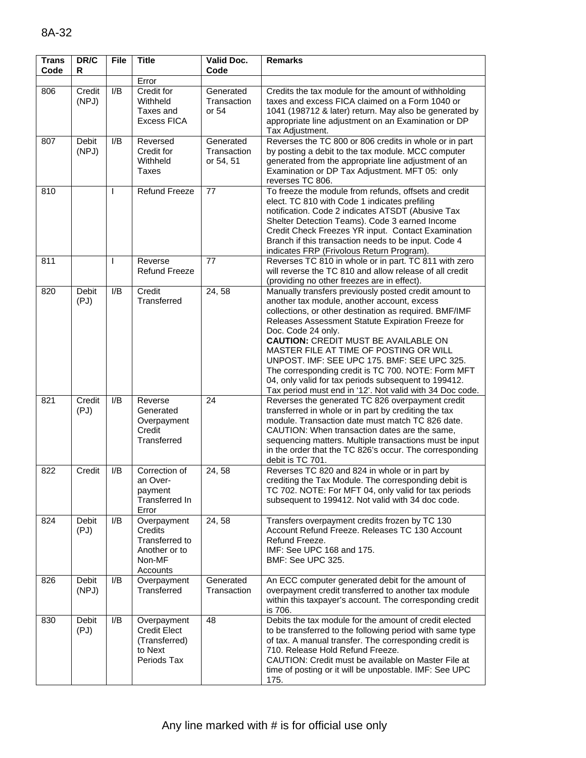| <b>Trans</b><br>Code | DR/C<br>R            | <b>File</b> | <b>Title</b>                                                                    | <b>Valid Doc.</b><br>Code             | <b>Remarks</b>                                                                                                                                                                                                                                                                                                                                                                                                                                                                                                                                              |
|----------------------|----------------------|-------------|---------------------------------------------------------------------------------|---------------------------------------|-------------------------------------------------------------------------------------------------------------------------------------------------------------------------------------------------------------------------------------------------------------------------------------------------------------------------------------------------------------------------------------------------------------------------------------------------------------------------------------------------------------------------------------------------------------|
|                      |                      |             | Error                                                                           |                                       |                                                                                                                                                                                                                                                                                                                                                                                                                                                                                                                                                             |
| 806                  | Credit<br>(NPJ)      | I/B         | Credit for<br>Withheld<br>Taxes and<br><b>Excess FICA</b>                       | Generated<br>Transaction<br>or 54     | Credits the tax module for the amount of withholding<br>taxes and excess FICA claimed on a Form 1040 or<br>1041 (198712 & later) return. May also be generated by<br>appropriate line adjustment on an Examination or DP<br>Tax Adjustment.                                                                                                                                                                                                                                                                                                                 |
| 807                  | Debit<br>(NPJ)       | I/B         | Reversed<br>Credit for<br>Withheld<br><b>Taxes</b>                              | Generated<br>Transaction<br>or 54, 51 | Reverses the TC 800 or 806 credits in whole or in part<br>by posting a debit to the tax module. MCC computer<br>generated from the appropriate line adjustment of an<br>Examination or DP Tax Adjustment. MFT 05: only<br>reverses TC 806.                                                                                                                                                                                                                                                                                                                  |
| 810                  |                      |             | <b>Refund Freeze</b>                                                            | 77                                    | To freeze the module from refunds, offsets and credit<br>elect. TC 810 with Code 1 indicates prefiling<br>notification. Code 2 indicates ATSDT (Abusive Tax<br>Shelter Detection Teams). Code 3 earned Income<br>Credit Check Freezes YR input. Contact Examination<br>Branch if this transaction needs to be input. Code 4<br>indicates FRP (Frivolous Return Program).                                                                                                                                                                                    |
| 811                  |                      | T           | Reverse<br><b>Refund Freeze</b>                                                 | 77                                    | Reverses TC 810 in whole or in part. TC 811 with zero<br>will reverse the TC 810 and allow release of all credit<br>(providing no other freezes are in effect).                                                                                                                                                                                                                                                                                                                                                                                             |
| 820                  | Debit<br>(PJ)        | I/B         | Credit<br>Transferred                                                           | 24, 58                                | Manually transfers previously posted credit amount to<br>another tax module, another account, excess<br>collections, or other destination as required. BMF/IMF<br>Releases Assessment Statute Expiration Freeze for<br>Doc. Code 24 only.<br><b>CAUTION: CREDIT MUST BE AVAILABLE ON</b><br>MASTER FILE AT TIME OF POSTING OR WILL<br>UNPOST. IMF: SEE UPC 175. BMF: SEE UPC 325.<br>The corresponding credit is TC 700. NOTE: Form MFT<br>04, only valid for tax periods subsequent to 199412.<br>Tax period must end in '12'. Not valid with 34 Doc code. |
| 821                  | Credit<br>(PJ)       | I/B         | Reverse<br>Generated<br>Overpayment<br>Credit<br>Transferred                    | 24                                    | Reverses the generated TC 826 overpayment credit<br>transferred in whole or in part by crediting the tax<br>module. Transaction date must match TC 826 date.<br>CAUTION: When transaction dates are the same,<br>sequencing matters. Multiple transactions must be input<br>in the order that the TC 826's occur. The corresponding<br>debit is TC 701.                                                                                                                                                                                                     |
| 822                  | Credit               | I/B         | Correction of<br>an Over-<br>payment<br><b>Transferred In</b><br>Error          | 24,58                                 | Reverses TC 820 and 824 in whole or in part by<br>crediting the Tax Module. The corresponding debit is<br>TC 702. NOTE: For MFT 04, only valid for tax periods<br>subsequent to 199412. Not valid with 34 doc code.                                                                                                                                                                                                                                                                                                                                         |
| 824                  | <b>Debit</b><br>(PJ) | I/B         | Overpayment<br>Credits<br>Transferred to<br>Another or to<br>Non-MF<br>Accounts | 24, 58                                | Transfers overpayment credits frozen by TC 130<br>Account Refund Freeze. Releases TC 130 Account<br>Refund Freeze.<br>IMF: See UPC 168 and 175.<br><b>BMF: See UPC 325.</b>                                                                                                                                                                                                                                                                                                                                                                                 |
| 826                  | Debit<br>(NPJ)       | I/B         | Overpayment<br>Transferred                                                      | Generated<br>Transaction              | An ECC computer generated debit for the amount of<br>overpayment credit transferred to another tax module<br>within this taxpayer's account. The corresponding credit<br>is 706.                                                                                                                                                                                                                                                                                                                                                                            |
| 830                  | Debit<br>(PJ)        | I/B         | Overpayment<br><b>Credit Elect</b><br>(Transferred)<br>to Next<br>Periods Tax   | 48                                    | Debits the tax module for the amount of credit elected<br>to be transferred to the following period with same type<br>of tax. A manual transfer. The corresponding credit is<br>710. Release Hold Refund Freeze.<br>CAUTION: Credit must be available on Master File at<br>time of posting or it will be unpostable. IMF: See UPC<br>175.                                                                                                                                                                                                                   |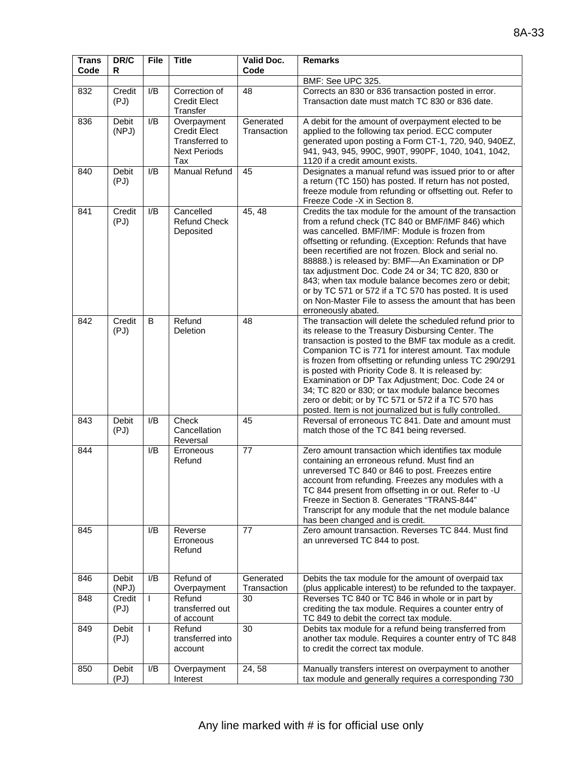| <b>Trans</b><br>Code | DR/C<br>R            | <b>File</b>  | <b>Title</b>                                                                       | Valid Doc.<br>Code       | <b>Remarks</b>                                                                                                                                                                                                                                                                                                                                                                                                                                                                                                                                                                              |
|----------------------|----------------------|--------------|------------------------------------------------------------------------------------|--------------------------|---------------------------------------------------------------------------------------------------------------------------------------------------------------------------------------------------------------------------------------------------------------------------------------------------------------------------------------------------------------------------------------------------------------------------------------------------------------------------------------------------------------------------------------------------------------------------------------------|
|                      |                      |              |                                                                                    |                          | BMF: See UPC 325.                                                                                                                                                                                                                                                                                                                                                                                                                                                                                                                                                                           |
| 832                  | Credit<br>(PJ)       | I/B          | Correction of<br><b>Credit Elect</b><br>Transfer                                   | 48                       | Corrects an 830 or 836 transaction posted in error.<br>Transaction date must match TC 830 or 836 date.                                                                                                                                                                                                                                                                                                                                                                                                                                                                                      |
| 836                  | Debit<br>(NPJ)       | I/B          | Overpayment<br><b>Credit Elect</b><br>Transferred to<br><b>Next Periods</b><br>Tax | Generated<br>Transaction | A debit for the amount of overpayment elected to be<br>applied to the following tax period. ECC computer<br>generated upon posting a Form CT-1, 720, 940, 940EZ,<br>941, 943, 945, 990C, 990T, 990PF, 1040, 1041, 1042,<br>1120 if a credit amount exists.                                                                                                                                                                                                                                                                                                                                  |
| 840                  | <b>Debit</b><br>(PJ) | I/B          | <b>Manual Refund</b>                                                               | 45                       | Designates a manual refund was issued prior to or after<br>a return (TC 150) has posted. If return has not posted,<br>freeze module from refunding or offsetting out. Refer to<br>Freeze Code -X in Section 8.                                                                                                                                                                                                                                                                                                                                                                              |
| 841                  | Credit<br>(PJ)       | I/B          | Cancelled<br><b>Refund Check</b><br>Deposited                                      | 45, 48                   | Credits the tax module for the amount of the transaction<br>from a refund check (TC 840 or BMF/IMF 846) which<br>was cancelled. BMF/IMF: Module is frozen from<br>offsetting or refunding. (Exception: Refunds that have<br>been recertified are not frozen. Block and serial no.<br>88888.) is released by: BMF-An Examination or DP<br>tax adjustment Doc. Code 24 or 34; TC 820, 830 or<br>843; when tax module balance becomes zero or debit;<br>or by TC 571 or 572 if a TC 570 has posted. It is used<br>on Non-Master File to assess the amount that has been<br>erroneously abated. |
| 842                  | Credit<br>(PJ)       | B            | Refund<br>Deletion                                                                 | 48                       | The transaction will delete the scheduled refund prior to<br>its release to the Treasury Disbursing Center. The<br>transaction is posted to the BMF tax module as a credit.<br>Companion TC is 771 for interest amount. Tax module<br>is frozen from offsetting or refunding unless TC 290/291<br>is posted with Priority Code 8. It is released by:<br>Examination or DP Tax Adjustment; Doc. Code 24 or<br>34; TC 820 or 830; or tax module balance becomes<br>zero or debit; or by TC 571 or 572 if a TC 570 has<br>posted. Item is not journalized but is fully controlled.             |
| 843                  | <b>Debit</b><br>(PJ) | I/B          | Check<br>Cancellation<br>Reversal                                                  | 45                       | Reversal of erroneous TC 841. Date and amount must<br>match those of the TC 841 being reversed.                                                                                                                                                                                                                                                                                                                                                                                                                                                                                             |
| 844                  |                      | I/B          | Erroneous<br>Refund                                                                | 77                       | Zero amount transaction which identifies tax module<br>containing an erroneous refund. Must find an<br>unreversed TC 840 or 846 to post. Freezes entire<br>account from refunding. Freezes any modules with a<br>TC 844 present from offsetting in or out. Refer to -U<br>Freeze in Section 8. Generates "TRANS-844"<br>Transcript for any module that the net module balance<br>has been changed and is credit.                                                                                                                                                                            |
| 845                  |                      | I/B          | Reverse<br>Erroneous<br>Refund                                                     | 77                       | Zero amount transaction. Reverses TC 844. Must find<br>an unreversed TC 844 to post.                                                                                                                                                                                                                                                                                                                                                                                                                                                                                                        |
| 846                  | Debit<br>(NPJ)       | I/B          | Refund of<br>Overpayment                                                           | Generated<br>Transaction | Debits the tax module for the amount of overpaid tax<br>(plus applicable interest) to be refunded to the taxpayer.                                                                                                                                                                                                                                                                                                                                                                                                                                                                          |
| 848                  | Credit<br>(PJ)       | $\mathbf{I}$ | Refund<br>transferred out<br>of account                                            | 30                       | Reverses TC 840 or TC 846 in whole or in part by<br>crediting the tax module. Requires a counter entry of<br>TC 849 to debit the correct tax module.                                                                                                                                                                                                                                                                                                                                                                                                                                        |
| 849                  | Debit<br>(PJ)        | $\mathbf{I}$ | Refund<br>transferred into<br>account                                              | 30                       | Debits tax module for a refund being transferred from<br>another tax module. Requires a counter entry of TC 848<br>to credit the correct tax module.                                                                                                                                                                                                                                                                                                                                                                                                                                        |
| 850                  | Debit<br>(PJ)        | I/B          | Overpayment<br>Interest                                                            | 24,58                    | Manually transfers interest on overpayment to another<br>tax module and generally requires a corresponding 730                                                                                                                                                                                                                                                                                                                                                                                                                                                                              |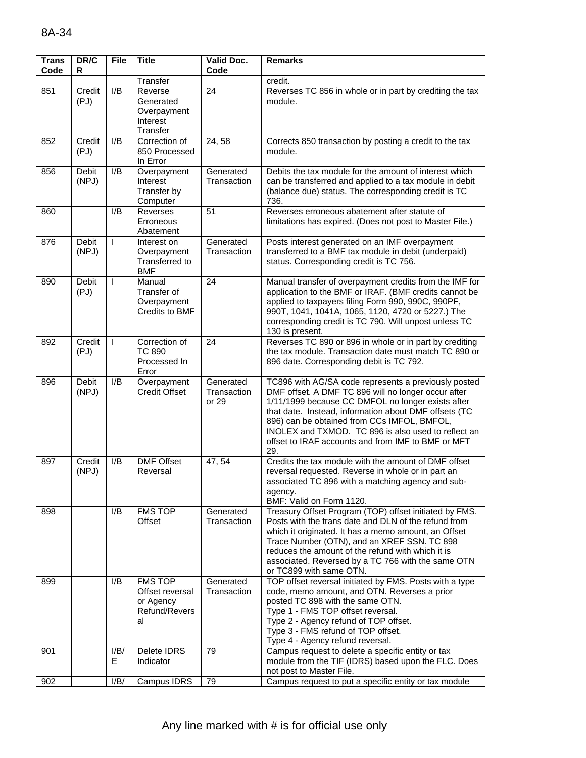| <b>Trans</b><br>Code | DR/C<br>R             | <b>File</b>  | <b>Title</b>                                                          | <b>Valid Doc.</b><br>Code         | <b>Remarks</b>                                                                                                                                                                                                                                                                                                                                                                               |
|----------------------|-----------------------|--------------|-----------------------------------------------------------------------|-----------------------------------|----------------------------------------------------------------------------------------------------------------------------------------------------------------------------------------------------------------------------------------------------------------------------------------------------------------------------------------------------------------------------------------------|
|                      |                       |              | Transfer                                                              |                                   | credit.                                                                                                                                                                                                                                                                                                                                                                                      |
| 851                  | Credit<br>(PJ)        | I/B          | Reverse<br>Generated<br>Overpayment<br>Interest<br>Transfer           | 24                                | Reverses TC 856 in whole or in part by crediting the tax<br>module.                                                                                                                                                                                                                                                                                                                          |
| 852                  | Credit<br>(PJ)        | I/B          | Correction of<br>850 Processed<br>In Error                            | 24,58                             | Corrects 850 transaction by posting a credit to the tax<br>module.                                                                                                                                                                                                                                                                                                                           |
| 856                  | Debit<br>(NPJ)        | I/B          | Overpayment<br>Interest<br>Transfer by<br>Computer                    | Generated<br>Transaction          | Debits the tax module for the amount of interest which<br>can be transferred and applied to a tax module in debit<br>(balance due) status. The corresponding credit is TC<br>736.                                                                                                                                                                                                            |
| 860                  |                       | I/B          | Reverses<br>Erroneous<br>Abatement                                    | 51                                | Reverses erroneous abatement after statute of<br>limitations has expired. (Does not post to Master File.)                                                                                                                                                                                                                                                                                    |
| 876                  | Debit<br>(NPJ)        | I.           | Interest on<br>Overpayment<br>Transferred to<br><b>BMF</b>            | Generated<br>Transaction          | Posts interest generated on an IMF overpayment<br>transferred to a BMF tax module in debit (underpaid)<br>status. Corresponding credit is TC 756.                                                                                                                                                                                                                                            |
| 890                  | <b>Debit</b><br>(PJ)  | $\mathbf{I}$ | Manual<br>Transfer of<br>Overpayment<br>Credits to BMF                | 24                                | Manual transfer of overpayment credits from the IMF for<br>application to the BMF or IRAF. (BMF credits cannot be<br>applied to taxpayers filing Form 990, 990C, 990PF,<br>990T, 1041, 1041A, 1065, 1120, 4720 or 5227.) The<br>corresponding credit is TC 790. Will unpost unless TC<br>130 is present.                                                                                     |
| 892                  | Credit<br>(PJ)        | $\mathbf{I}$ | Correction of<br><b>TC 890</b><br>Processed In<br>Error               | 24                                | Reverses TC 890 or 896 in whole or in part by crediting<br>the tax module. Transaction date must match TC 890 or<br>896 date. Corresponding debit is TC 792.                                                                                                                                                                                                                                 |
| 896                  | <b>Debit</b><br>(NPJ) | I/B          | Overpayment<br><b>Credit Offset</b>                                   | Generated<br>Transaction<br>or 29 | TC896 with AG/SA code represents a previously posted<br>DMF offset. A DMF TC 896 will no longer occur after<br>1/11/1999 because CC DMFOL no longer exists after<br>that date. Instead, information about DMF offsets (TC<br>896) can be obtained from CCs IMFOL, BMFOL,<br>INOLEX and TXMOD. TC 896 is also used to reflect an<br>offset to IRAF accounts and from IMF to BMF or MFT<br>29. |
| 897                  | Credit<br>(NPJ)       | I/B          | <b>DMF Offset</b><br>Reversal                                         | 47, 54                            | Credits the tax module with the amount of DMF offset<br>reversal requested. Reverse in whole or in part an<br>associated TC 896 with a matching agency and sub-<br>agency.<br>BMF: Valid on Form 1120.                                                                                                                                                                                       |
| 898                  |                       | I/B          | <b>FMS TOP</b><br>Offset                                              | Generated<br>Transaction          | Treasury Offset Program (TOP) offset initiated by FMS.<br>Posts with the trans date and DLN of the refund from<br>which it originated. It has a memo amount, an Offset<br>Trace Number (OTN), and an XREF SSN. TC 898<br>reduces the amount of the refund with which it is<br>associated. Reversed by a TC 766 with the same OTN<br>or TC899 with same OTN.                                  |
| 899                  |                       | I/B          | <b>FMS TOP</b><br>Offset reversal<br>or Agency<br>Refund/Revers<br>al | Generated<br>Transaction          | TOP offset reversal initiated by FMS. Posts with a type<br>code, memo amount, and OTN. Reverses a prior<br>posted TC 898 with the same OTN.<br>Type 1 - FMS TOP offset reversal.<br>Type 2 - Agency refund of TOP offset.<br>Type 3 - FMS refund of TOP offset.<br>Type 4 - Agency refund reversal.                                                                                          |
| 901                  |                       | I/B/<br>E    | Delete IDRS<br>Indicator                                              | 79                                | Campus request to delete a specific entity or tax<br>module from the TIF (IDRS) based upon the FLC. Does<br>not post to Master File.                                                                                                                                                                                                                                                         |
| 902                  |                       | I/B/         | Campus IDRS                                                           | 79                                | Campus request to put a specific entity or tax module                                                                                                                                                                                                                                                                                                                                        |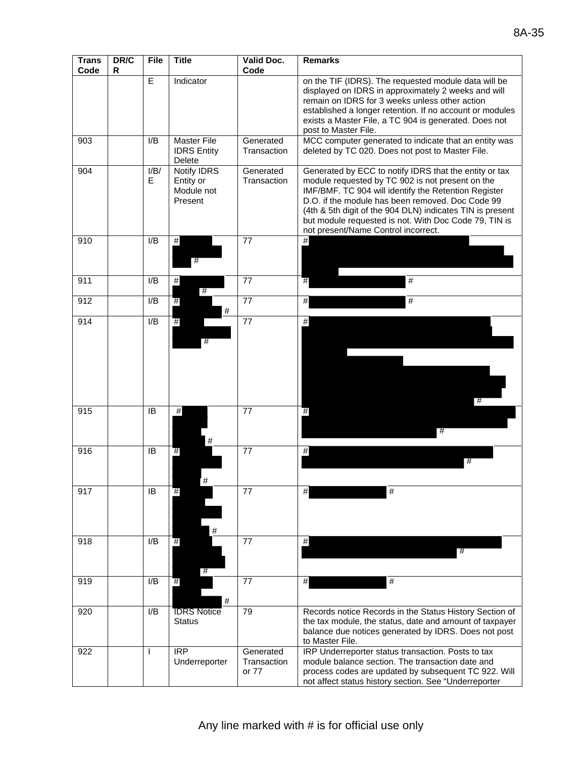| <b>Trans</b><br>Code | DR/C<br>R | <b>File</b>      | <b>Title</b>                                             | Valid Doc.<br>Code                | <b>Remarks</b>                                                                                                                                                                                                                                                                                                                                                                      |
|----------------------|-----------|------------------|----------------------------------------------------------|-----------------------------------|-------------------------------------------------------------------------------------------------------------------------------------------------------------------------------------------------------------------------------------------------------------------------------------------------------------------------------------------------------------------------------------|
|                      |           | E                | Indicator                                                |                                   | on the TIF (IDRS). The requested module data will be<br>displayed on IDRS in approximately 2 weeks and will<br>remain on IDRS for 3 weeks unless other action<br>established a longer retention. If no account or modules<br>exists a Master File, a TC 904 is generated. Does not<br>post to Master File.                                                                          |
| 903                  |           | I/B              | Master File<br><b>IDRS Entity</b><br>Delete              | Generated<br>Transaction          | MCC computer generated to indicate that an entity was<br>deleted by TC 020. Does not post to Master File.                                                                                                                                                                                                                                                                           |
| 904                  |           | I/B/<br>E.       | <b>Notify IDRS</b><br>Entity or<br>Module not<br>Present | Generated<br>Transaction          | Generated by ECC to notify IDRS that the entity or tax<br>module requested by TC 902 is not present on the<br>IMF/BMF. TC 904 will identify the Retention Register<br>D.O. if the module has been removed. Doc Code 99<br>(4th & 5th digit of the 904 DLN) indicates TIN is present<br>but module requested is not. With Doc Code 79, TIN is<br>not present/Name Control incorrect. |
| 910                  |           | I/B              | $\#$<br>#                                                | 77                                | $\#$                                                                                                                                                                                                                                                                                                                                                                                |
| 911                  |           | I/B              | $\#$<br>#                                                | 77                                | $\#$<br>#                                                                                                                                                                                                                                                                                                                                                                           |
| 912                  |           | $\overline{I/B}$ | $#$<br>$\#$                                              | $\overline{77}$                   | #<br>$\#$                                                                                                                                                                                                                                                                                                                                                                           |
| 914                  |           | I/B              | #<br>#                                                   | 77                                | $\#$<br>#                                                                                                                                                                                                                                                                                                                                                                           |
| $\overline{915}$     |           | IB               | $\#$<br>#                                                | 77                                | #<br>#                                                                                                                                                                                                                                                                                                                                                                              |
| 916                  |           | IB               | #<br>#                                                   | $\overline{77}$                   | $\#$<br>#                                                                                                                                                                                                                                                                                                                                                                           |
| 917                  |           | IB               | #<br>$\#$                                                | 77                                | #<br>$\#$                                                                                                                                                                                                                                                                                                                                                                           |
| $\overline{918}$     |           | I/B              | #<br>#                                                   | 77                                | $\#$<br>#                                                                                                                                                                                                                                                                                                                                                                           |
| $\overline{9}19$     |           | I/B              | #<br>$\#$                                                | 77                                | #<br>$\#$                                                                                                                                                                                                                                                                                                                                                                           |
| 920                  |           | I/B              | <b>IDRS Notice</b><br><b>Status</b>                      | 79                                | Records notice Records in the Status History Section of<br>the tax module, the status, date and amount of taxpayer<br>balance due notices generated by IDRS. Does not post<br>to Master File.                                                                                                                                                                                       |
| 922                  |           | $\mathbf{I}$     | <b>IRP</b><br>Underreporter                              | Generated<br>Transaction<br>or 77 | IRP Underreporter status transaction. Posts to tax<br>module balance section. The transaction date and<br>process codes are updated by subsequent TC 922. Will                                                                                                                                                                                                                      |

not affect status history section. See "Underreporter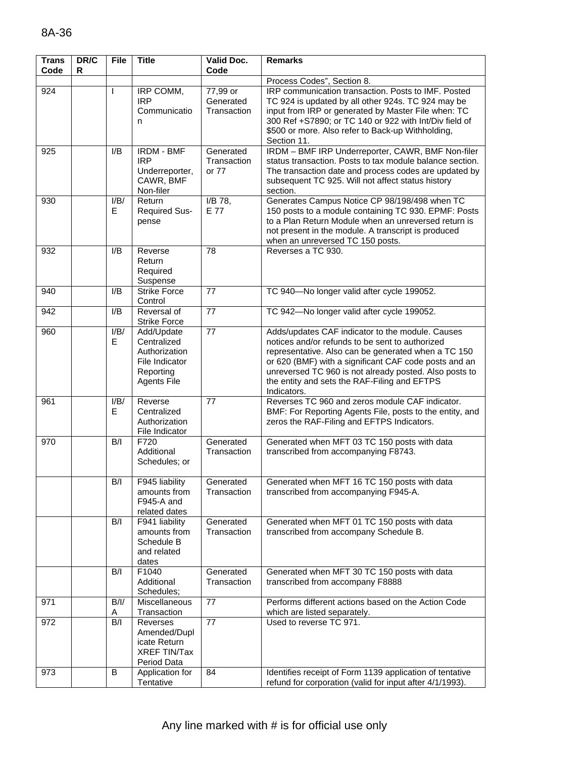| <b>Trans</b><br>Code | DR/C<br>R | <b>File</b> | <b>Title</b>                                                                                    | <b>Valid Doc.</b><br>Code            | <b>Remarks</b>                                                                                                                                                                                                                                                                                                                               |
|----------------------|-----------|-------------|-------------------------------------------------------------------------------------------------|--------------------------------------|----------------------------------------------------------------------------------------------------------------------------------------------------------------------------------------------------------------------------------------------------------------------------------------------------------------------------------------------|
|                      |           |             |                                                                                                 |                                      | Process Codes", Section 8.                                                                                                                                                                                                                                                                                                                   |
| 924                  |           |             | IRP COMM,<br><b>IRP</b><br>Communicatio<br>n                                                    | 77,99 or<br>Generated<br>Transaction | IRP communication transaction. Posts to IMF. Posted<br>TC 924 is updated by all other 924s. TC 924 may be<br>input from IRP or generated by Master File when: TC<br>300 Ref +S7890; or TC 140 or 922 with Int/Div field of<br>\$500 or more. Also refer to Back-up Withholding,<br>Section 11.                                               |
| 925                  |           | I/B         | <b>IRDM - BMF</b><br><b>IRP</b><br>Underreporter,<br>CAWR, BMF<br>Non-filer                     | Generated<br>Transaction<br>or 77    | IRDM - BMF IRP Underreporter, CAWR, BMF Non-filer<br>status transaction. Posts to tax module balance section.<br>The transaction date and process codes are updated by<br>subsequent TC 925. Will not affect status history<br>section.                                                                                                      |
| 930                  |           | I/B/<br>Е   | Return<br><b>Required Sus-</b><br>pense                                                         | I/B 78,<br>E 77                      | Generates Campus Notice CP 98/198/498 when TC<br>150 posts to a module containing TC 930. EPMF: Posts<br>to a Plan Return Module when an unreversed return is<br>not present in the module. A transcript is produced<br>when an unreversed TC 150 posts.                                                                                     |
| 932                  |           | I/B         | Reverse<br>Return<br>Required<br>Suspense                                                       | 78                                   | Reverses a TC 930.                                                                                                                                                                                                                                                                                                                           |
| 940                  |           | I/B         | <b>Strike Force</b><br>Control                                                                  | 77                                   | TC 940-No longer valid after cycle 199052.                                                                                                                                                                                                                                                                                                   |
| 942                  |           | I/B         | Reversal of<br><b>Strike Force</b>                                                              | 77                                   | TC 942-No longer valid after cycle 199052.                                                                                                                                                                                                                                                                                                   |
| 960                  |           | I/B/<br>Е   | Add/Update<br>Centralized<br>Authorization<br>File Indicator<br>Reporting<br><b>Agents File</b> | 77                                   | Adds/updates CAF indicator to the module. Causes<br>notices and/or refunds to be sent to authorized<br>representative. Also can be generated when a TC 150<br>or 620 (BMF) with a significant CAF code posts and an<br>unreversed TC 960 is not already posted. Also posts to<br>the entity and sets the RAF-Filing and EFTPS<br>Indicators. |
| 961                  |           | I/B/<br>Е   | Reverse<br>Centralized<br>Authorization<br>File Indicator                                       | 77                                   | Reverses TC 960 and zeros module CAF indicator.<br>BMF: For Reporting Agents File, posts to the entity, and<br>zeros the RAF-Filing and EFTPS Indicators.                                                                                                                                                                                    |
| 970                  |           | B/I         | F720<br>Additional<br>Schedules; or                                                             | Generated<br>Transaction             | Generated when MFT 03 TC 150 posts with data<br>transcribed from accompanying F8743.                                                                                                                                                                                                                                                         |
|                      |           | B/I         | F945 liability<br>amounts from<br>F945-A and<br>related dates                                   | Generated<br>Transaction             | Generated when MFT 16 TC 150 posts with data<br>transcribed from accompanying F945-A.                                                                                                                                                                                                                                                        |
|                      |           | B/I         | F941 liability<br>amounts from<br>Schedule B<br>and related<br>dates                            | Generated<br>Transaction             | Generated when MFT 01 TC 150 posts with data<br>transcribed from accompany Schedule B.                                                                                                                                                                                                                                                       |
|                      |           | B/I         | F1040<br>Additional<br>Schedules;                                                               | Generated<br>Transaction             | Generated when MFT 30 TC 150 posts with data<br>transcribed from accompany F8888                                                                                                                                                                                                                                                             |
| 971                  |           | B/I/<br>Α   | Miscellaneous<br>Transaction                                                                    | 77                                   | Performs different actions based on the Action Code<br>which are listed separately.                                                                                                                                                                                                                                                          |
| 972                  |           | B/I         | Reverses<br>Amended/Dupl<br>icate Return<br><b>XREF TIN/Tax</b><br>Period Data                  | 77                                   | Used to reverse TC 971.                                                                                                                                                                                                                                                                                                                      |
| 973                  |           | B           | Application for<br>Tentative                                                                    | 84                                   | Identifies receipt of Form 1139 application of tentative<br>refund for corporation (valid for input after 4/1/1993).                                                                                                                                                                                                                         |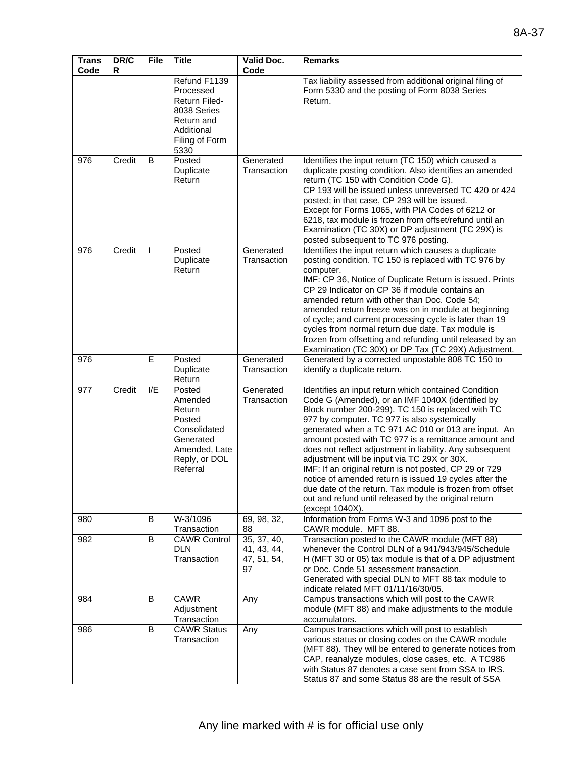| <b>Trans</b><br>Code | DR/C<br>R | <b>File</b> | <b>Title</b>                                                                                                           | Valid Doc.<br>Code                              | <b>Remarks</b>                                                                                                                                                                                                                                                                                                                                                                                                                                                                                                                                                                                                                                                                                     |
|----------------------|-----------|-------------|------------------------------------------------------------------------------------------------------------------------|-------------------------------------------------|----------------------------------------------------------------------------------------------------------------------------------------------------------------------------------------------------------------------------------------------------------------------------------------------------------------------------------------------------------------------------------------------------------------------------------------------------------------------------------------------------------------------------------------------------------------------------------------------------------------------------------------------------------------------------------------------------|
|                      |           |             | Refund F1139<br>Processed<br><b>Return Filed-</b><br>8038 Series<br>Return and<br>Additional<br>Filing of Form<br>5330 |                                                 | Tax liability assessed from additional original filing of<br>Form 5330 and the posting of Form 8038 Series<br>Return.                                                                                                                                                                                                                                                                                                                                                                                                                                                                                                                                                                              |
| 976                  | Credit    | B           | Posted<br>Duplicate<br>Return                                                                                          | Generated<br>Transaction                        | Identifies the input return (TC 150) which caused a<br>duplicate posting condition. Also identifies an amended<br>return (TC 150 with Condition Code G).<br>CP 193 will be issued unless unreversed TC 420 or 424<br>posted; in that case, CP 293 will be issued.<br>Except for Forms 1065, with PIA Codes of 6212 or<br>6218, tax module is frozen from offset/refund until an<br>Examination (TC 30X) or DP adjustment (TC 29X) is<br>posted subsequent to TC 976 posting.                                                                                                                                                                                                                       |
| 976                  | Credit    |             | Posted<br>Duplicate<br>Return                                                                                          | Generated<br>Transaction                        | Identifies the input return which causes a duplicate<br>posting condition. TC 150 is replaced with TC 976 by<br>computer.<br>IMF: CP 36, Notice of Duplicate Return is issued. Prints<br>CP 29 Indicator on CP 36 if module contains an<br>amended return with other than Doc. Code 54;<br>amended return freeze was on in module at beginning<br>of cycle; and current processing cycle is later than 19<br>cycles from normal return due date. Tax module is<br>frozen from offsetting and refunding until released by an<br>Examination (TC 30X) or DP Tax (TC 29X) Adjustment.                                                                                                                 |
| 976                  |           | E           | Posted<br>Duplicate<br>Return                                                                                          | Generated<br>Transaction                        | Generated by a corrected unpostable 808 TC 150 to<br>identify a duplicate return.                                                                                                                                                                                                                                                                                                                                                                                                                                                                                                                                                                                                                  |
| 977                  | Credit    | I/E         | Posted<br>Amended<br>Return<br>Posted<br>Consolidated<br>Generated<br>Amended, Late<br>Reply, or DOL<br>Referral       | Generated<br>Transaction                        | Identifies an input return which contained Condition<br>Code G (Amended), or an IMF 1040X (identified by<br>Block number 200-299). TC 150 is replaced with TC<br>977 by computer. TC 977 is also systemically<br>generated when a TC 971 AC 010 or 013 are input. An<br>amount posted with TC 977 is a remittance amount and<br>does not reflect adjustment in liability. Any subsequent<br>adjustment will be input via TC 29X or 30X.<br>IMF: If an original return is not posted, CP 29 or 729<br>notice of amended return is issued 19 cycles after the<br>due date of the return. Tax module is frozen from offset<br>out and refund until released by the original return<br>(except 1040X). |
| 980                  |           | B           | W-3/1096<br>Transaction                                                                                                | 69, 98, 32,<br>88                               | Information from Forms W-3 and 1096 post to the<br>CAWR module. MFT 88.                                                                                                                                                                                                                                                                                                                                                                                                                                                                                                                                                                                                                            |
| 982                  |           | B           | <b>CAWR Control</b><br><b>DLN</b><br>Transaction                                                                       | 35, 37, 40,<br>41, 43, 44,<br>47, 51, 54,<br>97 | Transaction posted to the CAWR module (MFT 88)<br>whenever the Control DLN of a 941/943/945/Schedule<br>H (MFT 30 or 05) tax module is that of a DP adjustment<br>or Doc. Code 51 assessment transaction.<br>Generated with special DLN to MFT 88 tax module to<br>indicate related MFT 01/11/16/30/05.                                                                                                                                                                                                                                                                                                                                                                                            |
| 984                  |           | B           | <b>CAWR</b><br>Adjustment<br>Transaction                                                                               | Any                                             | Campus transactions which will post to the CAWR<br>module (MFT 88) and make adjustments to the module<br>accumulators.                                                                                                                                                                                                                                                                                                                                                                                                                                                                                                                                                                             |
| 986                  |           | B           | <b>CAWR Status</b><br>Transaction                                                                                      | Any                                             | Campus transactions which will post to establish<br>various status or closing codes on the CAWR module<br>(MFT 88). They will be entered to generate notices from<br>CAP, reanalyze modules, close cases, etc. A TC986<br>with Status 87 denotes a case sent from SSA to IRS.<br>Status 87 and some Status 88 are the result of SSA                                                                                                                                                                                                                                                                                                                                                                |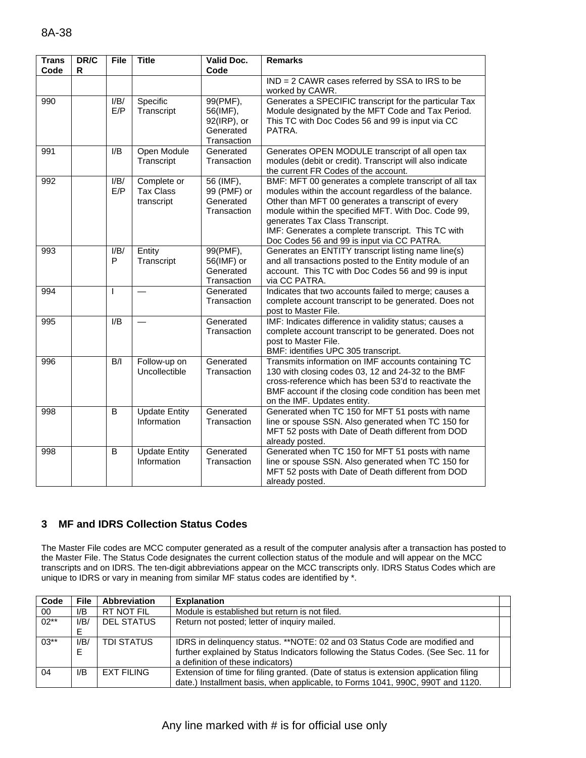| <b>Trans</b><br>Code | DR/C<br>R | <b>File</b>  | <b>Title</b>                                  | <b>Valid Doc.</b><br>Code                                       | <b>Remarks</b>                                                                                                                                                                                                                                                                                                                                                     |
|----------------------|-----------|--------------|-----------------------------------------------|-----------------------------------------------------------------|--------------------------------------------------------------------------------------------------------------------------------------------------------------------------------------------------------------------------------------------------------------------------------------------------------------------------------------------------------------------|
|                      |           |              |                                               |                                                                 | IND = 2 CAWR cases referred by SSA to IRS to be<br>worked by CAWR.                                                                                                                                                                                                                                                                                                 |
| 990                  |           | I/B/<br>E/P  | Specific<br>Transcript                        | 99(PMF),<br>56(IMF),<br>92(IRP), or<br>Generated<br>Transaction | Generates a SPECIFIC transcript for the particular Tax<br>Module designated by the MFT Code and Tax Period.<br>This TC with Doc Codes 56 and 99 is input via CC<br>PATRA.                                                                                                                                                                                          |
| 991                  |           | I/B          | Open Module<br>Transcript                     | Generated<br>Transaction                                        | Generates OPEN MODULE transcript of all open tax<br>modules (debit or credit). Transcript will also indicate<br>the current FR Codes of the account.                                                                                                                                                                                                               |
| 992                  |           | I/B/<br>E/P  | Complete or<br><b>Tax Class</b><br>transcript | 56 (IMF),<br>99 (PMF) or<br>Generated<br>Transaction            | BMF: MFT 00 generates a complete transcript of all tax<br>modules within the account regardless of the balance.<br>Other than MFT 00 generates a transcript of every<br>module within the specified MFT. With Doc. Code 99,<br>generates Tax Class Transcript.<br>IMF: Generates a complete transcript. This TC with<br>Doc Codes 56 and 99 is input via CC PATRA. |
| 993                  |           | I/B/<br>P    | Entity<br>Transcript                          | 99(PMF),<br>56(IMF) or<br>Generated<br>Transaction              | Generates an ENTITY transcript listing name line(s)<br>and all transactions posted to the Entity module of an<br>account. This TC with Doc Codes 56 and 99 is input<br>via CC PATRA.                                                                                                                                                                               |
| 994                  |           | <sup>1</sup> |                                               | Generated<br>Transaction                                        | Indicates that two accounts failed to merge; causes a<br>complete account transcript to be generated. Does not<br>post to Master File.                                                                                                                                                                                                                             |
| 995                  |           | I/B          |                                               | Generated<br>Transaction                                        | IMF: Indicates difference in validity status; causes a<br>complete account transcript to be generated. Does not<br>post to Master File.<br>BMF: identifies UPC 305 transcript.                                                                                                                                                                                     |
| 996                  |           | B/I          | Follow-up on<br>Uncollectible                 | Generated<br>Transaction                                        | Transmits information on IMF accounts containing TC<br>130 with closing codes 03, 12 and 24-32 to the BMF<br>cross-reference which has been 53'd to reactivate the<br>BMF account if the closing code condition has been met<br>on the IMF. Updates entity.                                                                                                        |
| 998                  |           | B            | <b>Update Entity</b><br>Information           | Generated<br>Transaction                                        | Generated when TC 150 for MFT 51 posts with name<br>line or spouse SSN. Also generated when TC 150 for<br>MFT 52 posts with Date of Death different from DOD<br>already posted.                                                                                                                                                                                    |
| 998                  |           | B            | <b>Update Entity</b><br>Information           | Generated<br>Transaction                                        | Generated when TC 150 for MFT 51 posts with name<br>line or spouse SSN. Also generated when TC 150 for<br>MFT 52 posts with Date of Death different from DOD<br>already posted.                                                                                                                                                                                    |

## **3 MF and IDRS Collection Status Codes**

The Master File codes are MCC computer generated as a result of the computer analysis after a transaction has posted to the Master File. The Status Code designates the current collection status of the module and will appear on the MCC transcripts and on IDRS. The ten-digit abbreviations appear on the MCC transcripts only. IDRS Status Codes which are unique to IDRS or vary in meaning from similar MF status codes are identified by \*.

| Code   | <b>File</b>    | <b>Abbreviation</b> | <b>Explanation</b>                                                                                                                                                                                     |  |
|--------|----------------|---------------------|--------------------------------------------------------------------------------------------------------------------------------------------------------------------------------------------------------|--|
| 00     | I/B            | RT NOT FIL          | Module is established but return is not filed.                                                                                                                                                         |  |
| $02**$ | I/B/<br>E      | <b>DEL STATUS</b>   | Return not posted; letter of inquiry mailed.                                                                                                                                                           |  |
| $03**$ | I/B/<br>Е      | <b>TDI STATUS</b>   | IDRS in delinguency status. **NOTE: 02 and 03 Status Code are modified and<br>further explained by Status Indicators following the Status Codes. (See Sec. 11 for<br>a definition of these indicators) |  |
| 04     | $\mathsf{I/B}$ | <b>EXT FILING</b>   | Extension of time for filing granted. (Date of status is extension application filing<br>date.) Installment basis, when applicable, to Forms 1041, 990C, 990T and 1120.                                |  |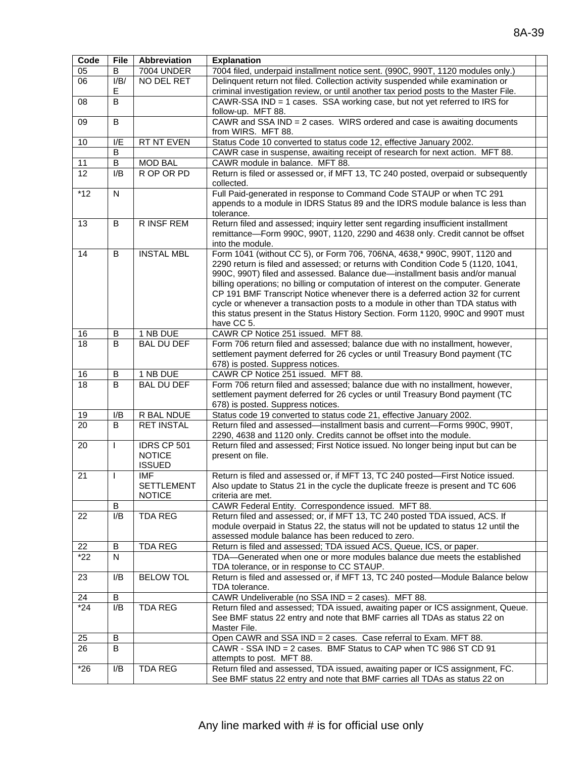| Code  | File | Abbreviation             | <b>Explanation</b>                                                                                                                                                 |  |  |
|-------|------|--------------------------|--------------------------------------------------------------------------------------------------------------------------------------------------------------------|--|--|
| 05    | В    | <b>7004 UNDER</b>        | 7004 filed, underpaid installment notice sent. (990C, 990T, 1120 modules only.)                                                                                    |  |  |
| 06    | I/B/ | NO DEL RET               | Delinquent return not filed. Collection activity suspended while examination or                                                                                    |  |  |
|       | Е    |                          | criminal investigation review, or until another tax period posts to the Master File.                                                                               |  |  |
| 08    | B    |                          | CAWR-SSA IND = 1 cases. SSA working case, but not yet referred to IRS for                                                                                          |  |  |
|       |      |                          | follow-up. MFT 88.                                                                                                                                                 |  |  |
| 09    | В    |                          | CAWR and SSA IND = 2 cases. WIRS ordered and case is awaiting documents                                                                                            |  |  |
|       |      |                          | from WIRS. MFT 88.                                                                                                                                                 |  |  |
| 10    | I/E  | RT NT EVEN               | Status Code 10 converted to status code 12, effective January 2002.                                                                                                |  |  |
|       | B    |                          | CAWR case in suspense, awaiting receipt of research for next action. MFT 88.                                                                                       |  |  |
| 11    | B    | <b>MOD BAL</b>           | CAWR module in balance. MFT 88.                                                                                                                                    |  |  |
| 12    | I/B  | R OP OR PD               | Return is filed or assessed or, if MFT 13, TC 240 posted, overpaid or subsequently                                                                                 |  |  |
|       |      |                          | collected.                                                                                                                                                         |  |  |
| $*12$ | N    |                          | Full Paid-generated in response to Command Code STAUP or when TC 291                                                                                               |  |  |
|       |      |                          | appends to a module in IDRS Status 89 and the IDRS module balance is less than                                                                                     |  |  |
|       |      |                          | tolerance.                                                                                                                                                         |  |  |
| 13    | В    | R INSF REM               | Return filed and assessed; inquiry letter sent regarding insufficient installment                                                                                  |  |  |
|       |      |                          | remittance-Form 990C, 990T, 1120, 2290 and 4638 only. Credit cannot be offset                                                                                      |  |  |
|       |      |                          | into the module.                                                                                                                                                   |  |  |
| 14    | B    | <b>INSTAL MBL</b>        | Form 1041 (without CC 5), or Form 706, 706NA, 4638,* 990C, 990T, 1120 and                                                                                          |  |  |
|       |      |                          | 2290 return is filed and assessed; or returns with Condition Code 5 (1120, 1041,                                                                                   |  |  |
|       |      |                          | 990C, 990T) filed and assessed. Balance due-installment basis and/or manual                                                                                        |  |  |
|       |      |                          | billing operations; no billing or computation of interest on the computer. Generate                                                                                |  |  |
|       |      |                          | CP 191 BMF Transcript Notice whenever there is a deferred action 32 for current                                                                                    |  |  |
|       |      |                          | cycle or whenever a transaction posts to a module in other than TDA status with                                                                                    |  |  |
|       |      |                          | this status present in the Status History Section. Form 1120, 990C and 990T must                                                                                   |  |  |
|       |      |                          | have CC 5.                                                                                                                                                         |  |  |
| 16    | B    | 1 NB DUE                 | CAWR CP Notice 251 issued. MFT 88.                                                                                                                                 |  |  |
| 18    | B    | <b>BAL DU DEF</b>        | Form 706 return filed and assessed; balance due with no installment, however,                                                                                      |  |  |
|       |      |                          | settlement payment deferred for 26 cycles or until Treasury Bond payment (TC                                                                                       |  |  |
|       |      |                          | 678) is posted. Suppress notices.                                                                                                                                  |  |  |
| 16    | В    | 1 NB DUE                 | CAWR CP Notice 251 issued. MFT 88.                                                                                                                                 |  |  |
| 18    | B    | <b>BAL DU DEF</b>        | Form 706 return filed and assessed; balance due with no installment, however,                                                                                      |  |  |
|       |      |                          | settlement payment deferred for 26 cycles or until Treasury Bond payment (TC                                                                                       |  |  |
|       |      |                          | 678) is posted. Suppress notices.                                                                                                                                  |  |  |
| 19    | I/B  | R BAL NDUE               | Status code 19 converted to status code 21, effective January 2002.                                                                                                |  |  |
| 20    | B    | <b>RET INSTAL</b>        | Return filed and assessed-installment basis and current-Forms 990C, 990T,                                                                                          |  |  |
|       |      |                          | 2290, 4638 and 1120 only. Credits cannot be offset into the module.                                                                                                |  |  |
| 20    | I    | IDRS CP 501              | Return filed and assessed; First Notice issued. No longer being input but can be                                                                                   |  |  |
|       |      | <b>NOTICE</b>            | present on file.                                                                                                                                                   |  |  |
|       |      | <b>ISSUED</b>            |                                                                                                                                                                    |  |  |
| 21    | I    | IMF<br><b>SETTLEMENT</b> | Return is filed and assessed or, if MFT 13, TC 240 posted-First Notice issued.<br>Also update to Status 21 in the cycle the duplicate freeze is present and TC 606 |  |  |
|       |      | <b>NOTICE</b>            | criteria are met.                                                                                                                                                  |  |  |
|       | В    |                          | CAWR Federal Entity. Correspondence issued. MFT 88.                                                                                                                |  |  |
| 22    | I/B  | <b>TDA REG</b>           | Return filed and assessed; or, if MFT 13, TC 240 posted TDA issued, ACS. If                                                                                        |  |  |
|       |      |                          | module overpaid in Status 22, the status will not be updated to status 12 until the                                                                                |  |  |
|       |      |                          | assessed module balance has been reduced to zero.                                                                                                                  |  |  |
| 22    | В    | <b>TDA REG</b>           | Return is filed and assessed; TDA issued ACS, Queue, ICS, or paper.                                                                                                |  |  |
| $*22$ | N    |                          | TDA—Generated when one or more modules balance due meets the established                                                                                           |  |  |
|       |      |                          | TDA tolerance, or in response to CC STAUP.                                                                                                                         |  |  |
| 23    | I/B  | <b>BELOW TOL</b>         | Return is filed and assessed or, if MFT 13, TC 240 posted-Module Balance below                                                                                     |  |  |
|       |      |                          | TDA tolerance.                                                                                                                                                     |  |  |
| 24    | В    |                          | CAWR Undeliverable (no SSA IND = 2 cases). MFT 88.                                                                                                                 |  |  |
| $*24$ | I/B  | <b>TDA REG</b>           | Return filed and assessed; TDA issued, awaiting paper or ICS assignment, Queue.                                                                                    |  |  |
|       |      |                          | See BMF status 22 entry and note that BMF carries all TDAs as status 22 on                                                                                         |  |  |
|       |      |                          | Master File.                                                                                                                                                       |  |  |
| 25    | B    |                          | Open CAWR and SSA IND = 2 cases. Case referral to Exam. MFT 88.                                                                                                    |  |  |
| 26    | B    |                          | CAWR - SSA IND = 2 cases. BMF Status to CAP when TC 986 ST CD 91                                                                                                   |  |  |
|       |      |                          | attempts to post. MFT 88.                                                                                                                                          |  |  |
| $*26$ | I/B  | <b>TDA REG</b>           | Return filed and assessed, TDA issued, awaiting paper or ICS assignment, FC.                                                                                       |  |  |
|       |      |                          | See BMF status 22 entry and note that BMF carries all TDAs as status 22 on                                                                                         |  |  |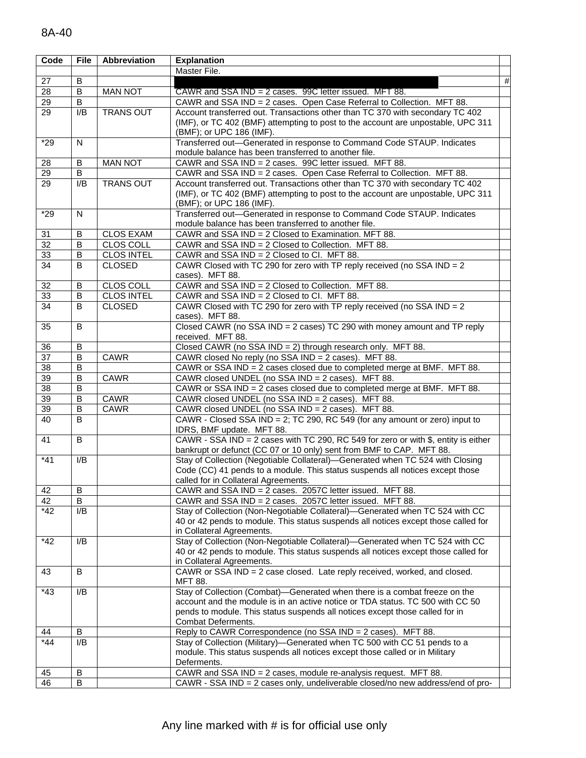| Code            | <b>File</b>    | Abbreviation      | <b>Explanation</b>                                                                                                                                                                                                                                                 |      |
|-----------------|----------------|-------------------|--------------------------------------------------------------------------------------------------------------------------------------------------------------------------------------------------------------------------------------------------------------------|------|
|                 |                |                   | Master File.                                                                                                                                                                                                                                                       |      |
| 27              | B              |                   |                                                                                                                                                                                                                                                                    | $\#$ |
| $\overline{28}$ | B              | <b>MAN NOT</b>    | CAWR and SSA IND = 2 cases. 99C letter issued. MFT 88.                                                                                                                                                                                                             |      |
| 29              | B              |                   | CAWR and SSA IND = 2 cases. Open Case Referral to Collection. MFT 88.                                                                                                                                                                                              |      |
| $\overline{29}$ | I/B            | <b>TRANS OUT</b>  | Account transferred out. Transactions other than TC 370 with secondary TC 402<br>(IMF), or TC 402 (BMF) attempting to post to the account are unpostable, UPC 311<br>(BMF); or UPC 186 (IMF).                                                                      |      |
| $*29$           | N              |                   | Transferred out-Generated in response to Command Code STAUP. Indicates<br>module balance has been transferred to another file.                                                                                                                                     |      |
| 28              | В              | <b>MAN NOT</b>    | CAWR and SSA IND = 2 cases. 99C letter issued. MFT 88.                                                                                                                                                                                                             |      |
| 29              | B              |                   | CAWR and SSA IND = 2 cases. Open Case Referral to Collection. MFT 88.                                                                                                                                                                                              |      |
| $\overline{29}$ | I/B            | <b>TRANS OUT</b>  | Account transferred out. Transactions other than TC 370 with secondary TC 402<br>(IMF), or TC 402 (BMF) attempting to post to the account are unpostable, UPC 311<br>(BMF); or UPC 186 (IMF).                                                                      |      |
| $*29$           | N              |                   | Transferred out-Generated in response to Command Code STAUP. Indicates<br>module balance has been transferred to another file.                                                                                                                                     |      |
| 31              | B              | <b>CLOS EXAM</b>  | CAWR and SSA IND = 2 Closed to Examination. MFT 88.                                                                                                                                                                                                                |      |
| $\overline{32}$ | B              | CLOS COLL         | CAWR and SSA IND = 2 Closed to Collection. MFT 88.                                                                                                                                                                                                                 |      |
| 33              | В              | <b>CLOS INTEL</b> | CAWR and SSA IND = 2 Closed to Cl. MFT 88.                                                                                                                                                                                                                         |      |
| $\overline{34}$ | B              | <b>CLOSED</b>     | CAWR Closed with TC 290 for zero with TP reply received (no SSA IND = $2$<br>cases). MFT 88.                                                                                                                                                                       |      |
| 32              | B              | <b>CLOS COLL</b>  | CAWR and SSA IND = 2 Closed to Collection. MFT 88.                                                                                                                                                                                                                 |      |
| 33              | B              | <b>CLOS INTEL</b> | CAWR and SSA IND = 2 Closed to Cl. MFT 88.                                                                                                                                                                                                                         |      |
| 34              | B              | <b>CLOSED</b>     | CAWR Closed with TC 290 for zero with TP reply received (no SSA IND = $2$<br>cases). MFT 88.                                                                                                                                                                       |      |
| 35              | B              |                   | Closed CAWR (no SSA IND = 2 cases) TC 290 with money amount and TP reply<br>received. MFT 88.                                                                                                                                                                      |      |
| 36              | B              |                   | Closed CAWR (no SSA IND = 2) through research only. MFT 88.                                                                                                                                                                                                        |      |
| $\overline{37}$ | B              | CAWR              | CAWR closed No reply (no SSA IND = 2 cases). MFT 88.                                                                                                                                                                                                               |      |
| $\overline{38}$ | B              |                   | CAWR or SSA IND = 2 cases closed due to completed merge at BMF. MFT 88.                                                                                                                                                                                            |      |
| 39              | $\overline{B}$ | <b>CAWR</b>       | CAWR closed UNDEL (no SSA IND = 2 cases). MFT 88.                                                                                                                                                                                                                  |      |
| 38              | B              |                   | CAWR or SSA IND = 2 cases closed due to completed merge at BMF. MFT 88.                                                                                                                                                                                            |      |
| 39              | B              | CAWR              | CAWR closed UNDEL (no SSA IND = 2 cases). MFT 88.                                                                                                                                                                                                                  |      |
| 39              | $\sf B$        | <b>CAWR</b>       | CAWR closed UNDEL (no SSA IND = 2 cases). MFT 88.                                                                                                                                                                                                                  |      |
| 40              | B              |                   | CAWR - Closed SSA IND = 2; TC 290, RC 549 (for any amount or zero) input to<br>IDRS, BMF update. MFT 88.                                                                                                                                                           |      |
| 41              | B              |                   | CAWR - SSA IND = 2 cases with TC 290, RC 549 for zero or with \$, entity is either<br>bankrupt or defunct (CC 07 or 10 only) sent from BMF to CAP. MFT 88.                                                                                                         |      |
| $*41$           | I/B            |                   | Stay of Collection (Negotiable Collateral)-Generated when TC 524 with Closing<br>Code (CC) 41 pends to a module. This status suspends all notices except those<br>called for in Collateral Agreements.                                                             |      |
| 42              | B              |                   | CAWR and SSA IND = 2 cases. 2057C letter issued. MFT 88.                                                                                                                                                                                                           |      |
| 42              | B              |                   | CAWR and SSA IND = 2 cases. 2057C letter issued. MFT 88.                                                                                                                                                                                                           |      |
| $*42$           | I/B            |                   | Stay of Collection (Non-Negotiable Collateral)-Generated when TC 524 with CC<br>40 or 42 pends to module. This status suspends all notices except those called for<br>in Collateral Agreements.                                                                    |      |
| $*42$           | I/B            |                   | Stay of Collection (Non-Negotiable Collateral)-Generated when TC 524 with CC<br>40 or 42 pends to module. This status suspends all notices except those called for<br>in Collateral Agreements.                                                                    |      |
| 43              | B              |                   | CAWR or SSA IND = 2 case closed. Late reply received, worked, and closed.<br><b>MFT 88.</b>                                                                                                                                                                        |      |
| $*43$           | I/B            |                   | Stay of Collection (Combat)-Generated when there is a combat freeze on the<br>account and the module is in an active notice or TDA status. TC 500 with CC 50<br>pends to module. This status suspends all notices except those called for in<br>Combat Deferments. |      |
| 44              | B              |                   | Reply to CAWR Correspondence (no SSA IND = 2 cases). MFT 88.                                                                                                                                                                                                       |      |
| $*44$           | I/B            |                   | Stay of Collection (Military)-Generated when TC 500 with CC 51 pends to a<br>module. This status suspends all notices except those called or in Military<br>Deferments.                                                                                            |      |
| 45              | B              |                   | CAWR and SSA IND = 2 cases, module re-analysis request. MFT 88.                                                                                                                                                                                                    |      |
| 46              | B              |                   | CAWR - SSA IND = 2 cases only, undeliverable closed/no new address/end of pro-                                                                                                                                                                                     |      |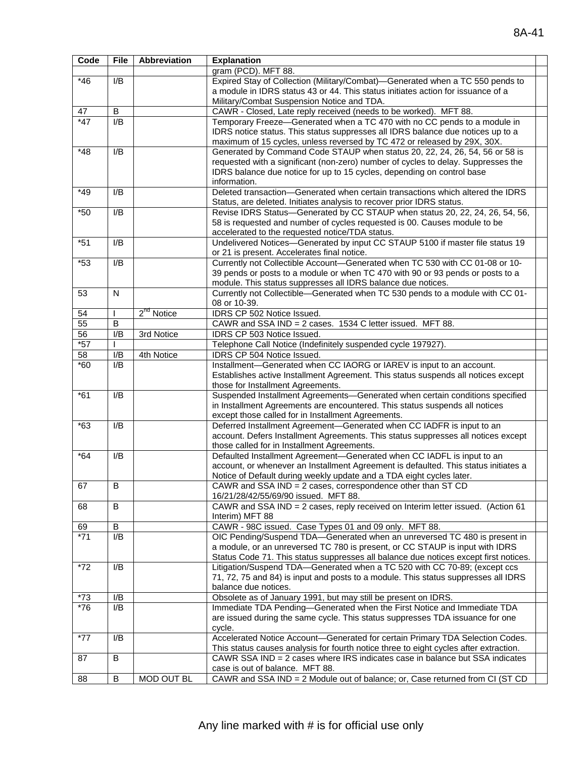| Code  | <b>File</b>    | <b>Abbreviation</b>    | <b>Explanation</b>                                                                    |  |
|-------|----------------|------------------------|---------------------------------------------------------------------------------------|--|
|       |                |                        | gram (PCD). MFT 88.                                                                   |  |
| $*46$ | I/B            |                        | Expired Stay of Collection (Military/Combat)-Generated when a TC 550 pends to         |  |
|       |                |                        | a module in IDRS status 43 or 44. This status initiates action for issuance of a      |  |
|       |                |                        | Military/Combat Suspension Notice and TDA.                                            |  |
| 47    | $\sf B$        |                        | CAWR - Closed, Late reply received (needs to be worked). MFT 88.                      |  |
| $*47$ | I/B            |                        | Temporary Freeze-Generated when a TC 470 with no CC pends to a module in              |  |
|       |                |                        | IDRS notice status. This status suppresses all IDRS balance due notices up to a       |  |
|       |                |                        | maximum of 15 cycles, unless reversed by TC 472 or released by 29X, 30X.              |  |
| $*48$ | I/B            |                        | Generated by Command Code STAUP when status 20, 22, 24, 26, 54, 56 or 58 is           |  |
|       |                |                        | requested with a significant (non-zero) number of cycles to delay. Suppresses the     |  |
|       |                |                        | IDRS balance due notice for up to 15 cycles, depending on control base                |  |
|       |                |                        | information.                                                                          |  |
| $*49$ | I/B            |                        | Deleted transaction-Generated when certain transactions which altered the IDRS        |  |
|       |                |                        | Status, are deleted. Initiates analysis to recover prior IDRS status.                 |  |
| $*50$ | I/B            |                        | Revise IDRS Status-Generated by CC STAUP when status 20, 22, 24, 26, 54, 56,          |  |
|       |                |                        | 58 is requested and number of cycles requested is 00. Causes module to be             |  |
|       |                |                        | accelerated to the requested notice/TDA status.                                       |  |
| $*51$ | I/B            |                        | Undelivered Notices-Generated by input CC STAUP 5100 if master file status 19         |  |
|       |                |                        | or 21 is present. Accelerates final notice.                                           |  |
| $*53$ | I/B            |                        | Currently not Collectible Account-Generated when TC 530 with CC 01-08 or 10-          |  |
|       |                |                        | 39 pends or posts to a module or when TC 470 with 90 or 93 pends or posts to a        |  |
|       |                |                        | module. This status suppresses all IDRS balance due notices.                          |  |
| 53    | $\mathsf{N}$   |                        | Currently not Collectible-Generated when TC 530 pends to a module with CC 01-         |  |
|       |                |                        | 08 or 10-39.                                                                          |  |
| 54    |                | 2 <sup>nd</sup> Notice | IDRS CP 502 Notice Issued.                                                            |  |
| 55    | B              |                        | CAWR and SSA IND = 2 cases. 1534 C letter issued. MFT 88.                             |  |
| 56    | I/B            | 3rd Notice             | IDRS CP 503 Notice Issued.                                                            |  |
| $*57$ |                |                        | Telephone Call Notice (Indefinitely suspended cycle 197927).                          |  |
| 58    | I/B            | 4th Notice             | IDRS CP 504 Notice Issued.                                                            |  |
| $*60$ | I/B            |                        | Installment-Generated when CC IAORG or IAREV is input to an account.                  |  |
|       |                |                        | Establishes active Installment Agreement. This status suspends all notices except     |  |
|       |                |                        | those for Installment Agreements.                                                     |  |
| $*61$ | I/B            |                        | Suspended Installment Agreements-Generated when certain conditions specified          |  |
|       |                |                        | in Installment Agreements are encountered. This status suspends all notices           |  |
|       |                |                        | except those called for in Installment Agreements.                                    |  |
| $*63$ | I/B            |                        | Deferred Installment Agreement-Generated when CC IADFR is input to an                 |  |
|       |                |                        | account. Defers Installment Agreements. This status suppresses all notices except     |  |
|       |                |                        | those called for in Installment Agreements.                                           |  |
| $*64$ | I/B            |                        | Defaulted Installment Agreement-Generated when CC IADFL is input to an                |  |
|       |                |                        | account, or whenever an Installment Agreement is defaulted. This status initiates a   |  |
|       |                |                        | Notice of Default during weekly update and a TDA eight cycles later.                  |  |
| 67    | $\overline{B}$ |                        | CAWR and SSA IND = 2 cases, correspondence other than ST CD                           |  |
|       |                |                        | 16/21/28/42/55/69/90 issued. MFT 88.                                                  |  |
| 68    | B              |                        | CAWR and SSA IND = 2 cases, reply received on Interim letter issued. (Action 61       |  |
|       |                |                        | Interim) MFT 88                                                                       |  |
| 69    | $\overline{B}$ |                        | CAWR - 98C issued. Case Types 01 and 09 only. MFT 88.                                 |  |
| $*71$ | I/B            |                        | OIC Pending/Suspend TDA-Generated when an unreversed TC 480 is present in             |  |
|       |                |                        | a module, or an unreversed TC 780 is present, or CC STAUP is input with IDRS          |  |
|       |                |                        | Status Code 71. This status suppresses all balance due notices except first notices.  |  |
| $*72$ | I/B            |                        | Litigation/Suspend TDA-Generated when a TC 520 with CC 70-89; (except ccs             |  |
|       |                |                        | 71, 72, 75 and 84) is input and posts to a module. This status suppresses all IDRS    |  |
|       |                |                        | balance due notices.                                                                  |  |
| $*73$ | I/B            |                        | Obsolete as of January 1991, but may still be present on IDRS.                        |  |
| $*76$ | I/B            |                        | Immediate TDA Pending-Generated when the First Notice and Immediate TDA               |  |
|       |                |                        | are issued during the same cycle. This status suppresses TDA issuance for one         |  |
|       |                |                        | cycle.                                                                                |  |
| $*77$ | I/B            |                        | Accelerated Notice Account-Generated for certain Primary TDA Selection Codes.         |  |
|       |                |                        | This status causes analysis for fourth notice three to eight cycles after extraction. |  |
| 87    | B              |                        | CAWR SSA IND = 2 cases where IRS indicates case in balance but SSA indicates          |  |
|       |                |                        | case is out of balance. MFT 88.                                                       |  |
| 88    | В              | MOD OUT BL             | CAWR and SSA IND = 2 Module out of balance; or, Case returned from CI (ST CD          |  |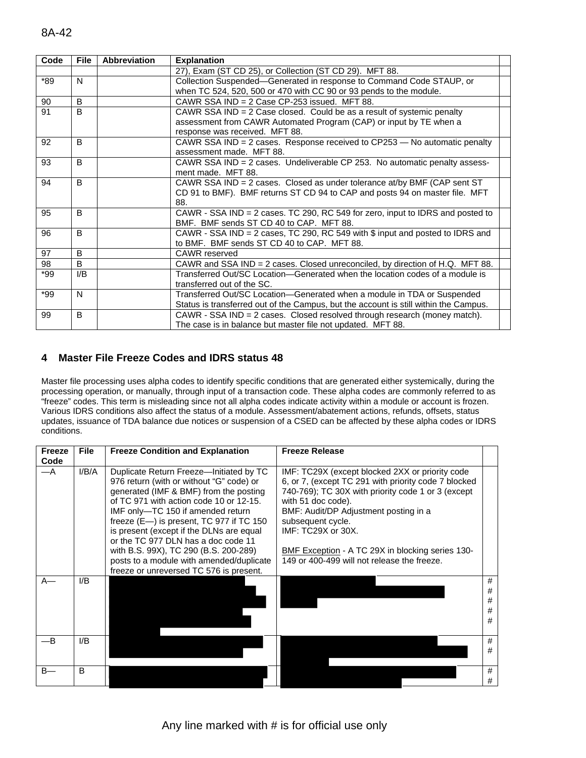| Code | <b>File</b>    | <b>Abbreviation</b> | <b>Explanation</b>                                                                       |
|------|----------------|---------------------|------------------------------------------------------------------------------------------|
|      |                |                     | 27), Exam (ST CD 25), or Collection (ST CD 29). MFT 88.                                  |
| *89  | N              |                     | Collection Suspended-Generated in response to Command Code STAUP, or                     |
|      |                |                     | when TC 524, 520, 500 or 470 with CC 90 or 93 pends to the module.                       |
| 90   | B              |                     | CAWR SSA IND = $2$ Case CP-253 issued. MFT 88.                                           |
| 91   | B              |                     | CAWR SSA IND = 2 Case closed. Could be as a result of systemic penalty                   |
|      |                |                     | assessment from CAWR Automated Program (CAP) or input by TE when a                       |
|      |                |                     | response was received. MFT 88.                                                           |
| 92   | B              |                     | CAWR SSA IND = 2 cases. Response received to CP253 - No automatic penalty                |
|      |                |                     | assessment made. MFT 88.                                                                 |
| 93   | B              |                     | CAWR SSA IND $=$ 2 cases. Undeliverable CP 253. No automatic penalty assess-             |
|      |                |                     | ment made. MFT 88.                                                                       |
| 94   | B              |                     | CAWR SSA IND = $2$ cases. Closed as under tolerance at/by BMF (CAP sent ST)              |
|      |                |                     | CD 91 to BMF). BMF returns ST CD 94 to CAP and posts 94 on master file. MFT              |
|      |                |                     | 88.                                                                                      |
| 95   | B              |                     | CAWR - SSA IND = 2 cases. TC 290, RC 549 for zero, input to IDRS and posted to           |
|      |                |                     | BMF. BMF sends ST CD 40 to CAP. MFT 88.                                                  |
| 96   | B              |                     | CAWR - SSA IND = 2 cases, TC 290, RC 549 with $\frac{6}{9}$ input and posted to IDRS and |
|      |                |                     | to BMF. BMF sends ST CD 40 to CAP. MFT 88.                                               |
| 97   | B              |                     | CAWR reserved                                                                            |
| 98   | B              |                     | CAWR and SSA IND = 2 cases. Closed unreconciled, by direction of H.Q. MFT 88.            |
| *99  | $\mathsf{I/B}$ |                     | Transferred Out/SC Location—Generated when the location codes of a module is             |
|      |                |                     | transferred out of the SC.                                                               |
| *99  | N              |                     | Transferred Out/SC Location-Generated when a module in TDA or Suspended                  |
|      |                |                     | Status is transferred out of the Campus, but the account is still within the Campus.     |
| 99   | B              |                     | CAWR - SSA IND = $2$ cases. Closed resolved through research (money match).              |
|      |                |                     | The case is in balance but master file not updated. MFT 88.                              |

## **4 Master File Freeze Codes and IDRS status 48**

Master file processing uses alpha codes to identify specific conditions that are generated either systemically, during the processing operation, or manually, through input of a transaction code. These alpha codes are commonly referred to as "freeze" codes. This term is misleading since not all alpha codes indicate activity within a module or account is frozen. Various IDRS conditions also affect the status of a module. Assessment/abatement actions, refunds, offsets, status updates, issuance of TDA balance due notices or suspension of a CSED can be affected by these alpha codes or IDRS conditions.

| Freeze<br>Code | <b>File</b> | <b>Freeze Condition and Explanation</b>                                                                                                                                                                                                                                                                                                                                                                                                                                                   | <b>Freeze Release</b>                                                                                                                                                                                                                                                                                                                                                      |                       |
|----------------|-------------|-------------------------------------------------------------------------------------------------------------------------------------------------------------------------------------------------------------------------------------------------------------------------------------------------------------------------------------------------------------------------------------------------------------------------------------------------------------------------------------------|----------------------------------------------------------------------------------------------------------------------------------------------------------------------------------------------------------------------------------------------------------------------------------------------------------------------------------------------------------------------------|-----------------------|
| $-A$           | I/B/A       | Duplicate Return Freeze-Initiated by TC<br>976 return (with or without "G" code) or<br>generated (IMF & BMF) from the posting<br>of TC 971 with action code 10 or 12-15.<br>IMF only–TC 150 if amended return<br>freeze $(E \rightarrow)$ is present, TC 977 if TC 150<br>is present (except if the DLNs are equal<br>or the TC 977 DLN has a doc code 11<br>with B.S. 99X), TC 290 (B.S. 200-289)<br>posts to a module with amended/duplicate<br>freeze or unreversed TC 576 is present. | IMF: TC29X (except blocked 2XX or priority code<br>6, or 7, (except TC 291 with priority code 7 blocked<br>740-769); TC 30X with priority code 1 or 3 (except<br>with 51 doc code).<br>BMF: Audit/DP Adjustment posting in a<br>subsequent cycle.<br>IMF: TC29X or 30X.<br>BMF Exception - A TC 29X in blocking series 130-<br>149 or 400-499 will not release the freeze. |                       |
| $A-$           | I/B         |                                                                                                                                                                                                                                                                                                                                                                                                                                                                                           |                                                                                                                                                                                                                                                                                                                                                                            | #<br>#<br>#<br>#<br># |
|                | I/B         |                                                                                                                                                                                                                                                                                                                                                                                                                                                                                           |                                                                                                                                                                                                                                                                                                                                                                            | #<br>#                |
| $B -$          | B           |                                                                                                                                                                                                                                                                                                                                                                                                                                                                                           |                                                                                                                                                                                                                                                                                                                                                                            | #<br>#                |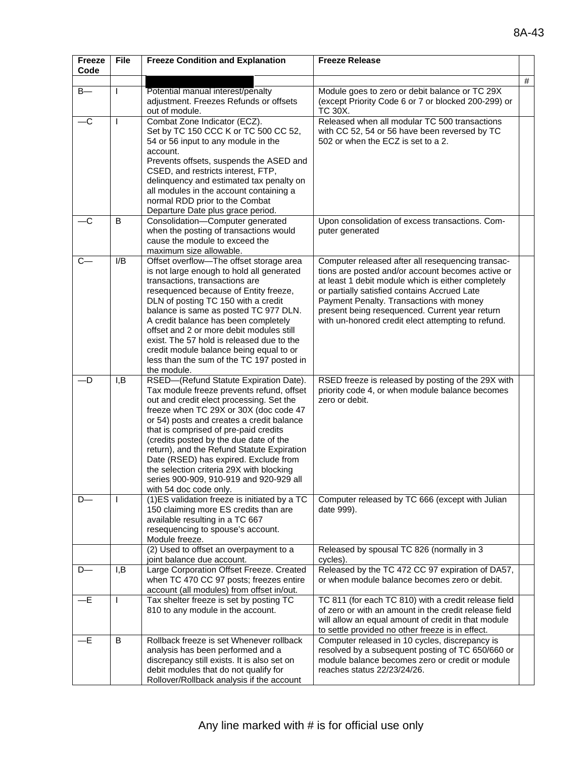| Freeze<br>Code | <b>File</b>  | <b>Freeze Condition and Explanation</b>                                                                                                                                                                                                                                                                                                                                                                                                                                                                           | <b>Freeze Release</b>                                                                                                                                                                                                                                                                                                                                            |   |
|----------------|--------------|-------------------------------------------------------------------------------------------------------------------------------------------------------------------------------------------------------------------------------------------------------------------------------------------------------------------------------------------------------------------------------------------------------------------------------------------------------------------------------------------------------------------|------------------------------------------------------------------------------------------------------------------------------------------------------------------------------------------------------------------------------------------------------------------------------------------------------------------------------------------------------------------|---|
|                |              |                                                                                                                                                                                                                                                                                                                                                                                                                                                                                                                   |                                                                                                                                                                                                                                                                                                                                                                  | # |
| $B -$          | L            | Potential manual interest/penalty<br>adjustment. Freezes Refunds or offsets<br>out of module.                                                                                                                                                                                                                                                                                                                                                                                                                     | Module goes to zero or debit balance or TC 29X<br>(except Priority Code 6 or 7 or blocked 200-299) or<br>TC 30X.                                                                                                                                                                                                                                                 |   |
| $-c$           | L            | Combat Zone Indicator (ECZ).<br>Set by TC 150 CCC K or TC 500 CC 52,<br>54 or 56 input to any module in the<br>account.<br>Prevents offsets, suspends the ASED and<br>CSED, and restricts interest, FTP,<br>delinquency and estimated tax penalty on<br>all modules in the account containing a<br>normal RDD prior to the Combat<br>Departure Date plus grace period.                                                                                                                                            | Released when all modular TC 500 transactions<br>with CC 52, 54 or 56 have been reversed by TC<br>502 or when the ECZ is set to a 2.                                                                                                                                                                                                                             |   |
| $-c$           | B            | Consolidation-Computer generated<br>when the posting of transactions would<br>cause the module to exceed the<br>maximum size allowable.                                                                                                                                                                                                                                                                                                                                                                           | Upon consolidation of excess transactions. Com-<br>puter generated                                                                                                                                                                                                                                                                                               |   |
| $C -$          | I/B          | Offset overflow-The offset storage area<br>is not large enough to hold all generated<br>transactions, transactions are<br>resequenced because of Entity freeze,<br>DLN of posting TC 150 with a credit<br>balance is same as posted TC 977 DLN.<br>A credit balance has been completely<br>offset and 2 or more debit modules still<br>exist. The 57 hold is released due to the<br>credit module balance being equal to or<br>less than the sum of the TC 197 posted in<br>the module.                           | Computer released after all resequencing transac-<br>tions are posted and/or account becomes active or<br>at least 1 debit module which is either completely<br>or partially satisfied contains Accrued Late<br>Payment Penalty. Transactions with money<br>present being resequenced. Current year return<br>with un-honored credit elect attempting to refund. |   |
| —D             | I, B         | RSED-(Refund Statute Expiration Date).<br>Tax module freeze prevents refund, offset<br>out and credit elect processing. Set the<br>freeze when TC 29X or 30X (doc code 47<br>or 54) posts and creates a credit balance<br>that is comprised of pre-paid credits<br>(credits posted by the due date of the<br>return), and the Refund Statute Expiration<br>Date (RSED) has expired. Exclude from<br>the selection criteria 29X with blocking<br>series 900-909, 910-919 and 920-929 all<br>with 54 doc code only. | RSED freeze is released by posting of the 29X with<br>priority code 4, or when module balance becomes<br>zero or debit.                                                                                                                                                                                                                                          |   |
| $D -$          |              | (1) ES validation freeze is initiated by a TC<br>150 claiming more ES credits than are<br>available resulting in a TC 667<br>resequencing to spouse's account.<br>Module freeze.                                                                                                                                                                                                                                                                                                                                  | Computer released by TC 666 (except with Julian<br>date 999).                                                                                                                                                                                                                                                                                                    |   |
|                |              | (2) Used to offset an overpayment to a                                                                                                                                                                                                                                                                                                                                                                                                                                                                            | Released by spousal TC 826 (normally in 3<br>cycles).                                                                                                                                                                                                                                                                                                            |   |
| $D-$           | I, B         | joint balance due account.<br>Large Corporation Offset Freeze. Created<br>when TC 470 CC 97 posts; freezes entire<br>account (all modules) from offset in/out.                                                                                                                                                                                                                                                                                                                                                    | Released by the TC 472 CC 97 expiration of DA57,<br>or when module balance becomes zero or debit.                                                                                                                                                                                                                                                                |   |
| $-E$           | $\mathbf{I}$ | Tax shelter freeze is set by posting TC<br>810 to any module in the account.                                                                                                                                                                                                                                                                                                                                                                                                                                      | TC 811 (for each TC 810) with a credit release field<br>of zero or with an amount in the credit release field<br>will allow an equal amount of credit in that module<br>to settle provided no other freeze is in effect.                                                                                                                                         |   |
| —Е             | B            | Rollback freeze is set Whenever rollback<br>analysis has been performed and a<br>discrepancy still exists. It is also set on<br>debit modules that do not qualify for<br>Rollover/Rollback analysis if the account                                                                                                                                                                                                                                                                                                | Computer released in 10 cycles, discrepancy is<br>resolved by a subsequent posting of TC 650/660 or<br>module balance becomes zero or credit or module<br>reaches status 22/23/24/26.                                                                                                                                                                            |   |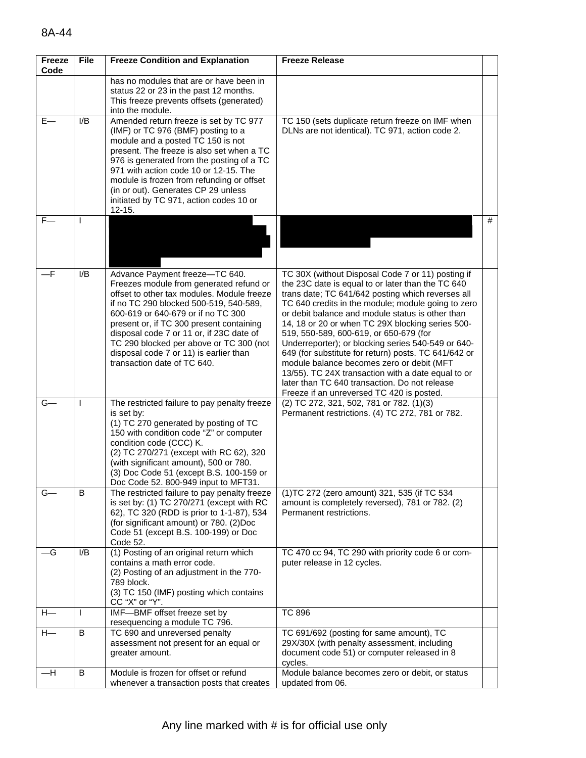| <b>Freeze</b><br>Code | File             | <b>Freeze Condition and Explanation</b>                                                                                                                                                                                                                                                                                                                                                                             | <b>Freeze Release</b>                                                                                                                                                                                                                                                                                                                                                                                                                                                                                                                                                                                                                                                              |   |
|-----------------------|------------------|---------------------------------------------------------------------------------------------------------------------------------------------------------------------------------------------------------------------------------------------------------------------------------------------------------------------------------------------------------------------------------------------------------------------|------------------------------------------------------------------------------------------------------------------------------------------------------------------------------------------------------------------------------------------------------------------------------------------------------------------------------------------------------------------------------------------------------------------------------------------------------------------------------------------------------------------------------------------------------------------------------------------------------------------------------------------------------------------------------------|---|
|                       |                  | has no modules that are or have been in<br>status 22 or 23 in the past 12 months.<br>This freeze prevents offsets (generated)<br>into the module.                                                                                                                                                                                                                                                                   |                                                                                                                                                                                                                                                                                                                                                                                                                                                                                                                                                                                                                                                                                    |   |
| $E-$                  | I/B              | Amended return freeze is set by TC 977<br>(IMF) or TC 976 (BMF) posting to a<br>module and a posted TC 150 is not<br>present. The freeze is also set when a TC<br>976 is generated from the posting of a TC<br>971 with action code 10 or 12-15. The<br>module is frozen from refunding or offset<br>(in or out). Generates CP 29 unless<br>initiated by TC 971, action codes 10 or<br>$12 - 15.$                   | TC 150 (sets duplicate return freeze on IMF when<br>DLNs are not identical). TC 971, action code 2.                                                                                                                                                                                                                                                                                                                                                                                                                                                                                                                                                                                |   |
| $F-$                  | I.               |                                                                                                                                                                                                                                                                                                                                                                                                                     |                                                                                                                                                                                                                                                                                                                                                                                                                                                                                                                                                                                                                                                                                    | # |
| —F                    | I/B              | Advance Payment freeze-TC 640.<br>Freezes module from generated refund or<br>offset to other tax modules. Module freeze<br>if no TC 290 blocked 500-519, 540-589,<br>600-619 or 640-679 or if no TC 300<br>present or, if TC 300 present containing<br>disposal code 7 or 11 or, if 23C date of<br>TC 290 blocked per above or TC 300 (not<br>disposal code 7 or 11) is earlier than<br>transaction date of TC 640. | TC 30X (without Disposal Code 7 or 11) posting if<br>the 23C date is equal to or later than the TC 640<br>trans date; TC 641/642 posting which reverses all<br>TC 640 credits in the module; module going to zero<br>or debit balance and module status is other than<br>14, 18 or 20 or when TC 29X blocking series 500-<br>519, 550-589, 600-619, or 650-679 (for<br>Underreporter); or blocking series 540-549 or 640-<br>649 (for substitute for return) posts. TC 641/642 or<br>module balance becomes zero or debit (MFT<br>13/55). TC 24X transaction with a date equal to or<br>later than TC 640 transaction. Do not release<br>Freeze if an unreversed TC 420 is posted. |   |
| $G-$                  |                  | The restricted failure to pay penalty freeze<br>is set by:<br>(1) TC 270 generated by posting of TC<br>150 with condition code "Z" or computer<br>condition code (CCC) K.<br>(2) TC 270/271 (except with RC 62), 320<br>(with significant amount), 500 or 780.<br>(3) Doc Code 51 (except B.S. 100-159 or<br>Doc Code 52. 800-949 input to MFT31.                                                                   | (2) TC 272, 321, 502, 781 or 782. (1)(3)<br>Permanent restrictions. (4) TC 272, 781 or 782.                                                                                                                                                                                                                                                                                                                                                                                                                                                                                                                                                                                        |   |
| $G-$                  | B                | The restricted failure to pay penalty freeze<br>is set by: (1) TC 270/271 (except with RC<br>62), TC 320 (RDD is prior to 1-1-87), 534<br>(for significant amount) or 780. (2)Doc<br>Code 51 (except B.S. 100-199) or Doc<br>Code 52.                                                                                                                                                                               | (1) TC 272 (zero amount) 321, 535 (if TC 534<br>amount is completely reversed), 781 or 782. (2)<br>Permanent restrictions.                                                                                                                                                                                                                                                                                                                                                                                                                                                                                                                                                         |   |
| –G                    | $\overline{I/B}$ | (1) Posting of an original return which<br>contains a math error code.<br>(2) Posting of an adjustment in the 770-<br>789 block.<br>(3) TC 150 (IMF) posting which contains<br>CC "X" or "Y".                                                                                                                                                                                                                       | TC 470 cc 94, TC 290 with priority code 6 or com-<br>puter release in 12 cycles.                                                                                                                                                                                                                                                                                                                                                                                                                                                                                                                                                                                                   |   |
| $H -$                 | T                | IMF-BMF offset freeze set by<br>resequencing a module TC 796.                                                                                                                                                                                                                                                                                                                                                       | <b>TC 896</b>                                                                                                                                                                                                                                                                                                                                                                                                                                                                                                                                                                                                                                                                      |   |
| $H-$                  | В                | TC 690 and unreversed penalty<br>assessment not present for an equal or<br>greater amount.                                                                                                                                                                                                                                                                                                                          | TC 691/692 (posting for same amount), TC<br>29X/30X (with penalty assessment, including<br>document code 51) or computer released in 8<br>cycles.                                                                                                                                                                                                                                                                                                                                                                                                                                                                                                                                  |   |
| $-H$                  | В                | Module is frozen for offset or refund<br>whenever a transaction posts that creates                                                                                                                                                                                                                                                                                                                                  | Module balance becomes zero or debit, or status<br>updated from 06.                                                                                                                                                                                                                                                                                                                                                                                                                                                                                                                                                                                                                |   |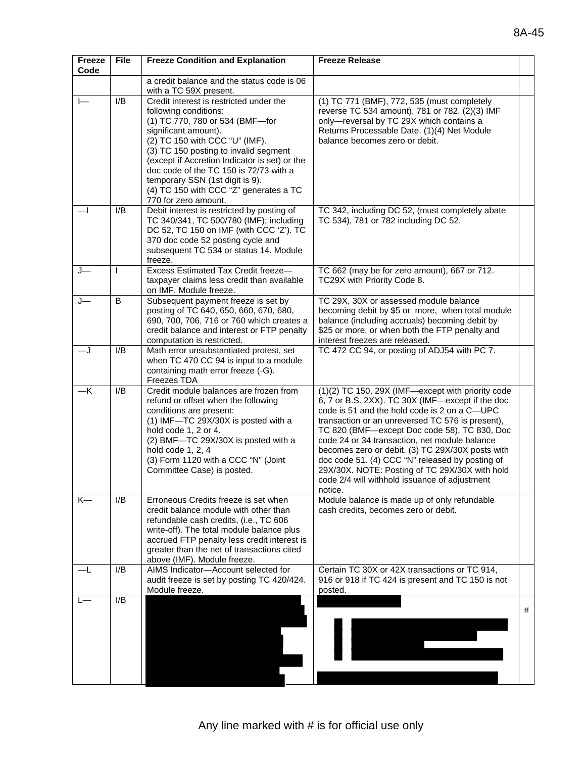| Freeze<br>Code           | <b>File</b> | <b>Freeze Condition and Explanation</b>                                                                                                                                                                                                                                                                                                                                                                | <b>Freeze Release</b>                                                                                                                                                                                                                                                                                                                                                                                                                                                                                                           |   |
|--------------------------|-------------|--------------------------------------------------------------------------------------------------------------------------------------------------------------------------------------------------------------------------------------------------------------------------------------------------------------------------------------------------------------------------------------------------------|---------------------------------------------------------------------------------------------------------------------------------------------------------------------------------------------------------------------------------------------------------------------------------------------------------------------------------------------------------------------------------------------------------------------------------------------------------------------------------------------------------------------------------|---|
|                          |             | a credit balance and the status code is 06<br>with a TC 59X present.                                                                                                                                                                                                                                                                                                                                   |                                                                                                                                                                                                                                                                                                                                                                                                                                                                                                                                 |   |
| $\overline{\phantom{a}}$ | I/B         | Credit interest is restricted under the<br>following conditions:<br>(1) TC 770, 780 or 534 (BMF-for<br>significant amount).<br>(2) TC 150 with CCC "U" (IMF).<br>(3) TC 150 posting to invalid segment<br>(except if Accretion Indicator is set) or the<br>doc code of the TC 150 is 72/73 with a<br>temporary SSN (1st digit is 9).<br>(4) TC 150 with CCC "Z" generates a TC<br>770 for zero amount. | (1) TC 771 (BMF), 772, 535 (must completely<br>reverse TC 534 amount), 781 or 782. (2)(3) IMF<br>only-reversal by TC 29X which contains a<br>Returns Processable Date. (1)(4) Net Module<br>balance becomes zero or debit.                                                                                                                                                                                                                                                                                                      |   |
| —1                       | I/B         | Debit interest is restricted by posting of<br>TC 340/341, TC 500/780 (IMF); including<br>DC 52, TC 150 on IMF (with CCC 'Z'). TC<br>370 doc code 52 posting cycle and<br>subsequent TC 534 or status 14. Module<br>freeze.                                                                                                                                                                             | TC 342, including DC 52, (must completely abate<br>TC 534), 781 or 782 including DC 52.                                                                                                                                                                                                                                                                                                                                                                                                                                         |   |
| J—                       |             | Excess Estimated Tax Credit freeze-<br>taxpayer claims less credit than available<br>on IMF. Module freeze.                                                                                                                                                                                                                                                                                            | TC 662 (may be for zero amount), 667 or 712.<br>TC29X with Priority Code 8.                                                                                                                                                                                                                                                                                                                                                                                                                                                     |   |
|                          | B           | Subsequent payment freeze is set by<br>posting of TC 640, 650, 660, 670, 680,<br>690, 700, 706, 716 or 760 which creates a<br>credit balance and interest or FTP penalty<br>computation is restricted.                                                                                                                                                                                                 | TC 29X, 30X or assessed module balance<br>becoming debit by \$5 or more, when total module<br>balance (including accruals) becoming debit by<br>\$25 or more, or when both the FTP penalty and<br>interest freezes are released.                                                                                                                                                                                                                                                                                                |   |
| —J                       | I/B         | Math error unsubstantiated protest, set<br>when TC 470 CC 94 is input to a module<br>containing math error freeze (-G).<br>Freezes TDA                                                                                                                                                                                                                                                                 | TC 472 CC 94, or posting of ADJ54 with PC 7.                                                                                                                                                                                                                                                                                                                                                                                                                                                                                    |   |
| $-\mathsf{K}$            | I/B         | Credit module balances are frozen from<br>refund or offset when the following<br>conditions are present:<br>(1) IMF-TC 29X/30X is posted with a<br>hold code 1, 2 or 4.<br>(2) BMF-TC 29X/30X is posted with a<br>hold code 1, 2, 4<br>(3) Form 1120 with a CCC "N" (Joint<br>Committee Case) is posted.                                                                                               | (1)(2) TC 150, 29X (IMF-except with priority code<br>6, 7 or B.S. 2XX). TC 30X (IMF-except if the doc<br>code is 51 and the hold code is 2 on a C-UPC<br>transaction or an unreversed TC 576 is present),<br>TC 820 (BMF—except Doc code 58), TC 830, Doc<br>code 24 or 34 transaction, net module balance<br>becomes zero or debit. (3) TC 29X/30X posts with<br>doc code 51. (4) CCC "N" released by posting of<br>29X/30X. NOTE: Posting of TC 29X/30X with hold<br>code 2/4 will withhold issuance of adjustment<br>notice. |   |
| K-                       | I/B         | Erroneous Credits freeze is set when<br>credit balance module with other than<br>refundable cash credits, (i.e., TC 606<br>write-off). The total module balance plus<br>accrued FTP penalty less credit interest is<br>greater than the net of transactions cited<br>above (IMF). Module freeze.                                                                                                       | Module balance is made up of only refundable<br>cash credits, becomes zero or debit.                                                                                                                                                                                                                                                                                                                                                                                                                                            |   |
|                          | I/B         | AIMS Indicator-Account selected for<br>audit freeze is set by posting TC 420/424.<br>Module freeze.                                                                                                                                                                                                                                                                                                    | Certain TC 30X or 42X transactions or TC 914,<br>916 or 918 if TC 424 is present and TC 150 is not<br>posted.                                                                                                                                                                                                                                                                                                                                                                                                                   |   |
|                          | I/B         |                                                                                                                                                                                                                                                                                                                                                                                                        |                                                                                                                                                                                                                                                                                                                                                                                                                                                                                                                                 | # |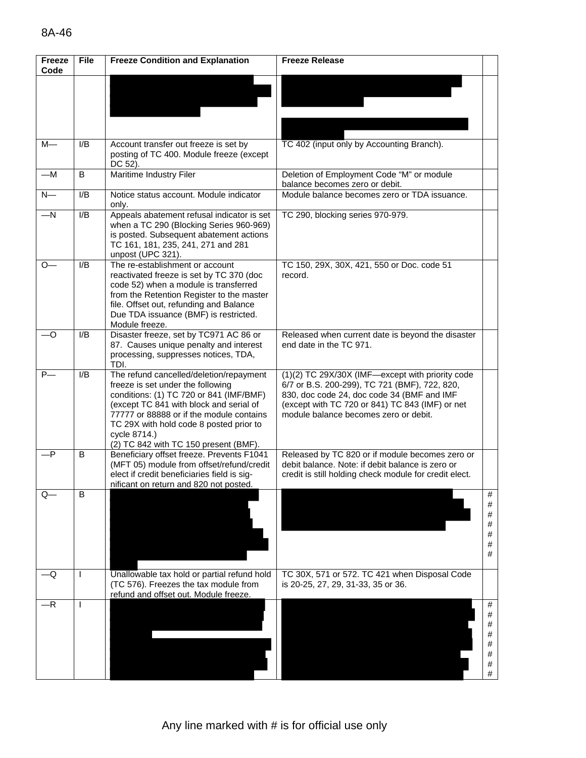| Freeze<br>Code | <b>File</b> | <b>Freeze Condition and Explanation</b>                                                                                                                                                                                                                                                                            | <b>Freeze Release</b>                                                                                                                                                                                                                       |                                      |
|----------------|-------------|--------------------------------------------------------------------------------------------------------------------------------------------------------------------------------------------------------------------------------------------------------------------------------------------------------------------|---------------------------------------------------------------------------------------------------------------------------------------------------------------------------------------------------------------------------------------------|--------------------------------------|
|                |             |                                                                                                                                                                                                                                                                                                                    |                                                                                                                                                                                                                                             |                                      |
|                |             |                                                                                                                                                                                                                                                                                                                    |                                                                                                                                                                                                                                             |                                      |
| $\bar{M}$      | I/B         | Account transfer out freeze is set by<br>posting of TC 400. Module freeze (except<br>DC 52).                                                                                                                                                                                                                       | TC 402 (input only by Accounting Branch).                                                                                                                                                                                                   |                                      |
| $-M$           | B           | Maritime Industry Filer                                                                                                                                                                                                                                                                                            | Deletion of Employment Code "M" or module<br>balance becomes zero or debit.                                                                                                                                                                 |                                      |
| $N-$           | I/B         | Notice status account. Module indicator<br>only.                                                                                                                                                                                                                                                                   | Module balance becomes zero or TDA issuance.                                                                                                                                                                                                |                                      |
| $-\mathsf{N}$  | I/B         | Appeals abatement refusal indicator is set<br>when a TC 290 (Blocking Series 960-969)<br>is posted. Subsequent abatement actions<br>TC 161, 181, 235, 241, 271 and 281<br>unpost (UPC 321).                                                                                                                        | TC 290, blocking series 970-979.                                                                                                                                                                                                            |                                      |
| $O-$           | I/B         | The re-establishment or account<br>reactivated freeze is set by TC 370 (doc<br>code 52) when a module is transferred<br>from the Retention Register to the master<br>file. Offset out, refunding and Balance<br>Due TDA issuance (BMF) is restricted.<br>Module freeze.                                            | TC 150, 29X, 30X, 421, 550 or Doc. code 51<br>record.                                                                                                                                                                                       |                                      |
| -O             | I/B         | Disaster freeze, set by TC971 AC 86 or<br>87. Causes unique penalty and interest<br>processing, suppresses notices, TDA,<br>TDI.                                                                                                                                                                                   | Released when current date is beyond the disaster<br>end date in the TC 971.                                                                                                                                                                |                                      |
| $P-$           | I/B         | The refund cancelled/deletion/repayment<br>freeze is set under the following<br>conditions: (1) TC 720 or 841 (IMF/BMF)<br>(except TC 841 with block and serial of<br>77777 or 88888 or if the module contains<br>TC 29X with hold code 8 posted prior to<br>cycle 8714.)<br>(2) TC 842 with TC 150 present (BMF). | (1)(2) TC 29X/30X (IMF-except with priority code<br>6/7 or B.S. 200-299), TC 721 (BMF), 722, 820,<br>830, doc code 24, doc code 34 (BMF and IMF<br>(except with TC 720 or 841) TC 843 (IMF) or net<br>module balance becomes zero or debit. |                                      |
| $-P$           | B           | Beneficiary offset freeze. Prevents F1041<br>(MFT 05) module from offset/refund/credit<br>elect if credit beneficiaries field is sig-<br>nificant on return and 820 not posted.                                                                                                                                    | Released by TC 820 or if module becomes zero or<br>debit balance. Note: if debit balance is zero or<br>credit is still holding check module for credit elect.                                                                               |                                      |
| Q.             | B           |                                                                                                                                                                                                                                                                                                                    |                                                                                                                                                                                                                                             | #<br>#<br>#<br>#<br>#<br>#<br>#      |
| Q              | H           | Unallowable tax hold or partial refund hold<br>(TC 576). Freezes the tax module from<br>refund and offset out. Module freeze.                                                                                                                                                                                      | TC 30X, 571 or 572. TC 421 when Disposal Code<br>is 20-25, 27, 29, 31-33, 35 or 36.                                                                                                                                                         |                                      |
| -R             |             |                                                                                                                                                                                                                                                                                                                    |                                                                                                                                                                                                                                             | #<br>#<br>#<br>#<br>#<br>#<br>#<br># |

h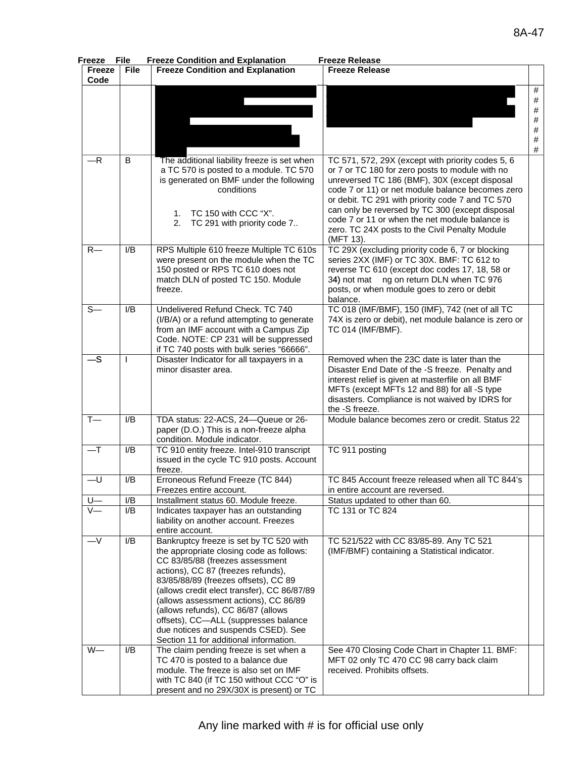| Freeze                | <b>File</b>  | <b>Freeze Condition and Explanation</b>                                                                                                                                                                                                                                                                                                                                                                                                                     | <b>Freeze Release</b>                                                                                                                                                                                                                                                                                                                                                                                                             |                                             |
|-----------------------|--------------|-------------------------------------------------------------------------------------------------------------------------------------------------------------------------------------------------------------------------------------------------------------------------------------------------------------------------------------------------------------------------------------------------------------------------------------------------------------|-----------------------------------------------------------------------------------------------------------------------------------------------------------------------------------------------------------------------------------------------------------------------------------------------------------------------------------------------------------------------------------------------------------------------------------|---------------------------------------------|
| <b>Freeze</b><br>Code | <b>File</b>  | <b>Freeze Condition and Explanation</b>                                                                                                                                                                                                                                                                                                                                                                                                                     | <b>Freeze Release</b>                                                                                                                                                                                                                                                                                                                                                                                                             |                                             |
|                       |              |                                                                                                                                                                                                                                                                                                                                                                                                                                                             |                                                                                                                                                                                                                                                                                                                                                                                                                                   | #<br>$\#$<br>#<br>$\#$<br>$\#$<br>$\#$<br># |
| $-R$                  | B            | The additional liability freeze is set when<br>a TC 570 is posted to a module. TC 570<br>is generated on BMF under the following<br>conditions<br>TC 150 with CCC "X".<br>1.<br>2.<br>TC 291 with priority code 7                                                                                                                                                                                                                                           | TC 571, 572, 29X (except with priority codes 5, 6<br>or 7 or TC 180 for zero posts to module with no<br>unreversed TC 186 (BMF), 30X (except disposal<br>code 7 or 11) or net module balance becomes zero<br>or debit. TC 291 with priority code 7 and TC 570<br>can only be reversed by TC 300 (except disposal<br>code 7 or 11 or when the net module balance is<br>zero. TC 24X posts to the Civil Penalty Module<br>(MFT 13). |                                             |
| $R-$                  | I/B          | RPS Multiple 610 freeze Multiple TC 610s<br>were present on the module when the TC<br>150 posted or RPS TC 610 does not<br>match DLN of posted TC 150. Module<br>freeze.                                                                                                                                                                                                                                                                                    | TC 29X (excluding priority code 6, 7 or blocking<br>series 2XX (IMF) or TC 30X. BMF: TC 612 to<br>reverse TC 610 (except doc codes 17, 18, 58 or<br>34) not mat ng on return DLN when TC 976<br>posts, or when module goes to zero or debit<br>balance.                                                                                                                                                                           |                                             |
| $S-$                  | I/B          | Undelivered Refund Check. TC 740<br>(I/B/A) or a refund attempting to generate<br>from an IMF account with a Campus Zip<br>Code. NOTE: CP 231 will be suppressed<br>if TC 740 posts with bulk series "66666".                                                                                                                                                                                                                                               | TC 018 (IMF/BMF), 150 (IMF), 742 (net of all TC<br>74X is zero or debit), net module balance is zero or<br>TC 014 (IMF/BMF).                                                                                                                                                                                                                                                                                                      |                                             |
| $-S$                  | $\mathsf{I}$ | Disaster Indicator for all taxpayers in a<br>minor disaster area.                                                                                                                                                                                                                                                                                                                                                                                           | Removed when the 23C date is later than the<br>Disaster End Date of the -S freeze. Penalty and<br>interest relief is given at masterfile on all BMF<br>MFTs (except MFTs 12 and 88) for all -S type<br>disasters. Compliance is not waived by IDRS for<br>the -S freeze.                                                                                                                                                          |                                             |
| $T -$                 | I/B          | TDA status: 22-ACS, 24-Queue or 26-<br>paper (D.O.) This is a non-freeze alpha<br>condition. Module indicator.                                                                                                                                                                                                                                                                                                                                              | Module balance becomes zero or credit. Status 22                                                                                                                                                                                                                                                                                                                                                                                  |                                             |
| $-\mathsf{T}$         | I/B          | TC 910 entity freeze. Intel-910 transcript<br>issued in the cycle TC 910 posts. Account<br>freeze.                                                                                                                                                                                                                                                                                                                                                          | TC 911 posting                                                                                                                                                                                                                                                                                                                                                                                                                    |                                             |
| $-U$                  | I/B          | Erroneous Refund Freeze (TC 844)<br>Freezes entire account.                                                                                                                                                                                                                                                                                                                                                                                                 | TC 845 Account freeze released when all TC 844's<br>in entire account are reversed.                                                                                                                                                                                                                                                                                                                                               |                                             |
|                       | I/B          | Installment status 60. Module freeze.                                                                                                                                                                                                                                                                                                                                                                                                                       | Status updated to other than 60.                                                                                                                                                                                                                                                                                                                                                                                                  |                                             |
| $V_{-}$               | I/B          | Indicates taxpayer has an outstanding<br>liability on another account. Freezes<br>entire account.                                                                                                                                                                                                                                                                                                                                                           | TC 131 or TC 824                                                                                                                                                                                                                                                                                                                                                                                                                  |                                             |
| $-V$                  | I/B          | Bankruptcy freeze is set by TC 520 with<br>the appropriate closing code as follows:<br>CC 83/85/88 (freezes assessment<br>actions), CC 87 (freezes refunds),<br>83/85/88/89 (freezes offsets), CC 89<br>(allows credit elect transfer), CC 86/87/89<br>(allows assessment actions), CC 86/89<br>(allows refunds), CC 86/87 (allows<br>offsets), CC-ALL (suppresses balance<br>due notices and suspends CSED). See<br>Section 11 for additional information. | TC 521/522 with CC 83/85-89. Any TC 521<br>(IMF/BMF) containing a Statistical indicator.                                                                                                                                                                                                                                                                                                                                          |                                             |
| $W-$                  | I/B          | The claim pending freeze is set when a<br>TC 470 is posted to a balance due<br>module. The freeze is also set on IMF<br>with TC 840 (if TC 150 without CCC "O" is<br>present and no 29X/30X is present) or TC                                                                                                                                                                                                                                               | See 470 Closing Code Chart in Chapter 11. BMF:<br>MFT 02 only TC 470 CC 98 carry back claim<br>received. Prohibits offsets.                                                                                                                                                                                                                                                                                                       |                                             |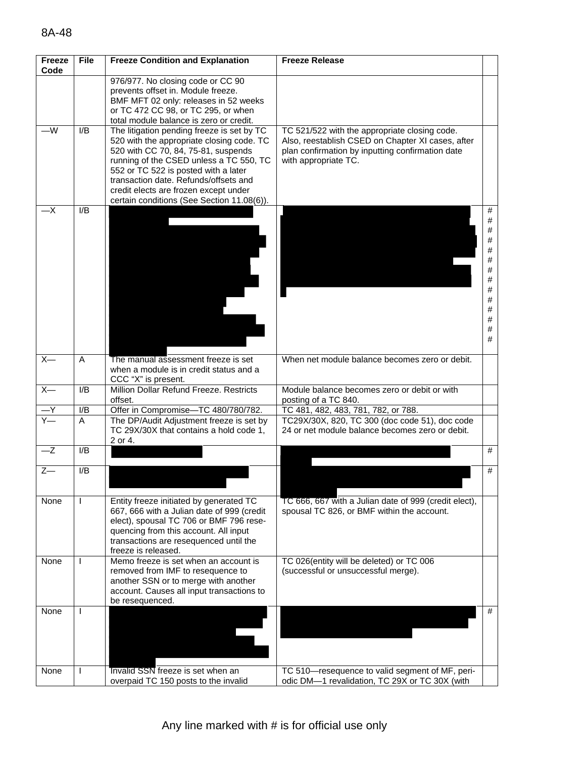| <b>Freeze</b><br>Code | <b>File</b> | <b>Freeze Condition and Explanation</b>                                                                                                                                                                                                                                                                                                           | <b>Freeze Release</b>                                                                                                                                                          |                                                                          |
|-----------------------|-------------|---------------------------------------------------------------------------------------------------------------------------------------------------------------------------------------------------------------------------------------------------------------------------------------------------------------------------------------------------|--------------------------------------------------------------------------------------------------------------------------------------------------------------------------------|--------------------------------------------------------------------------|
|                       |             | 976/977. No closing code or CC 90<br>prevents offset in. Module freeze.<br>BMF MFT 02 only: releases in 52 weeks<br>or TC 472 CC 98, or TC 295, or when<br>total module balance is zero or credit.                                                                                                                                                |                                                                                                                                                                                |                                                                          |
| —W                    | I/B         | The litigation pending freeze is set by TC<br>520 with the appropriate closing code. TC<br>520 with CC 70, 84, 75-81, suspends<br>running of the CSED unless a TC 550, TC<br>552 or TC 522 is posted with a later<br>transaction date. Refunds/offsets and<br>credit elects are frozen except under<br>certain conditions (See Section 11.08(6)). | TC 521/522 with the appropriate closing code.<br>Also, reestablish CSED on Chapter XI cases, after<br>plan confirmation by inputting confirmation date<br>with appropriate TC. |                                                                          |
| —Х                    | I/B         |                                                                                                                                                                                                                                                                                                                                                   |                                                                                                                                                                                | #<br>#<br>$\#$<br>#<br>#<br>#<br>$\#$<br>#<br>#<br>#<br>#<br>#<br>#<br># |
| $X-$                  | A           | The manual assessment freeze is set<br>when a module is in credit status and a<br>CCC "X" is present.                                                                                                                                                                                                                                             | When net module balance becomes zero or debit.                                                                                                                                 |                                                                          |
| $X-$                  | I/B         | Million Dollar Refund Freeze. Restricts<br>offset.                                                                                                                                                                                                                                                                                                | Module balance becomes zero or debit or with<br>posting of a TC 840.                                                                                                           |                                                                          |
|                       | I/B         | Offer in Compromise-TC 480/780/782.                                                                                                                                                                                                                                                                                                               | TC 481, 482, 483, 781, 782, or 788.                                                                                                                                            |                                                                          |
|                       |             | TC 29X/30X that contains a hold code 1,<br>2 or 4.                                                                                                                                                                                                                                                                                                | 24 or net module balance becomes zero or debit.                                                                                                                                |                                                                          |
|                       |             |                                                                                                                                                                                                                                                                                                                                                   |                                                                                                                                                                                | #                                                                        |
| $Z-$                  | I/B         |                                                                                                                                                                                                                                                                                                                                                   |                                                                                                                                                                                | #                                                                        |
| None                  |             | Entity freeze initiated by generated TC<br>667, 666 with a Julian date of 999 (credit<br>elect), spousal TC 706 or BMF 796 rese-<br>quencing from this account. All input<br>transactions are resequenced until the<br>freeze is released.                                                                                                        | TC 666, 667 with a Julian date of 999 (credit elect),<br>spousal TC 826, or BMF within the account.                                                                            |                                                                          |
| None                  |             | Memo freeze is set when an account is<br>removed from IMF to resequence to<br>another SSN or to merge with another<br>account. Causes all input transactions to<br>be resequenced.                                                                                                                                                                | TC 026(entity will be deleted) or TC 006<br>(successful or unsuccessful merge).                                                                                                |                                                                          |
| None                  |             |                                                                                                                                                                                                                                                                                                                                                   |                                                                                                                                                                                | #                                                                        |
| None                  |             |                                                                                                                                                                                                                                                                                                                                                   |                                                                                                                                                                                |                                                                          |
| $-Z$                  | A<br>I/B    | The DP/Audit Adjustment freeze is set by<br>Invalid SSN freeze is set when an<br>overpaid TC 150 posts to the invalid                                                                                                                                                                                                                             | TC29X/30X, 820, TC 300 (doc code 51), doc code<br>TC 510-resequence to valid segment of MF, peri-<br>odic DM-1 revalidation, TC 29X or TC 30X (with                            |                                                                          |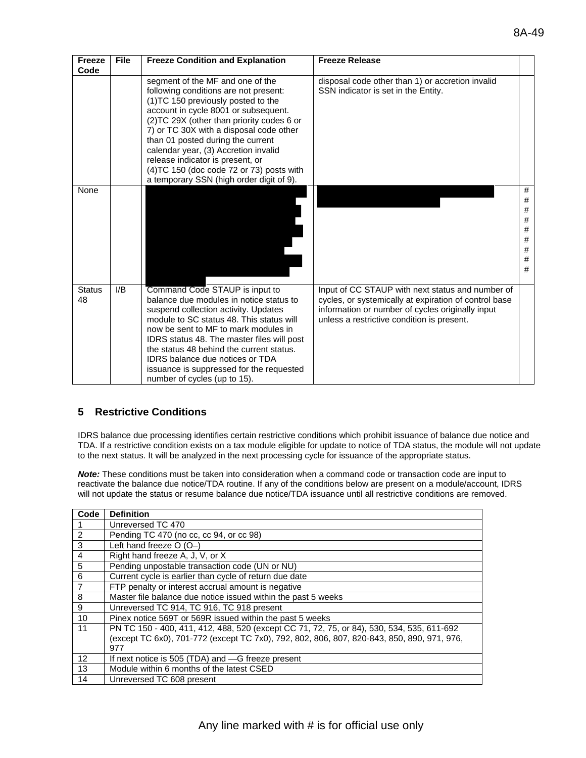| Freeze<br>Code      | <b>File</b> | <b>Freeze Condition and Explanation</b>                                                                                                                                                                                                                                                                                                                                                                                                                      | <b>Freeze Release</b>                                                                                                                                                                                       |                                                    |
|---------------------|-------------|--------------------------------------------------------------------------------------------------------------------------------------------------------------------------------------------------------------------------------------------------------------------------------------------------------------------------------------------------------------------------------------------------------------------------------------------------------------|-------------------------------------------------------------------------------------------------------------------------------------------------------------------------------------------------------------|----------------------------------------------------|
|                     |             | segment of the MF and one of the<br>following conditions are not present:<br>(1) TC 150 previously posted to the<br>account in cycle 8001 or subsequent.<br>(2) TC 29X (other than priority codes 6 or<br>7) or TC 30X with a disposal code other<br>than 01 posted during the current<br>calendar year, (3) Accretion invalid<br>release indicator is present, or<br>$(4)TC$ 150 (doc code 72 or 73) posts with<br>a temporary SSN (high order digit of 9). | disposal code other than 1) or accretion invalid<br>SSN indicator is set in the Entity.                                                                                                                     |                                                    |
| None                |             |                                                                                                                                                                                                                                                                                                                                                                                                                                                              |                                                                                                                                                                                                             | #<br>#<br>$\#$<br>$\#$<br>#<br>#<br>$\#$<br>#<br># |
| <b>Status</b><br>48 | I/B         | Command Code STAUP is input to<br>balance due modules in notice status to<br>suspend collection activity. Updates<br>module to SC status 48. This status will<br>now be sent to MF to mark modules in<br>IDRS status 48. The master files will post<br>the status 48 behind the current status.<br><b>IDRS</b> balance due notices or TDA<br>issuance is suppressed for the requested<br>number of cycles (up to 15).                                        | Input of CC STAUP with next status and number of<br>cycles, or systemically at expiration of control base<br>information or number of cycles originally input<br>unless a restrictive condition is present. |                                                    |

### **5 Restrictive Conditions**

IDRS balance due processing identifies certain restrictive conditions which prohibit issuance of balance due notice and TDA. If a restrictive condition exists on a tax module eligible for update to notice of TDA status, the module will not update to the next status. It will be analyzed in the next processing cycle for issuance of the appropriate status.

*Note:* These conditions must be taken into consideration when a command code or transaction code are input to reactivate the balance due notice/TDA routine. If any of the conditions below are present on a module/account, IDRS will not update the status or resume balance due notice/TDA issuance until all restrictive conditions are removed.

| Code           | <b>Definition</b>                                                                          |
|----------------|--------------------------------------------------------------------------------------------|
|                | Unreversed TC 470                                                                          |
| $\overline{2}$ | Pending TC 470 (no cc, cc 94, or cc 98)                                                    |
| 3              | Left hand freeze $O(O-)$                                                                   |
| $\overline{4}$ | Right hand freeze A, J, V, or X                                                            |
| $\overline{5}$ | Pending unpostable transaction code (UN or NU)                                             |
| 6              | Current cycle is earlier than cycle of return due date                                     |
| $\overline{7}$ | FTP penalty or interest accrual amount is negative                                         |
| 8              | Master file balance due notice issued within the past 5 weeks                              |
| 9              | Unreversed TC 914, TC 916, TC 918 present                                                  |
| 10             | Pinex notice 569T or 569R issued within the past 5 weeks                                   |
| 11             | PN TC 150 - 400, 411, 412, 488, 520 (except CC 71, 72, 75, or 84), 530, 534, 535, 611-692  |
|                | (except TC 6x0), 701-772 (except TC 7x0), 792, 802, 806, 807, 820-843, 850, 890, 971, 976, |
|                | 977                                                                                        |
| 12             | If next notice is 505 (TDA) and -G freeze present                                          |
| 13             | Module within 6 months of the latest CSED                                                  |
| 14             | Unreversed TC 608 present                                                                  |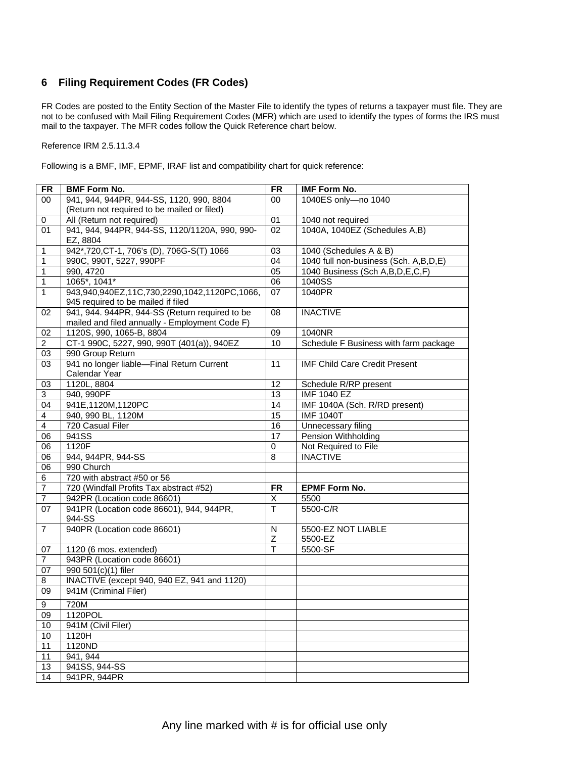### **6 Filing Requirement Codes (FR Codes)**

FR Codes are posted to the Entity Section of the Master File to identify the types of returns a taxpayer must file. They are not to be confused with Mail Filing Requirement Codes (MFR) which are used to identify the types of forms the IRS must mail to the taxpayer. The MFR codes follow the Quick Reference chart below.

Reference IRM 2.5.11.3.4

Following is a BMF, IMF, EPMF, IRAF list and compatibility chart for quick reference:

| <b>FR</b>        | <b>BMF Form No.</b>                            | <b>FR</b>               | <b>IMF Form No.</b>                   |
|------------------|------------------------------------------------|-------------------------|---------------------------------------|
| 00               | 941, 944, 944PR, 944-SS, 1120, 990, 8804       | $00\,$                  | 1040ES only-no 1040                   |
|                  | (Return not required to be mailed or filed)    |                         |                                       |
| $\pmb{0}$        | All (Return not required)                      | 01                      | 1040 not required                     |
| 01               | 941, 944, 944PR, 944-SS, 1120/1120A, 990, 990- | 02                      | 1040A, 1040EZ (Schedules A,B)         |
|                  | EZ, 8804                                       |                         |                                       |
| 1                | 942*,720, CT-1, 706's (D), 706G-S(T) 1066      | 03                      | 1040 (Schedules A & B)                |
| 1                | 990C, 990T, 5227, 990PF                        | 04                      | 1040 full non-business (Sch. A,B,D,E) |
| $\mathbf{1}$     | 990, 4720                                      | 05                      | 1040 Business (Sch A, B, D, E, C, F)  |
| 1                | 1065*, 1041*                                   | 06                      | 1040SS                                |
| $\mathbf{1}$     | 943,940,940EZ,11C,730,2290,1042,1120PC,1066,   | 07                      | 1040PR                                |
|                  | 945 required to be mailed if filed             |                         |                                       |
| 02               | 941, 944. 944PR, 944-SS (Return required to be | 08                      | <b>INACTIVE</b>                       |
|                  | mailed and filed annually - Employment Code F) |                         |                                       |
| 02               | 1120S, 990, 1065-B, 8804                       | 09                      | 1040NR                                |
| 2                | CT-1 990C, 5227, 990, 990T (401(a)), 940EZ     | 10                      | Schedule F Business with farm package |
| 03               | 990 Group Return                               |                         |                                       |
| 03               | 941 no longer liable-Final Return Current      | 11                      | <b>IMF Child Care Credit Present</b>  |
|                  | Calendar Year                                  |                         |                                       |
| 03               | 1120L, 8804                                    | 12                      | Schedule R/RP present                 |
| 3                | 940, 990PF                                     | $\overline{13}$         | <b>IMF 1040 EZ</b>                    |
| 04               | 941E,1120M,1120PC                              | $\overline{14}$         | IMF 1040A (Sch. R/RD present)         |
| 4                | 940, 990 BL, 1120M                             | 15                      | <b>IMF 1040T</b>                      |
| $\overline{4}$   | 720 Casual Filer                               | 16                      | Unnecessary filing                    |
| 06               | 941SS                                          | 17                      | Pension Withholding                   |
| 06               | 1120F                                          | 0                       | Not Required to File                  |
| 06               | 944, 944PR, 944-SS                             | 8                       | <b>INACTIVE</b>                       |
| $\overline{06}$  | 990 Church                                     |                         |                                       |
| 6                | 720 with abstract #50 or 56                    |                         |                                       |
| $\overline{7}$   | 720 (Windfall Profits Tax abstract #52)        | <b>FR</b>               | <b>EPMF Form No.</b>                  |
| $\overline{7}$   | 942PR (Location code 86601)                    | $\overline{X}$          | 5500                                  |
| 07               | 941PR (Location code 86601), 944, 944PR,       | T                       | 5500-C/R                              |
|                  | 944-SS                                         |                         |                                       |
| $\overline{7}$   | 940PR (Location code 86601)                    | $\overline{\mathsf{N}}$ | 5500-EZ NOT LIABLE                    |
|                  |                                                | Ζ                       | 5500-EZ                               |
| 07               | 1120 (6 mos. extended)                         | T                       | 5500-SF                               |
| $\overline{7}$   | 943PR (Location code 86601)                    |                         |                                       |
| 07               | 990 501(c)(1) filer                            |                         |                                       |
| 8                | INACTIVE (except 940, 940 EZ, 941 and 1120)    |                         |                                       |
| 09               | 941M (Criminal Filer)                          |                         |                                       |
| $\boldsymbol{9}$ | 720M                                           |                         |                                       |
| 09               | 1120POL                                        |                         |                                       |
| 10               | 941M (Civil Filer)                             |                         |                                       |
| 10               | 1120H                                          |                         |                                       |
| 11               | 1120ND                                         |                         |                                       |
| 11               | 941, 944                                       |                         |                                       |
| 13               | 941SS, 944-SS                                  |                         |                                       |
| 14               | 941PR, 944PR                                   |                         |                                       |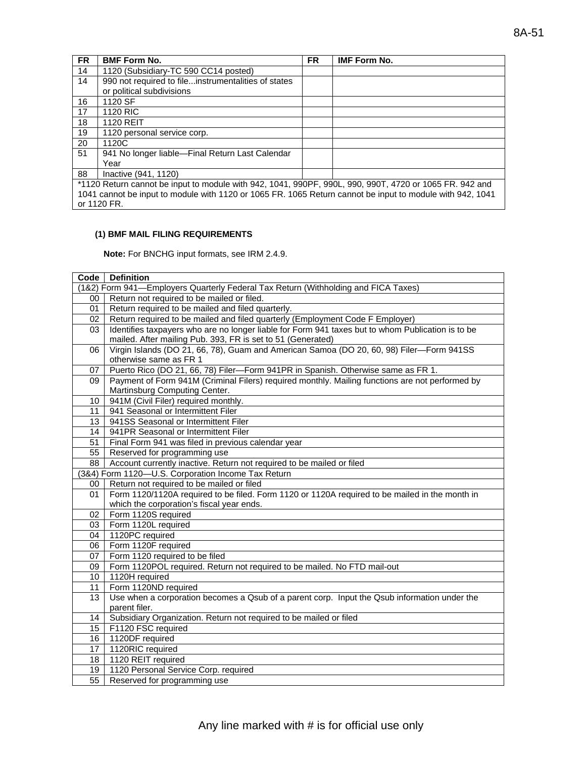| <b>FR</b>                                                                                                 | <b>BMF Form No.</b>                                                                                     | <b>FR</b> | <b>IMF Form No.</b> |
|-----------------------------------------------------------------------------------------------------------|---------------------------------------------------------------------------------------------------------|-----------|---------------------|
| 14                                                                                                        | 1120 (Subsidiary-TC 590 CC14 posted)                                                                    |           |                     |
| 14                                                                                                        | 990 not required to fileinstrumentalities of states                                                     |           |                     |
|                                                                                                           | or political subdivisions                                                                               |           |                     |
| 16                                                                                                        | 1120 SF                                                                                                 |           |                     |
| 17                                                                                                        | 1120 RIC                                                                                                |           |                     |
| 18                                                                                                        | <b>1120 REIT</b>                                                                                        |           |                     |
| 19                                                                                                        | 1120 personal service corp.                                                                             |           |                     |
| 20                                                                                                        | 1120C                                                                                                   |           |                     |
| 51                                                                                                        | 941 No longer liable-Final Return Last Calendar                                                         |           |                     |
|                                                                                                           | Year                                                                                                    |           |                     |
| 88                                                                                                        | Inactive (941, 1120)                                                                                    |           |                     |
|                                                                                                           | *1120 Return cannot be input to module with 942, 1041, 990PF, 990L, 990, 990T, 4720 or 1065 FR. 942 and |           |                     |
| 1041 cannot be input to module with 1120 or 1065 FR. 1065 Return cannot be input to module with 942, 1041 |                                                                                                         |           |                     |

#### **(1) BMF MAIL FILING REQUIREMENTS**

or 1120 FR.

**Note:** For BNCHG input formats, see IRM 2.4.9.

| Code            | <b>Definition</b>                                                                                 |
|-----------------|---------------------------------------------------------------------------------------------------|
|                 | (1&2) Form 941—Employers Quarterly Federal Tax Return (Withholding and FICA Taxes)                |
| 00              | Return not required to be mailed or filed.                                                        |
| 01              | Return required to be mailed and filed quarterly.                                                 |
| 02              | Return required to be mailed and filed quarterly (Employment Code F Employer)                     |
| 03              | Identifies taxpayers who are no longer liable for Form 941 taxes but to whom Publication is to be |
|                 | mailed. After mailing Pub. 393, FR is set to 51 (Generated)                                       |
| 06              | Virgin Islands (DO 21, 66, 78), Guam and American Samoa (DO 20, 60, 98) Filer-Form 941SS          |
|                 | otherwise same as FR 1                                                                            |
| 07              | Puerto Rico (DO 21, 66, 78) Filer-Form 941PR in Spanish. Otherwise same as FR 1.                  |
| 09              | Payment of Form 941M (Criminal Filers) required monthly. Mailing functions are not performed by   |
|                 | Martinsburg Computing Center.                                                                     |
| 10              | 941M (Civil Filer) required monthly.                                                              |
| 11              | 941 Seasonal or Intermittent Filer                                                                |
| 13              | 941SS Seasonal or Intermittent Filer                                                              |
| 14              | 941PR Seasonal or Intermittent Filer                                                              |
| 51              | Final Form 941 was filed in previous calendar year                                                |
| 55              | Reserved for programming use                                                                      |
| 88              | Account currently inactive. Return not required to be mailed or filed                             |
|                 | (3&4) Form 1120-U.S. Corporation Income Tax Return                                                |
| 00              | Return not required to be mailed or filed                                                         |
| 01              | Form 1120/1120A required to be filed. Form 1120 or 1120A required to be mailed in the month in    |
|                 | which the corporation's fiscal year ends.                                                         |
| 02              | Form 1120S required                                                                               |
| 03              | Form 1120L required                                                                               |
| 04              | 1120PC required                                                                                   |
| 06              | Form 1120F required                                                                               |
| 07              | Form 1120 required to be filed                                                                    |
| 09              | Form 1120POL required. Return not required to be mailed. No FTD mail-out                          |
| 10 <sup>1</sup> | 1120H required                                                                                    |
| 11              | Form 1120ND required                                                                              |
| 13              | Use when a corporation becomes a Qsub of a parent corp. Input the Qsub information under the      |
|                 | parent filer.                                                                                     |
| 14              | Subsidiary Organization. Return not required to be mailed or filed                                |
| 15              | F1120 FSC required                                                                                |
| 16              | 1120DF required                                                                                   |
| 17              | 1120RIC required                                                                                  |
| 18              | 1120 REIT required                                                                                |
| 19              | 1120 Personal Service Corp. required                                                              |
| 55              | Reserved for programming use                                                                      |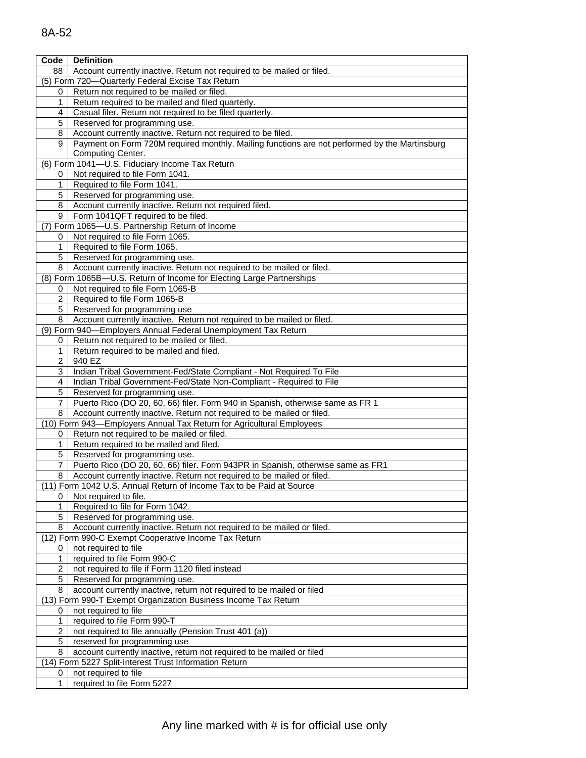| 8A-52 |  |
|-------|--|
|       |  |

| Code                    | <b>Definition</b>                                                                             |
|-------------------------|-----------------------------------------------------------------------------------------------|
| 88                      | Account currently inactive. Return not required to be mailed or filed.                        |
|                         | (5) Form 720-Quarterly Federal Excise Tax Return                                              |
| 0                       | Return not required to be mailed or filed.                                                    |
| 1                       | Return required to be mailed and filed quarterly.                                             |
| 4                       | Casual filer. Return not required to be filed quarterly.                                      |
| 5                       | Reserved for programming use.                                                                 |
| 8                       | Account currently inactive. Return not required to be filed.                                  |
| 9                       | Payment on Form 720M required monthly. Mailing functions are not performed by the Martinsburg |
|                         | Computing Center.                                                                             |
|                         | (6) Form 1041-U.S. Fiduciary Income Tax Return                                                |
| 0                       | Not required to file Form 1041.                                                               |
| 1                       | Required to file Form 1041.                                                                   |
| 5                       | Reserved for programming use.                                                                 |
| 8                       | Account currently inactive. Return not required filed.                                        |
| 9                       | Form 1041QFT required to be filed.                                                            |
|                         | (7) Form 1065-U.S. Partnership Return of Income                                               |
| 0                       | Not required to file Form 1065.                                                               |
| 1                       | Required to file Form 1065.                                                                   |
| 5                       | Reserved for programming use.                                                                 |
| 8                       | Account currently inactive. Return not required to be mailed or filed.                        |
|                         | (8) Form 1065B-U.S. Return of Income for Electing Large Partnerships                          |
| 0                       | Not required to file Form 1065-B                                                              |
| $\overline{2}$          | Required to file Form 1065-B                                                                  |
| 5                       | Reserved for programming use                                                                  |
| 8                       | Account currently inactive. Return not required to be mailed or filed.                        |
|                         | (9) Form 940-Employers Annual Federal Unemployment Tax Return                                 |
| 0                       | Return not required to be mailed or filed.                                                    |
| 1                       | Return required to be mailed and filed.                                                       |
| 2                       | 940 EZ                                                                                        |
| 3                       | Indian Tribal Government-Fed/State Compliant - Not Required To File                           |
| 4                       | Indian Tribal Government-Fed/State Non-Compliant - Required to File                           |
| 5                       | Reserved for programming use.                                                                 |
| 7                       | Puerto Rico (DO 20, 60, 66) filer. Form 940 in Spanish, otherwise same as FR 1                |
| 8                       | Account currently inactive. Return not required to be mailed or filed.                        |
|                         | (10) Form 943-Employers Annual Tax Return for Agricultural Employees                          |
| 0                       | Return not required to be mailed or filed.                                                    |
| 1                       | Return required to be mailed and filed.                                                       |
| 5                       | Reserved for programming use.                                                                 |
| 7                       | Puerto Rico (DO 20, 60, 66) filer. Form 943PR in Spanish, otherwise same as FR1               |
| 8                       | Account currently inactive. Return not required to be mailed or filed.                        |
|                         | (11) Form 1042 U.S. Annual Return of Income Tax to be Paid at Source                          |
|                         | Not required to file.                                                                         |
| 1                       | Required to file for Form 1042.                                                               |
| 5                       | Reserved for programming use.                                                                 |
| 8                       | Account currently inactive. Return not required to be mailed or filed.                        |
|                         | (12) Form 990-C Exempt Cooperative Income Tax Return                                          |
| 0                       | not required to file                                                                          |
| 1                       | required to file Form 990-C                                                                   |
| $\overline{2}$          | not required to file if Form 1120 filed instead                                               |
| 5                       | Reserved for programming use.                                                                 |
| 8                       | account currently inactive, return not required to be mailed or filed                         |
|                         | (13) Form 990-T Exempt Organization Business Income Tax Return                                |
| 0                       | not required to file                                                                          |
| 1                       | required to file Form 990-T                                                                   |
| $\overline{\mathbf{c}}$ | not required to file annually (Pension Trust 401 (a))                                         |
| 5                       | reserved for programming use                                                                  |
| 8                       | account currently inactive, return not required to be mailed or filed                         |
|                         | (14) Form 5227 Split-Interest Trust Information Return                                        |
| 0                       | not required to file                                                                          |
| 1                       | required to file Form 5227                                                                    |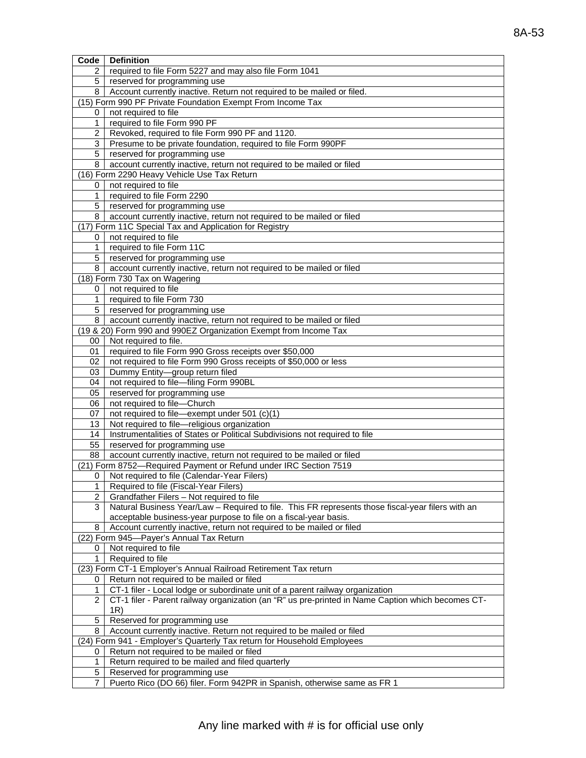| Code           | <b>Definition</b>                                                                                 |
|----------------|---------------------------------------------------------------------------------------------------|
| 2              | required to file Form 5227 and may also file Form 1041                                            |
| 5              | reserved for programming use                                                                      |
| 8              | Account currently inactive. Return not required to be mailed or filed.                            |
|                | (15) Form 990 PF Private Foundation Exempt From Income Tax                                        |
| 0              | not required to file                                                                              |
| $\mathbf{1}$   | required to file Form 990 PF                                                                      |
| 2              | Revoked, required to file Form 990 PF and 1120.                                                   |
| 3              | Presume to be private foundation, required to file Form 990PF                                     |
| 5              | reserved for programming use                                                                      |
| 8              | account currently inactive, return not required to be mailed or filed                             |
|                | (16) Form 2290 Heavy Vehicle Use Tax Return                                                       |
| 0              | not required to file                                                                              |
| 1              | required to file Form 2290                                                                        |
| 5              | reserved for programming use                                                                      |
| 8              | account currently inactive, return not required to be mailed or filed                             |
|                | (17) Form 11C Special Tax and Application for Registry                                            |
| 0              | not required to file                                                                              |
| 1              | required to file Form 11C                                                                         |
| 5              | reserved for programming use                                                                      |
| 8              | account currently inactive, return not required to be mailed or filed                             |
|                | (18) Form 730 Tax on Wagering                                                                     |
| 0              | not required to file                                                                              |
| 1              | required to file Form 730                                                                         |
| 5              | reserved for programming use                                                                      |
| 8              | account currently inactive, return not required to be mailed or filed                             |
|                | (19 & 20) Form 990 and 990EZ Organization Exempt from Income Tax                                  |
| 00             | Not required to file.                                                                             |
| 01             | required to file Form 990 Gross receipts over \$50,000                                            |
| 02             | not required to file Form 990 Gross receipts of \$50,000 or less                                  |
| 03             | Dummy Entity-group return filed                                                                   |
| 04             | not required to file-filing Form 990BL                                                            |
| 05             | reserved for programming use                                                                      |
| 06             | not required to file-Church                                                                       |
| 07             | not required to file-exempt under 501 (c)(1)                                                      |
| 13             | Not required to file-religious organization                                                       |
| 14             | Instrumentalities of States or Political Subdivisions not required to file                        |
| 55             | reserved for programming use                                                                      |
| 88             | account currently inactive, return not required to be mailed or filed                             |
|                | (21) Form 8752-Required Payment or Refund under IRC Section 7519                                  |
| 0              | Not required to file (Calendar-Year Filers)                                                       |
| 1 <sup>1</sup> | Required to file (Fiscal-Year Filers)                                                             |
| 2              | Grandfather Filers - Not required to file                                                         |
| 3              | Natural Business Year/Law - Required to file. This FR represents those fiscal-year filers with an |
|                | acceptable business-year purpose to file on a fiscal-year basis.                                  |
| 8              | Account currently inactive, return not required to be mailed or filed                             |
|                | (22) Form 945-Payer's Annual Tax Return                                                           |
| 0              | Not required to file                                                                              |
| 1              | Required to file                                                                                  |
|                | (23) Form CT-1 Employer's Annual Railroad Retirement Tax return                                   |
| 0              | Return not required to be mailed or filed                                                         |
| 1              | CT-1 filer - Local lodge or subordinate unit of a parent railway organization                     |
| 2              | CT-1 filer - Parent railway organization (an "R" us pre-printed in Name Caption which becomes CT- |
|                | 1R)                                                                                               |
| $\mathbf 5$    | Reserved for programming use                                                                      |
| 8              | Account currently inactive. Return not required to be mailed or filed                             |
|                | (24) Form 941 - Employer's Quarterly Tax return for Household Employees                           |
| 0              | Return not required to be mailed or filed                                                         |
| 1              | Return required to be mailed and filed quarterly                                                  |
| 5              | Reserved for programming use                                                                      |
| 7              | Puerto Rico (DO 66) filer. Form 942PR in Spanish, otherwise same as FR 1                          |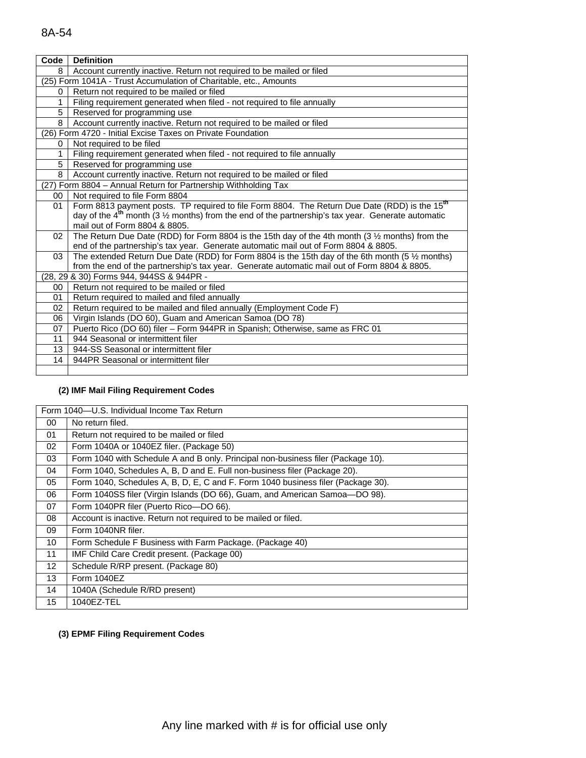## 8A-54

| Code | <b>Definition</b>                                                                                              |
|------|----------------------------------------------------------------------------------------------------------------|
| 8    | Account currently inactive. Return not required to be mailed or filed                                          |
|      | (25) Form 1041A - Trust Accumulation of Charitable, etc., Amounts                                              |
| 0    | Return not required to be mailed or filed                                                                      |
| 1    | Filing requirement generated when filed - not required to file annually                                        |
| 5    | Reserved for programming use                                                                                   |
| 8    | Account currently inactive. Return not required to be mailed or filed                                          |
|      | (26) Form 4720 - Initial Excise Taxes on Private Foundation                                                    |
| 0    | Not required to be filed                                                                                       |
| 1    | Filing requirement generated when filed - not required to file annually                                        |
| 5    | Reserved for programming use                                                                                   |
| 8    | Account currently inactive. Return not required to be mailed or filed                                          |
|      | (27) Form 8804 - Annual Return for Partnership Withholding Tax                                                 |
| 00   | Not required to file Form 8804                                                                                 |
| 01   | Form 8813 payment posts. TP required to file Form 8804. The Return Due Date (RDD) is the 15 <sup>th</sup>      |
|      | day of the $4th$ month (3 $\frac{1}{2}$ months) from the end of the partnership's tax year. Generate automatic |
|      | mail out of Form 8804 & 8805.                                                                                  |
| 02   | The Return Due Date (RDD) for Form 8804 is the 15th day of the 4th month (3 1/2 months) from the               |
|      | end of the partnership's tax year. Generate automatic mail out of Form 8804 & 8805.                            |
| 03   | The extended Return Due Date (RDD) for Form 8804 is the 15th day of the 6th month (5 $\frac{1}{2}$ months)     |
|      | from the end of the partnership's tax year. Generate automatic mail out of Form 8804 & 8805.                   |
|      | (28, 29 & 30) Forms 944, 944SS & 944PR -                                                                       |
| 00   | Return not required to be mailed or filed                                                                      |
| 01   | Return required to mailed and filed annually                                                                   |
| 02   | Return required to be mailed and filed annually (Employment Code F)                                            |
| 06   | Virgin Islands (DO 60), Guam and American Samoa (DO 78)                                                        |
| 07   | Puerto Rico (DO 60) filer - Form 944PR in Spanish; Otherwise, same as FRC 01                                   |
| 11   | 944 Seasonal or intermittent filer                                                                             |
| 13   | 944-SS Seasonal or intermittent filer                                                                          |
| 14   | 944PR Seasonal or intermittent filer                                                                           |
|      |                                                                                                                |

#### **(2) IMF Mail Filing Requirement Codes**

| Form 1040-U.S. Individual Income Tax Return |                                                                                  |  |  |
|---------------------------------------------|----------------------------------------------------------------------------------|--|--|
| 00                                          | No return filed.                                                                 |  |  |
| 01                                          | Return not required to be mailed or filed                                        |  |  |
| 02                                          | Form 1040A or 1040EZ filer. (Package 50)                                         |  |  |
| 03                                          | Form 1040 with Schedule A and B only. Principal non-business filer (Package 10). |  |  |
| 04                                          | Form 1040, Schedules A, B, D and E. Full non-business filer (Package 20).        |  |  |
| 05                                          | Form 1040, Schedules A, B, D, E, C and F. Form 1040 business filer (Package 30). |  |  |
| 06                                          | Form 1040SS filer (Virgin Islands (DO 66), Guam, and American Samoa-DO 98).      |  |  |
| 07                                          | Form 1040PR filer (Puerto Rico-DO 66).                                           |  |  |
| 08                                          | Account is inactive. Return not required to be mailed or filed.                  |  |  |
| 09                                          | Form 1040NR filer.                                                               |  |  |
| 10                                          | Form Schedule F Business with Farm Package. (Package 40)                         |  |  |
| 11                                          | IMF Child Care Credit present. (Package 00)                                      |  |  |
| 12 <sup>2</sup>                             | Schedule R/RP present. (Package 80)                                              |  |  |
| 13                                          | Form 1040EZ                                                                      |  |  |
| 14                                          | 1040A (Schedule R/RD present)                                                    |  |  |
| 15                                          | 1040EZ-TEL                                                                       |  |  |
|                                             |                                                                                  |  |  |

## **(3) EPMF Filing Requirement Codes**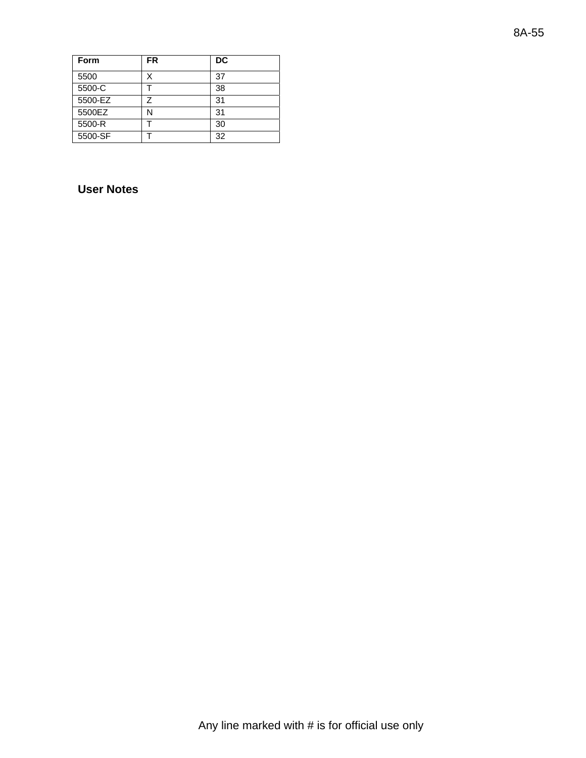| Form    | <b>FR</b> | <b>DC</b> |
|---------|-----------|-----------|
| 5500    | X         | 37        |
| 5500-C  |           | 38        |
| 5500-EZ | 7         | 31        |
| 5500EZ  |           | 31        |
| 5500-R  |           | 30        |
| 5500-SF |           | 32        |

# **User Notes**